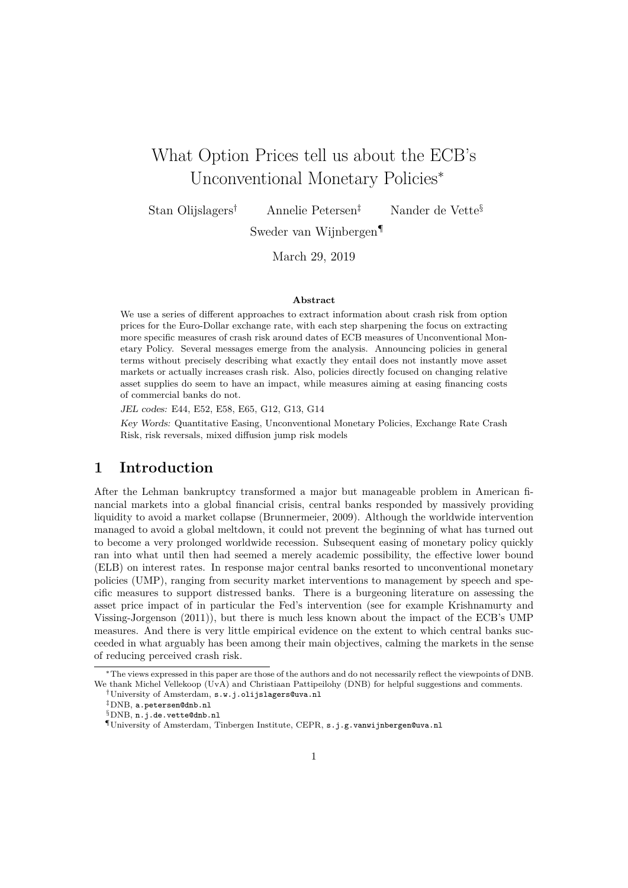# What Option Prices tell us about the ECB's Unconventional Monetary Policies<sup>∗</sup>

Stan Olijslagers† Annelie Petersen‡ Nander de Vette§

Sweder van Wijnbergen¶

March 29, 2019

#### **Abstract**

We use a series of different approaches to extract information about crash risk from option prices for the Euro-Dollar exchange rate, with each step sharpening the focus on extracting more specific measures of crash risk around dates of ECB measures of Unconventional Monetary Policy. Several messages emerge from the analysis. Announcing policies in general terms without precisely describing what exactly they entail does not instantly move asset markets or actually increases crash risk. Also, policies directly focused on changing relative asset supplies do seem to have an impact, while measures aiming at easing financing costs of commercial banks do not.

JEL codes: E44, E52, E58, E65, G12, G13, G14

Key Words: Quantitative Easing, Unconventional Monetary Policies, Exchange Rate Crash Risk, risk reversals, mixed diffusion jump risk models

# **1 Introduction**

After the Lehman bankruptcy transformed a major but manageable problem in American financial markets into a global financial crisis, central banks responded by massively providing liquidity to avoid a market collapse (Brunnermeier, 2009). Although the worldwide intervention managed to avoid a global meltdown, it could not prevent the beginning of what has turned out to become a very prolonged worldwide recession. Subsequent easing of monetary policy quickly ran into what until then had seemed a merely academic possibility, the effective lower bound (ELB) on interest rates. In response major central banks resorted to unconventional monetary policies (UMP), ranging from security market interventions to management by speech and specific measures to support distressed banks. There is a burgeoning literature on assessing the asset price impact of in particular the Fed's intervention (see for example Krishnamurty and Vissing-Jorgenson (2011)), but there is much less known about the impact of the ECB's UMP measures. And there is very little empirical evidence on the extent to which central banks succeeded in what arguably has been among their main objectives, calming the markets in the sense of reducing perceived crash risk.

<sup>∗</sup>The views expressed in this paper are those of the authors and do not necessarily reflect the viewpoints of DNB. We thank Michel Vellekoop (UvA) and Christiaan Pattipeilohy (DNB) for helpful suggestions and comments.

<sup>†</sup>University of Amsterdam, s.w.j.olijslagers@uva.nl

<sup>‡</sup>DNB, a.petersen@dnb.nl

<sup>§</sup>DNB, n.j.de.vette@dnb.nl

<sup>¶</sup>University of Amsterdam, Tinbergen Institute, CEPR, s.j.g.vanwijnbergen@uva.nl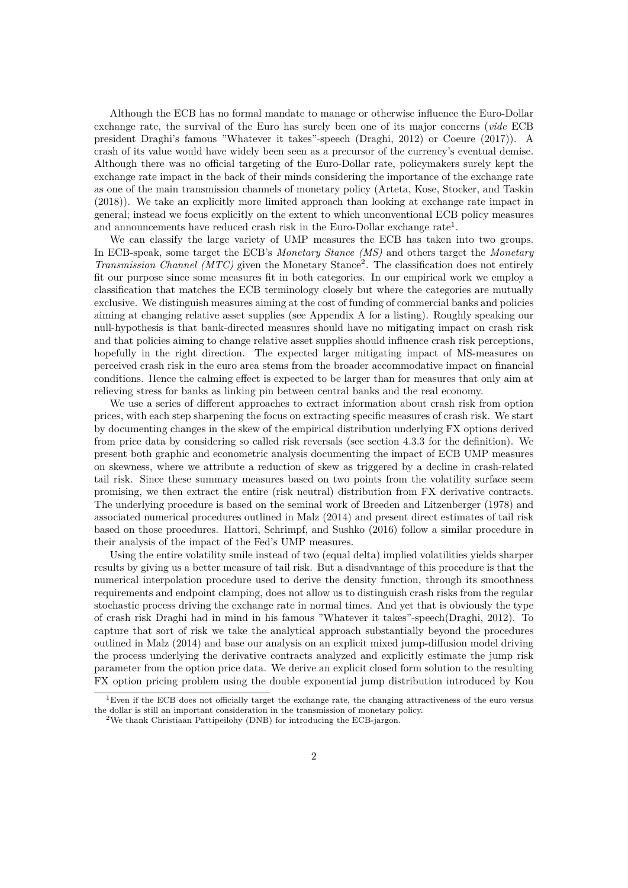Although the ECB has no formal mandate to manage or otherwise influence the Euro-Dollar exchange rate, the survival of the Euro has surely been one of its major concerns (*vide* ECB president Draghi's famous "Whatever it takes"-speech (Draghi, 2012) or Coeure (2017)). A crash of its value would have widely been seen as a precursor of the currency's eventual demise. Although there was no official targeting of the Euro-Dollar rate, policymakers surely kept the exchange rate impact in the back of their minds considering the importance of the exchange rate as one of the main transmission channels of monetary policy (Arteta, Kose, Stocker, and Taskin (2018)). We take an explicitly more limited approach than looking at exchange rate impact in general; instead we focus explicitly on the extent to which unconventional ECB policy measures and announcements have reduced crash risk in the Euro-Dollar exchange rate<sup>1</sup>.

We can classify the large variety of UMP measures the ECB has taken into two groups. In ECB-speak, some target the ECB's *Monetary Stance (MS)* and others target the *Monetary Transmission Channel (MTC)* given the Monetary Stance<sup>2</sup>. The classification does not entirely fit our purpose since some measures fit in both categories. In our empirical work we employ a classification that matches the ECB terminology closely but where the categories are mutually exclusive. We distinguish measures aiming at the cost of funding of commercial banks and policies aiming at changing relative asset supplies (see Appendix A for a listing). Roughly speaking our null-hypothesis is that bank-directed measures should have no mitigating impact on crash risk and that policies aiming to change relative asset supplies should influence crash risk perceptions, hopefully in the right direction. The expected larger mitigating impact of MS-measures on perceived crash risk in the euro area stems from the broader accommodative impact on financial conditions. Hence the calming effect is expected to be larger than for measures that only aim at relieving stress for banks as linking pin between central banks and the real economy.

We use a series of different approaches to extract information about crash risk from option prices, with each step sharpening the focus on extracting specific measures of crash risk. We start by documenting changes in the skew of the empirical distribution underlying FX options derived from price data by considering so called risk reversals (see section 4.3.3 for the definition). We present both graphic and econometric analysis documenting the impact of ECB UMP measures on skewness, where we attribute a reduction of skew as triggered by a decline in crash-related tail risk. Since these summary measures based on two points from the volatility surface seem promising, we then extract the entire (risk neutral) distribution from FX derivative contracts. The underlying procedure is based on the seminal work of Breeden and Litzenberger (1978) and associated numerical procedures outlined in Malz (2014) and present direct estimates of tail risk based on those procedures. Hattori, Schrimpf, and Sushko (2016) follow a similar procedure in their analysis of the impact of the Fed's UMP measures.

Using the entire volatility smile instead of two (equal delta) implied volatilities yields sharper results by giving us a better measure of tail risk. But a disadvantage of this procedure is that the numerical interpolation procedure used to derive the density function, through its smoothness requirements and endpoint clamping, does not allow us to distinguish crash risks from the regular stochastic process driving the exchange rate in normal times. And yet that is obviously the type of crash risk Draghi had in mind in his famous "Whatever it takes"-speech(Draghi, 2012). To capture that sort of risk we take the analytical approach substantially beyond the procedures outlined in Malz (2014) and base our analysis on an explicit mixed jump-diffusion model driving the process underlying the derivative contracts analyzed and explicitly estimate the jump risk parameter from the option price data. We derive an explicit closed form solution to the resulting FX option pricing problem using the double exponential jump distribution introduced by Kou

<sup>&</sup>lt;sup>1</sup>Even if the ECB does not officially target the exchange rate, the changing attractiveness of the euro versus the dollar is still an important consideration in the transmission of monetary policy.

<sup>&</sup>lt;sup>2</sup>We thank Christiaan Pattipeilohy (DNB) for introducing the ECB-jargon.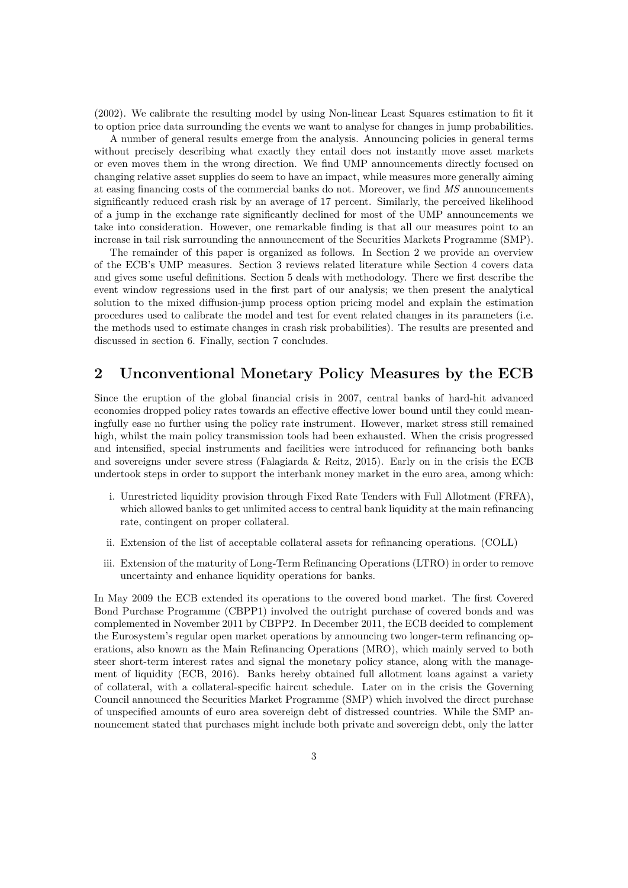(2002). We calibrate the resulting model by using Non-linear Least Squares estimation to fit it to option price data surrounding the events we want to analyse for changes in jump probabilities.

A number of general results emerge from the analysis. Announcing policies in general terms without precisely describing what exactly they entail does not instantly move asset markets or even moves them in the wrong direction. We find UMP announcements directly focused on changing relative asset supplies do seem to have an impact, while measures more generally aiming at easing financing costs of the commercial banks do not. Moreover, we find *MS* announcements significantly reduced crash risk by an average of 17 percent. Similarly, the perceived likelihood of a jump in the exchange rate significantly declined for most of the UMP announcements we take into consideration. However, one remarkable finding is that all our measures point to an increase in tail risk surrounding the announcement of the Securities Markets Programme (SMP).

The remainder of this paper is organized as follows. In Section 2 we provide an overview of the ECB's UMP measures. Section 3 reviews related literature while Section 4 covers data and gives some useful definitions. Section 5 deals with methodology. There we first describe the event window regressions used in the first part of our analysis; we then present the analytical solution to the mixed diffusion-jump process option pricing model and explain the estimation procedures used to calibrate the model and test for event related changes in its parameters (i.e. the methods used to estimate changes in crash risk probabilities). The results are presented and discussed in section 6. Finally, section 7 concludes.

# **2 Unconventional Monetary Policy Measures by the ECB**

Since the eruption of the global financial crisis in 2007, central banks of hard-hit advanced economies dropped policy rates towards an effective effective lower bound until they could meaningfully ease no further using the policy rate instrument. However, market stress still remained high, whilst the main policy transmission tools had been exhausted. When the crisis progressed and intensified, special instruments and facilities were introduced for refinancing both banks and sovereigns under severe stress (Falagiarda  $\&$  Reitz, 2015). Early on in the crisis the ECB undertook steps in order to support the interbank money market in the euro area, among which:

- i. Unrestricted liquidity provision through Fixed Rate Tenders with Full Allotment (FRFA), which allowed banks to get unlimited access to central bank liquidity at the main refinancing rate, contingent on proper collateral.
- ii. Extension of the list of acceptable collateral assets for refinancing operations. (COLL)
- iii. Extension of the maturity of Long-Term Refinancing Operations (LTRO) in order to remove uncertainty and enhance liquidity operations for banks.

In May 2009 the ECB extended its operations to the covered bond market. The first Covered Bond Purchase Programme (CBPP1) involved the outright purchase of covered bonds and was complemented in November 2011 by CBPP2. In December 2011, the ECB decided to complement the Eurosystem's regular open market operations by announcing two longer-term refinancing operations, also known as the Main Refinancing Operations (MRO), which mainly served to both steer short-term interest rates and signal the monetary policy stance, along with the management of liquidity (ECB, 2016). Banks hereby obtained full allotment loans against a variety of collateral, with a collateral-specific haircut schedule. Later on in the crisis the Governing Council announced the Securities Market Programme (SMP) which involved the direct purchase of unspecified amounts of euro area sovereign debt of distressed countries. While the SMP announcement stated that purchases might include both private and sovereign debt, only the latter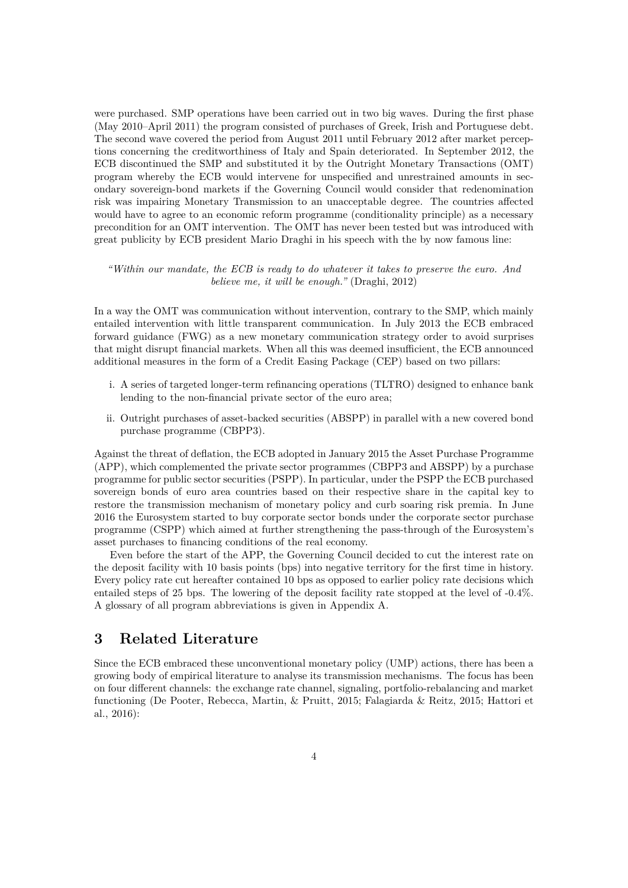were purchased. SMP operations have been carried out in two big waves. During the first phase (May 2010–April 2011) the program consisted of purchases of Greek, Irish and Portuguese debt. The second wave covered the period from August 2011 until February 2012 after market perceptions concerning the creditworthiness of Italy and Spain deteriorated. In September 2012, the ECB discontinued the SMP and substituted it by the Outright Monetary Transactions (OMT) program whereby the ECB would intervene for unspecified and unrestrained amounts in secondary sovereign-bond markets if the Governing Council would consider that redenomination risk was impairing Monetary Transmission to an unacceptable degree. The countries affected would have to agree to an economic reform programme (conditionality principle) as a necessary precondition for an OMT intervention. The OMT has never been tested but was introduced with great publicity by ECB president Mario Draghi in his speech with the by now famous line:

### *"Within our mandate, the ECB is ready to do whatever it takes to preserve the euro. And believe me, it will be enough."* (Draghi, 2012)

In a way the OMT was communication without intervention, contrary to the SMP, which mainly entailed intervention with little transparent communication. In July 2013 the ECB embraced forward guidance (FWG) as a new monetary communication strategy order to avoid surprises that might disrupt financial markets. When all this was deemed insufficient, the ECB announced additional measures in the form of a Credit Easing Package (CEP) based on two pillars:

- i. A series of targeted longer-term refinancing operations (TLTRO) designed to enhance bank lending to the non-financial private sector of the euro area;
- ii. Outright purchases of asset-backed securities (ABSPP) in parallel with a new covered bond purchase programme (CBPP3).

Against the threat of deflation, the ECB adopted in January 2015 the Asset Purchase Programme (APP), which complemented the private sector programmes (CBPP3 and ABSPP) by a purchase programme for public sector securities (PSPP). In particular, under the PSPP the ECB purchased sovereign bonds of euro area countries based on their respective share in the capital key to restore the transmission mechanism of monetary policy and curb soaring risk premia. In June 2016 the Eurosystem started to buy corporate sector bonds under the corporate sector purchase programme (CSPP) which aimed at further strengthening the pass-through of the Eurosystem's asset purchases to financing conditions of the real economy.

Even before the start of the APP, the Governing Council decided to cut the interest rate on the deposit facility with 10 basis points (bps) into negative territory for the first time in history. Every policy rate cut hereafter contained 10 bps as opposed to earlier policy rate decisions which entailed steps of 25 bps. The lowering of the deposit facility rate stopped at the level of -0.4%. A glossary of all program abbreviations is given in Appendix A.

# **3 Related Literature**

Since the ECB embraced these unconventional monetary policy (UMP) actions, there has been a growing body of empirical literature to analyse its transmission mechanisms. The focus has been on four different channels: the exchange rate channel, signaling, portfolio-rebalancing and market functioning (De Pooter, Rebecca, Martin, & Pruitt, 2015; Falagiarda & Reitz, 2015; Hattori et al., 2016):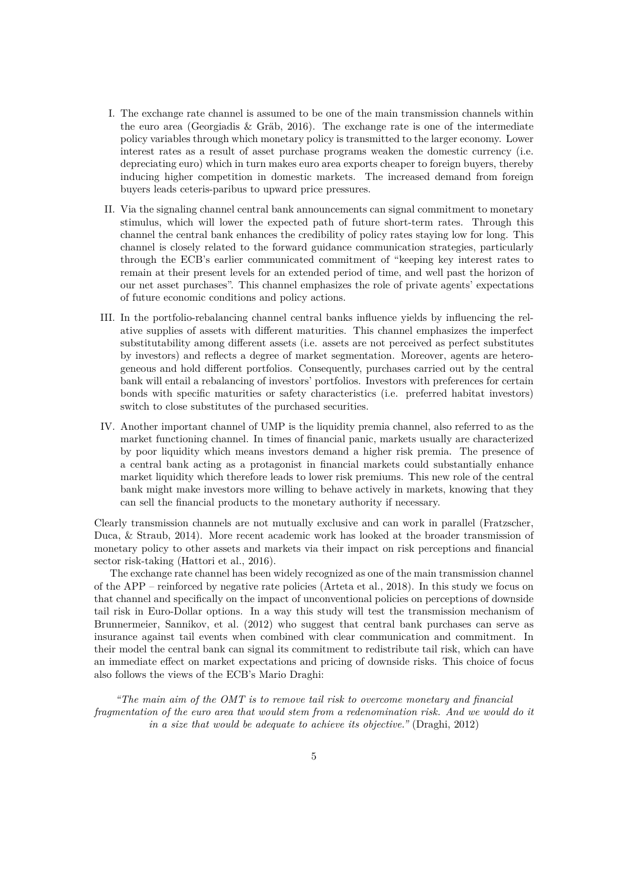- I. The exchange rate channel is assumed to be one of the main transmission channels within the euro area (Georgiadis & Gräb, 2016). The exchange rate is one of the intermediate policy variables through which monetary policy is transmitted to the larger economy. Lower interest rates as a result of asset purchase programs weaken the domestic currency (i.e. depreciating euro) which in turn makes euro area exports cheaper to foreign buyers, thereby inducing higher competition in domestic markets. The increased demand from foreign buyers leads ceteris-paribus to upward price pressures.
- II. Via the signaling channel central bank announcements can signal commitment to monetary stimulus, which will lower the expected path of future short-term rates. Through this channel the central bank enhances the credibility of policy rates staying low for long. This channel is closely related to the forward guidance communication strategies, particularly through the ECB's earlier communicated commitment of "keeping key interest rates to remain at their present levels for an extended period of time, and well past the horizon of our net asset purchases". This channel emphasizes the role of private agents' expectations of future economic conditions and policy actions.
- III. In the portfolio-rebalancing channel central banks influence yields by influencing the relative supplies of assets with different maturities. This channel emphasizes the imperfect substitutability among different assets (i.e. assets are not perceived as perfect substitutes by investors) and reflects a degree of market segmentation. Moreover, agents are heterogeneous and hold different portfolios. Consequently, purchases carried out by the central bank will entail a rebalancing of investors' portfolios. Investors with preferences for certain bonds with specific maturities or safety characteristics (i.e. preferred habitat investors) switch to close substitutes of the purchased securities.
- IV. Another important channel of UMP is the liquidity premia channel, also referred to as the market functioning channel. In times of financial panic, markets usually are characterized by poor liquidity which means investors demand a higher risk premia. The presence of a central bank acting as a protagonist in financial markets could substantially enhance market liquidity which therefore leads to lower risk premiums. This new role of the central bank might make investors more willing to behave actively in markets, knowing that they can sell the financial products to the monetary authority if necessary.

Clearly transmission channels are not mutually exclusive and can work in parallel (Fratzscher, Duca, & Straub, 2014). More recent academic work has looked at the broader transmission of monetary policy to other assets and markets via their impact on risk perceptions and financial sector risk-taking (Hattori et al., 2016).

The exchange rate channel has been widely recognized as one of the main transmission channel of the APP – reinforced by negative rate policies (Arteta et al., 2018). In this study we focus on that channel and specifically on the impact of unconventional policies on perceptions of downside tail risk in Euro-Dollar options. In a way this study will test the transmission mechanism of Brunnermeier, Sannikov, et al. (2012) who suggest that central bank purchases can serve as insurance against tail events when combined with clear communication and commitment. In their model the central bank can signal its commitment to redistribute tail risk, which can have an immediate effect on market expectations and pricing of downside risks. This choice of focus also follows the views of the ECB's Mario Draghi:

*"The main aim of the OMT is to remove tail risk to overcome monetary and financial fragmentation of the euro area that would stem from a redenomination risk. And we would do it in a size that would be adequate to achieve its objective."* (Draghi, 2012)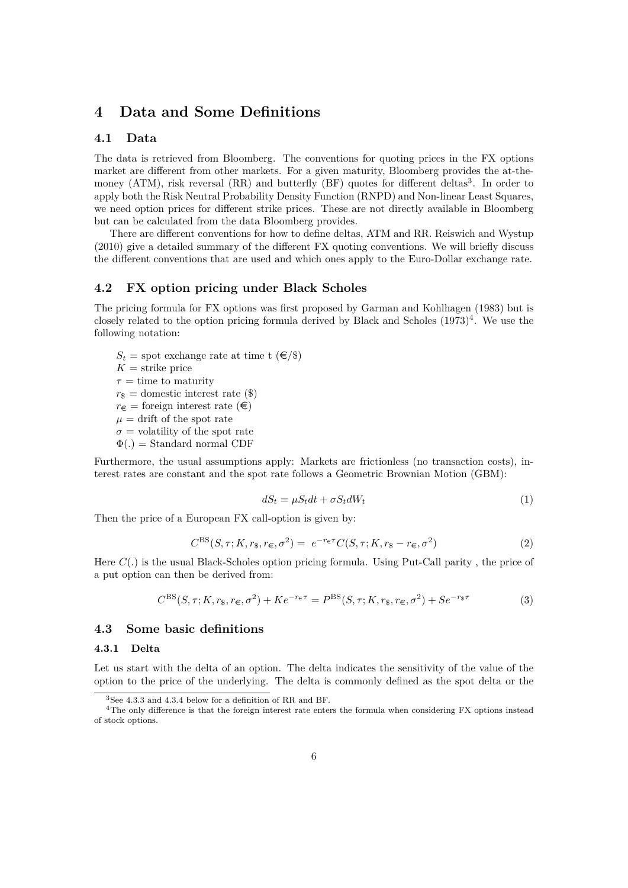# **4 Data and Some Definitions**

# **4.1 Data**

The data is retrieved from Bloomberg. The conventions for quoting prices in the FX options market are different from other markets. For a given maturity, Bloomberg provides the at-themoney (ATM), risk reversal (RR) and butterfly (BF) quotes for different deltas<sup>3</sup>. In order to apply both the Risk Neutral Probability Density Function (RNPD) and Non-linear Least Squares, we need option prices for different strike prices. These are not directly available in Bloomberg but can be calculated from the data Bloomberg provides.

There are different conventions for how to define deltas, ATM and RR. Reiswich and Wystup (2010) give a detailed summary of the different FX quoting conventions. We will briefly discuss the different conventions that are used and which ones apply to the Euro-Dollar exchange rate.

### **4.2 FX option pricing under Black Scholes**

The pricing formula for FX options was first proposed by Garman and Kohlhagen (1983) but is closely related to the option pricing formula derived by Black and Scholes  $(1973)^4$ . We use the following notation:

 $S_t$  = spot exchange rate at time t ( $\epsilon$ /\$)  $K =$ strike price  $\tau =$  time to maturity  $r_{\rm s}$  = domestic interest rate (\$)  $r_{\epsilon}$  = foreign interest rate ( $\epsilon$ )  $\mu = \text{drift}$  of the spot rate  $\sigma$  = volatility of the spot rate  $\Phi(.)$  = Standard normal CDF

Furthermore, the usual assumptions apply: Markets are frictionless (no transaction costs), interest rates are constant and the spot rate follows a Geometric Brownian Motion (GBM):

$$
dS_t = \mu S_t dt + \sigma S_t dW_t \tag{1}
$$

Then the price of a European FX call-option is given by:

$$
C^{\text{BS}}(S,\tau;K,r_{\mathbb{S}},r_{\mathbb{C}},\sigma^2) = e^{-r_{\mathbb{C}}\tau}C(S,\tau;K,r_{\mathbb{S}}-r_{\mathbb{C}},\sigma^2)
$$
\n(2)

Here *C*(*.*) is the usual Black-Scholes option pricing formula. Using Put-Call parity , the price of a put option can then be derived from:

$$
C^{\text{BS}}(S,\tau;K,r_{\text{F}},r_{\text{F}},\sigma^2) + Ke^{-r_{\text{F}}\tau} = P^{\text{BS}}(S,\tau;K,r_{\text{F}},r_{\text{F}},\sigma^2) + Se^{-r_{\text{F}}\tau}
$$
(3)

## **4.3 Some basic definitions**

#### **4.3.1 Delta**

Let us start with the delta of an option. The delta indicates the sensitivity of the value of the option to the price of the underlying. The delta is commonly defined as the spot delta or the

<sup>3</sup>See 4.3.3 and 4.3.4 below for a definition of RR and BF.

<sup>4</sup>The only difference is that the foreign interest rate enters the formula when considering FX options instead of stock options.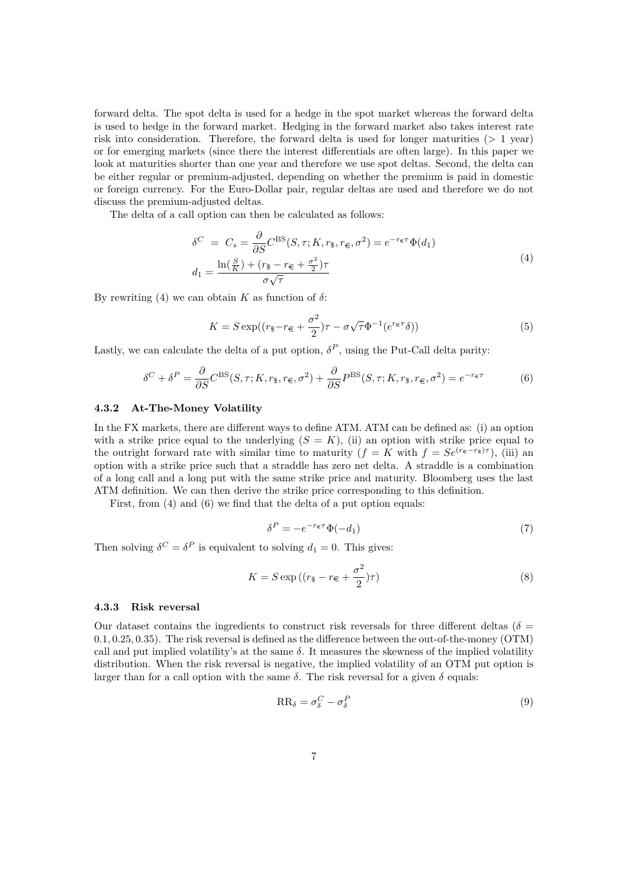forward delta. The spot delta is used for a hedge in the spot market whereas the forward delta is used to hedge in the forward market. Hedging in the forward market also takes interest rate risk into consideration. Therefore, the forward delta is used for longer maturities (*>* 1 year) or for emerging markets (since there the interest differentials are often large). In this paper we look at maturities shorter than one year and therefore we use spot deltas. Second, the delta can be either regular or premium-adjusted, depending on whether the premium is paid in domestic or foreign currency. For the Euro-Dollar pair, regular deltas are used and therefore we do not discuss the premium-adjusted deltas.

The delta of a call option can then be calculated as follows:

$$
\delta^{C} = C_{s} = \frac{\partial}{\partial S} C^{BS}(S, \tau; K, r_{s}, r_{\epsilon}, \sigma^{2}) = e^{-r_{\epsilon}\tau} \Phi(d_{1})
$$
  

$$
d_{1} = \frac{\ln(\frac{S}{K}) + (r_{s} - r_{\epsilon} + \frac{\sigma^{2}}{2})\tau}{\sigma\sqrt{\tau}}
$$
(4)

By rewriting (4) we can obtain *K* as function of  $\delta$ :

$$
K = S \exp((r_{\$} - r_{\epsilon} + \frac{\sigma^2}{2})\tau - \sigma\sqrt{\tau}\Phi^{-1}(e^{r_{\epsilon}\tau}\delta))
$$
\n<sup>(5)</sup>

Lastly, we can calculate the delta of a put option,  $\delta^P$ , using the Put-Call delta parity:

$$
\delta^C + \delta^P = \frac{\partial}{\partial S} C^{\text{BS}}(S, \tau; K, r_{\text{F}}, r_{\text{F}}, \sigma^2) + \frac{\partial}{\partial S} P^{\text{BS}}(S, \tau; K, r_{\text{F}}, r_{\text{F}}, \sigma^2) = e^{-r_{\text{F}}\tau}
$$
(6)

### **4.3.2 At-The-Money Volatility**

In the FX markets, there are different ways to define ATM. ATM can be defined as: (i) an option with a strike price equal to the underlying  $(S = K)$ , (ii) an option with strike price equal to the outright forward rate with similar time to maturity  $(f = K \text{ with } f = Se^{(r\epsilon-r\epsilon)\tau}$ , (iii) and option with a strike price such that a straddle has zero net delta. A straddle is a combination of a long call and a long put with the same strike price and maturity. Bloomberg uses the last ATM definition. We can then derive the strike price corresponding to this definition.

First, from (4) and (6) we find that the delta of a put option equals:

$$
\delta^P = -e^{-r\epsilon\tau}\Phi(-d_1) \tag{7}
$$

Then solving  $\delta^C = \delta^P$  is equivalent to solving  $d_1 = 0$ . This gives:

$$
K = S \exp\left( (r_{\$} - r_{\epsilon} + \frac{\sigma^2}{2})\tau \right) \tag{8}
$$

#### **4.3.3 Risk reversal**

Our dataset contains the ingredients to construct risk reversals for three different deltas ( $\delta$  = 0*.*1*,* 0*.*25*,* 0*.*35). The risk reversal is defined as the difference between the out-of-the-money (OTM) call and put implied volatility's at the same  $\delta$ . It measures the skewness of the implied volatility distribution. When the risk reversal is negative, the implied volatility of an OTM put option is larger than for a call option with the same  $\delta$ . The risk reversal for a given  $\delta$  equals:

$$
RR_{\delta} = \sigma_{\delta}^{C} - \sigma_{\delta}^{P}
$$
\n(9)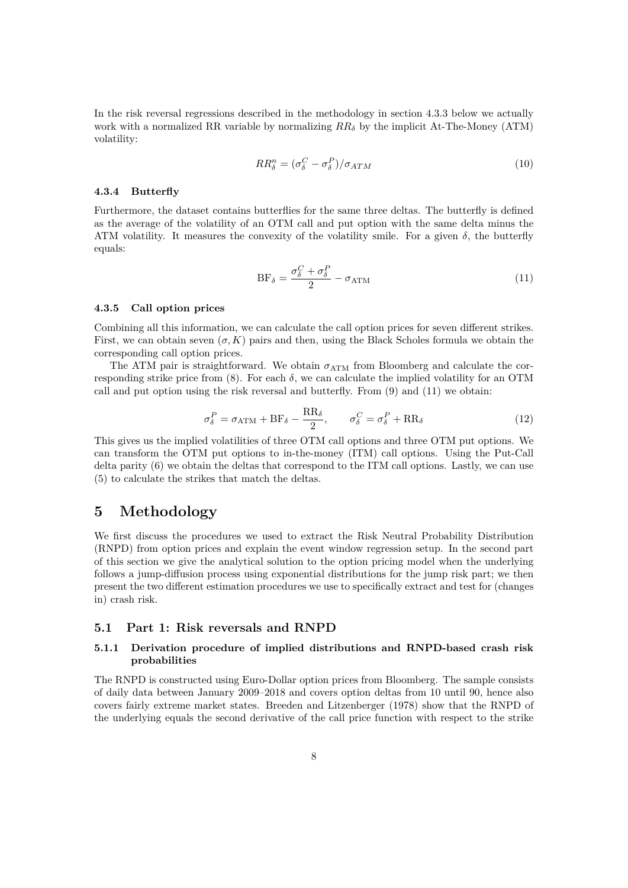In the risk reversal regressions described in the methodology in section 4.3.3 below we actually work with a normalized RR variable by normalizing  $RR_{\delta}$  by the implicit At-The-Money (ATM) volatility:

$$
RR_{\delta}^{n} = (\sigma_{\delta}^{C} - \sigma_{\delta}^{P}) / \sigma_{ATM}
$$
\n(10)

#### **4.3.4 Butterfly**

Furthermore, the dataset contains butterflies for the same three deltas. The butterfly is defined as the average of the volatility of an OTM call and put option with the same delta minus the ATM volatility. It measures the convexity of the volatility smile. For a given  $\delta$ , the butterfly equals:

$$
BF_{\delta} = \frac{\sigma_{\delta}^{C} + \sigma_{\delta}^{P}}{2} - \sigma_{ATM}
$$
\n(11)

#### **4.3.5 Call option prices**

Combining all this information, we can calculate the call option prices for seven different strikes. First, we can obtain seven  $(\sigma, K)$  pairs and then, using the Black Scholes formula we obtain the corresponding call option prices.

The ATM pair is straightforward. We obtain  $\sigma_{ATM}$  from Bloomberg and calculate the corresponding strike price from (8). For each  $\delta$ , we can calculate the implied volatility for an OTM call and put option using the risk reversal and butterfly. From (9) and (11) we obtain:

$$
\sigma_{\delta}^{P} = \sigma_{\text{ATM}} + \text{BF}_{\delta} - \frac{\text{RR}_{\delta}}{2}, \qquad \sigma_{\delta}^{C} = \sigma_{\delta}^{P} + \text{RR}_{\delta}
$$
 (12)

This gives us the implied volatilities of three OTM call options and three OTM put options. We can transform the OTM put options to in-the-money (ITM) call options. Using the Put-Call delta parity (6) we obtain the deltas that correspond to the ITM call options. Lastly, we can use (5) to calculate the strikes that match the deltas.

# **5 Methodology**

We first discuss the procedures we used to extract the Risk Neutral Probability Distribution (RNPD) from option prices and explain the event window regression setup. In the second part of this section we give the analytical solution to the option pricing model when the underlying follows a jump-diffusion process using exponential distributions for the jump risk part; we then present the two different estimation procedures we use to specifically extract and test for (changes in) crash risk.

## **5.1 Part 1: Risk reversals and RNPD**

### **5.1.1 Derivation procedure of implied distributions and RNPD-based crash risk probabilities**

The RNPD is constructed using Euro-Dollar option prices from Bloomberg. The sample consists of daily data between January 2009–2018 and covers option deltas from 10 until 90, hence also covers fairly extreme market states. Breeden and Litzenberger (1978) show that the RNPD of the underlying equals the second derivative of the call price function with respect to the strike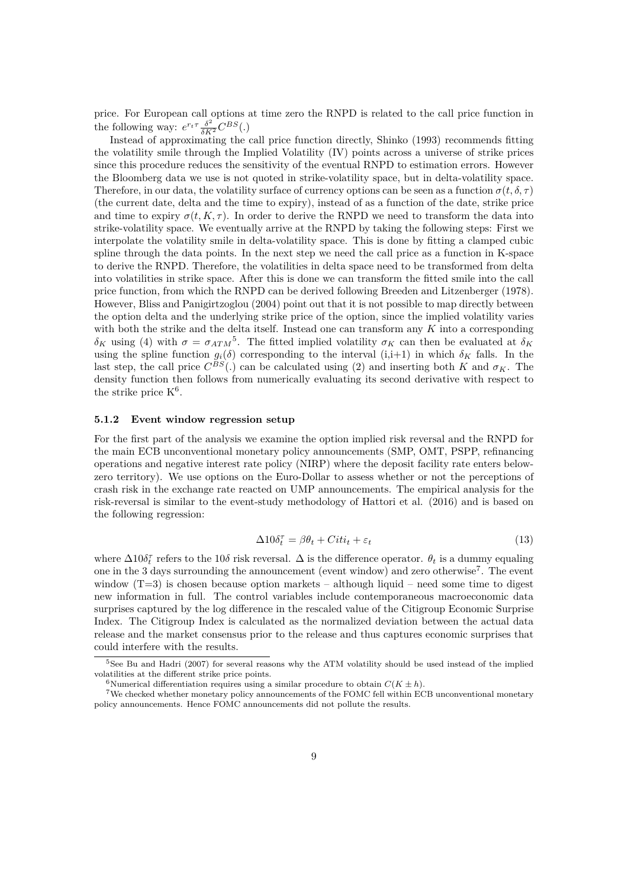price. For European call options at time zero the RNPD is related to the call price function in the following way:  $e^{r_t \tau} \frac{\delta^2}{\delta K^2} C^{BS}(.)$ 

Instead of approximating the call price function directly, Shinko (1993) recommends fitting the volatility smile through the Implied Volatility (IV) points across a universe of strike prices since this procedure reduces the sensitivity of the eventual RNPD to estimation errors. However the Bloomberg data we use is not quoted in strike-volatility space, but in delta-volatility space. Therefore, in our data, the volatility surface of currency options can be seen as a function  $\sigma(t, \delta, \tau)$ (the current date, delta and the time to expiry), instead of as a function of the date, strike price and time to expiry  $\sigma(t, K, \tau)$ . In order to derive the RNPD we need to transform the data into strike-volatility space. We eventually arrive at the RNPD by taking the following steps: First we interpolate the volatility smile in delta-volatility space. This is done by fitting a clamped cubic spline through the data points. In the next step we need the call price as a function in K-space to derive the RNPD. Therefore, the volatilities in delta space need to be transformed from delta into volatilities in strike space. After this is done we can transform the fitted smile into the call price function, from which the RNPD can be derived following Breeden and Litzenberger (1978). However, Bliss and Panigirtzoglou (2004) point out that it is not possible to map directly between the option delta and the underlying strike price of the option, since the implied volatility varies with both the strike and the delta itself. Instead one can transform any *K* into a corresponding *δ<sup>K</sup>* using (4) with *σ* = *σATM* 5 . The fitted implied volatility *σ<sup>K</sup>* can then be evaluated at *δ<sup>K</sup>* using the spline function  $g_i(\delta)$  corresponding to the interval (i,i+1) in which  $\delta_K$  falls. In the last step, the call price  $C^{BS}(.)$  can be calculated using (2) and inserting both *K* and  $\sigma_K$ . The density function then follows from numerically evaluating its second derivative with respect to the strike price  $K^6$ .

#### **5.1.2 Event window regression setup**

For the first part of the analysis we examine the option implied risk reversal and the RNPD for the main ECB unconventional monetary policy announcements (SMP, OMT, PSPP, refinancing operations and negative interest rate policy (NIRP) where the deposit facility rate enters belowzero territory). We use options on the Euro-Dollar to assess whether or not the perceptions of crash risk in the exchange rate reacted on UMP announcements. The empirical analysis for the risk-reversal is similar to the event-study methodology of Hattori et al. (2016) and is based on the following regression:

$$
\Delta 10 \delta_t^{\tau} = \beta \theta_t + C i t i_t + \varepsilon_t \tag{13}
$$

where  $\Delta 10 \delta_t^{\tau}$  refers to the 10*δ* risk reversal.  $\Delta$  is the difference operator.  $\theta_t$  is a dummy equaling one in the 3 days surrounding the announcement (event window) and zero otherwise<sup>7</sup>. The event window  $(T=3)$  is chosen because option markets – although liquid – need some time to digest new information in full. The control variables include contemporaneous macroeconomic data surprises captured by the log difference in the rescaled value of the Citigroup Economic Surprise Index. The Citigroup Index is calculated as the normalized deviation between the actual data release and the market consensus prior to the release and thus captures economic surprises that could interfere with the results.

<sup>5</sup>See Bu and Hadri (2007) for several reasons why the ATM volatility should be used instead of the implied volatilities at the different strike price points.

<sup>&</sup>lt;sup>6</sup>Numerical differentiation requires using a similar procedure to obtain  $C(K \pm h)$ .

<sup>7</sup>We checked whether monetary policy announcements of the FOMC fell within ECB unconventional monetary policy announcements. Hence FOMC announcements did not pollute the results.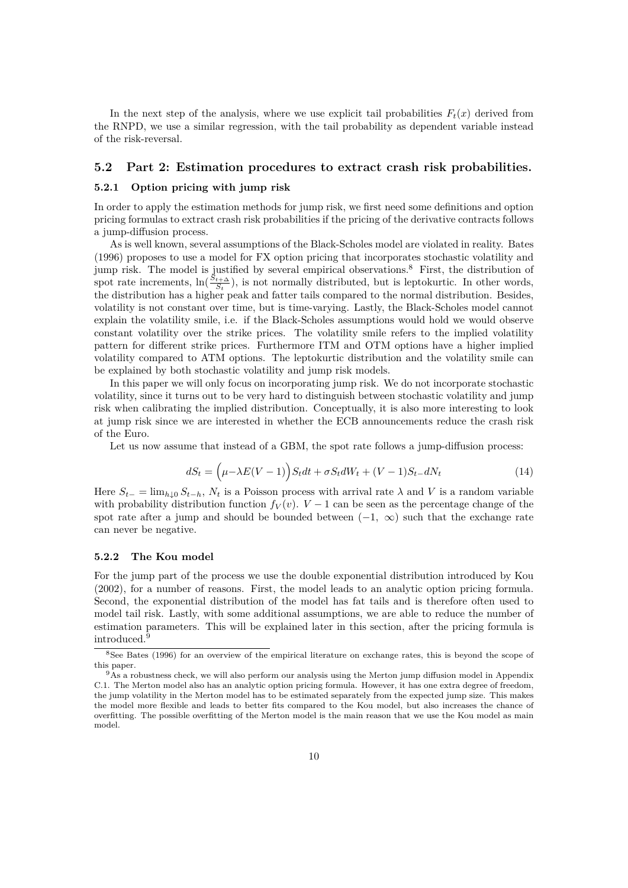In the next step of the analysis, where we use explicit tail probabilities  $F_t(x)$  derived from the RNPD, we use a similar regression, with the tail probability as dependent variable instead of the risk-reversal.

### **5.2 Part 2: Estimation procedures to extract crash risk probabilities.**

### **5.2.1 Option pricing with jump risk**

In order to apply the estimation methods for jump risk, we first need some definitions and option pricing formulas to extract crash risk probabilities if the pricing of the derivative contracts follows a jump-diffusion process.

As is well known, several assumptions of the Black-Scholes model are violated in reality. Bates (1996) proposes to use a model for FX option pricing that incorporates stochastic volatility and jump risk. The model is justified by several empirical observations.<sup>8</sup> First, the distribution of spot rate increments,  $\ln(\frac{S_{t+\Delta}}{S_t})$ , is not normally distributed, but is leptokurtic. In other words, the distribution has a higher peak and fatter tails compared to the normal distribution. Besides, volatility is not constant over time, but is time-varying. Lastly, the Black-Scholes model cannot explain the volatility smile, i.e. if the Black-Scholes assumptions would hold we would observe constant volatility over the strike prices. The volatility smile refers to the implied volatility pattern for different strike prices. Furthermore ITM and OTM options have a higher implied volatility compared to ATM options. The leptokurtic distribution and the volatility smile can be explained by both stochastic volatility and jump risk models.

In this paper we will only focus on incorporating jump risk. We do not incorporate stochastic volatility, since it turns out to be very hard to distinguish between stochastic volatility and jump risk when calibrating the implied distribution. Conceptually, it is also more interesting to look at jump risk since we are interested in whether the ECB announcements reduce the crash risk of the Euro.

Let us now assume that instead of a GBM, the spot rate follows a jump-diffusion process:

$$
dS_t = \left(\mu - \lambda E(V-1)\right) S_t dt + \sigma S_t dW_t + (V-1) S_t dN_t \tag{14}
$$

Here  $S_{t-} = \lim_{h \downarrow 0} S_{t-h}$ ,  $N_t$  is a Poisson process with arrival rate  $\lambda$  and V is a random variable with probability distribution function  $f_V(v)$ .  $V-1$  can be seen as the percentage change of the spot rate after a jump and should be bounded between (−1*,* ∞) such that the exchange rate can never be negative.

#### **5.2.2 The Kou model**

For the jump part of the process we use the double exponential distribution introduced by Kou (2002), for a number of reasons. First, the model leads to an analytic option pricing formula. Second, the exponential distribution of the model has fat tails and is therefore often used to model tail risk. Lastly, with some additional assumptions, we are able to reduce the number of estimation parameters. This will be explained later in this section, after the pricing formula is introduced.<sup>9</sup>

<sup>8</sup>See Bates (1996) for an overview of the empirical literature on exchange rates, this is beyond the scope of this paper.

<sup>9</sup>As a robustness check, we will also perform our analysis using the Merton jump diffusion model in Appendix C.1. The Merton model also has an analytic option pricing formula. However, it has one extra degree of freedom, the jump volatility in the Merton model has to be estimated separately from the expected jump size. This makes the model more flexible and leads to better fits compared to the Kou model, but also increases the chance of overfitting. The possible overfitting of the Merton model is the main reason that we use the Kou model as main model.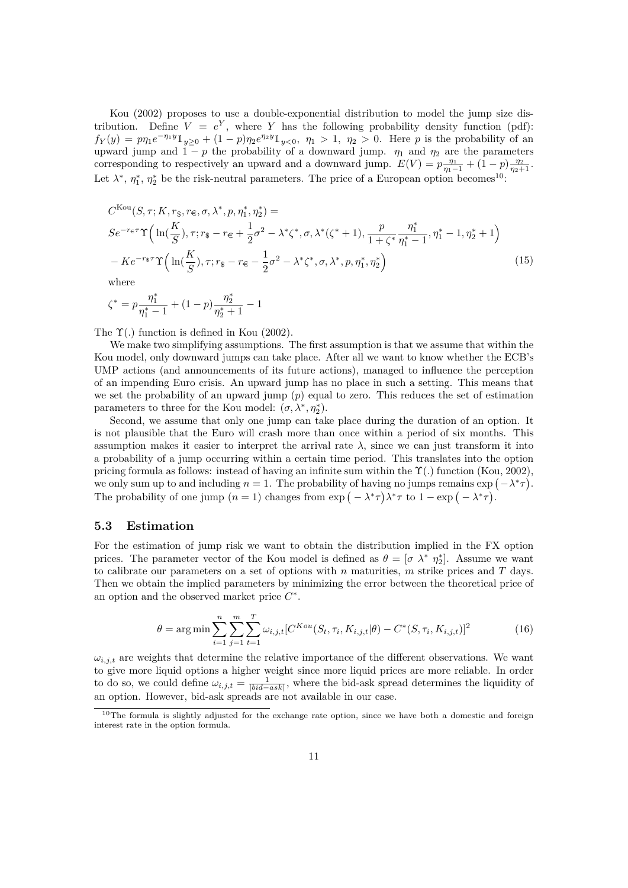Kou (2002) proposes to use a double-exponential distribution to model the jump size distribution. Define  $V = e^Y$ , where Y has the following probability density function (pdf):  $f_Y(y) = p\eta_1 e^{-\eta_1 y} 1_{y \geq 0} + (1 - p)\eta_2 e^{\eta_2 y} 1_{y < 0}, \eta_1 > 1, \eta_2 > 0.$  Here p is the probability of an upward jump and  $1 - p$  the probability of a downward jump.  $\eta_1$  and  $\eta_2$  are the parameters corresponding to respectively an upward and a downward jump.  $E(V) = p \frac{\eta_1}{\eta_1 - 1} + (1 - p) \frac{\eta_2}{\eta_2 + 1}$ . Let  $\lambda^*, \eta_1^*, \eta_2^*$  be the risk-neutral parameters. The price of a European option becomes<sup>10</sup>:

$$
C^{Kou}(S, \tau; K, r_{\$}, r_{\mathfrak{S}}, \sigma, \lambda^*, p, \eta_1^*, \eta_2^*) =
$$
  
\n
$$
S e^{-r\epsilon\tau} \Upsilon \Big( \ln(\frac{K}{S}), \tau; r_{\$} - r_{\mathfrak{S}} + \frac{1}{2}\sigma^2 - \lambda^* \zeta^*, \sigma, \lambda^* (\zeta^* + 1), \frac{p}{1 + \zeta^*} \frac{\eta_1^*}{\eta_1^* - 1}, \eta_1^* - 1, \eta_2^* + 1 \Big)
$$
  
\n
$$
- K e^{-r_{\$}\tau} \Upsilon \Big( \ln(\frac{K}{S}), \tau; r_{\$} - r_{\mathfrak{S}} - \frac{1}{2}\sigma^2 - \lambda^* \zeta^*, \sigma, \lambda^*, p, \eta_1^*, \eta_2^* \Big)
$$
  
\nwhere (15)

where

$$
\zeta^* = p \frac{\eta_1^*}{\eta_1^*-1} + (1-p) \frac{\eta_2^*}{\eta_2^*+1} - 1
$$

The Υ(*.*) function is defined in Kou (2002).

We make two simplifying assumptions. The first assumption is that we assume that within the Kou model, only downward jumps can take place. After all we want to know whether the ECB's UMP actions (and announcements of its future actions), managed to influence the perception of an impending Euro crisis. An upward jump has no place in such a setting. This means that we set the probability of an upward jump (*p*) equal to zero. This reduces the set of estimation parameters to three for the Kou model:  $(\sigma, \lambda^*, \eta_2^*)$ .

Second, we assume that only one jump can take place during the duration of an option. It is not plausible that the Euro will crash more than once within a period of six months. This assumption makes it easier to interpret the arrival rate  $\lambda$ , since we can just transform it into a probability of a jump occurring within a certain time period. This translates into the option pricing formula as follows: instead of having an infinite sum within the Υ(*.*) function (Kou, 2002), we only sum up to and including  $n = 1$ . The probability of having no jumps remains  $\exp(-\lambda^*\tau)$ . The probability of one jump  $(n = 1)$  changes from  $\exp(-\lambda^*\tau)\lambda^*\tau$  to  $1 - \exp(-\lambda^*\tau)$ .

### **5.3 Estimation**

For the estimation of jump risk we want to obtain the distribution implied in the FX option prices. The parameter vector of the Kou model is defined as  $\theta = [\sigma \lambda^* \eta_2^*]$ . Assume we want to calibrate our parameters on a set of options with *n* maturities, *m* strike prices and *T* days. Then we obtain the implied parameters by minimizing the error between the theoretical price of an option and the observed market price *C* ∗ .

$$
\theta = \arg \min \sum_{i=1}^{n} \sum_{j=1}^{m} \sum_{t=1}^{T} \omega_{i,j,t} [C^{Kou}(S_t, \tau_i, K_{i,j,t} | \theta) - C^*(S, \tau_i, K_{i,j,t})]^2
$$
(16)

 $\omega_{i,j,t}$  are weights that determine the relative importance of the different observations. We want to give more liquid options a higher weight since more liquid prices are more reliable. In order to do so, we could define  $\omega_{i,j,t} = \frac{1}{|bid - ask|}$ , where the bid-ask spread determines the liquidity of an option. However, bid-ask spreads are not available in our case.

<sup>&</sup>lt;sup>10</sup>The formula is slightly adjusted for the exchange rate option, since we have both a domestic and foreign interest rate in the option formula.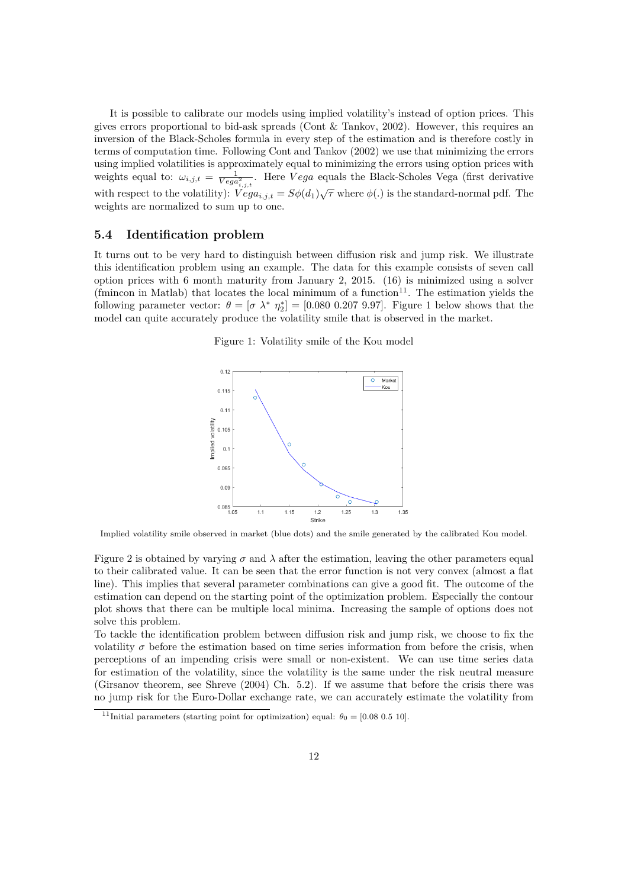It is possible to calibrate our models using implied volatility's instead of option prices. This gives errors proportional to bid-ask spreads (Cont & Tankov, 2002). However, this requires an inversion of the Black-Scholes formula in every step of the estimation and is therefore costly in terms of computation time. Following Cont and Tankov (2002) we use that minimizing the errors using implied volatilities is approximately equal to minimizing the errors using option prices with weights equal to:  $\omega_{i,j,t} = \frac{1}{V e g a_{i,j,t}^2}$ . Here *Vega* equals the Black-Scholes Vega (first derivative with respect to the volatility):  $Vega_{i,j,t} = S\phi(d_1)\sqrt{\tau}$  where  $\phi(.)$  is the standard-normal pdf. The √ weights are normalized to sum up to one.

### **5.4 Identification problem**

It turns out to be very hard to distinguish between diffusion risk and jump risk. We illustrate this identification problem using an example. The data for this example consists of seven call option prices with 6 month maturity from January 2, 2015. (16) is minimized using a solver (fmincon in Matlab) that locates the local minimum of a function<sup>11</sup>. The estimation yields the following parameter vector:  $\theta = [\sigma \lambda^* \eta_2^*] = [0.080 \ 0.207 \ 9.97]$ . Figure 1 below shows that the model can quite accurately produce the volatility smile that is observed in the market.

Figure 1: Volatility smile of the Kou model



Implied volatility smile observed in market (blue dots) and the smile generated by the calibrated Kou model.

Figure 2 is obtained by varying  $\sigma$  and  $\lambda$  after the estimation, leaving the other parameters equal to their calibrated value. It can be seen that the error function is not very convex (almost a flat line). This implies that several parameter combinations can give a good fit. The outcome of the estimation can depend on the starting point of the optimization problem. Especially the contour plot shows that there can be multiple local minima. Increasing the sample of options does not solve this problem.

To tackle the identification problem between diffusion risk and jump risk, we choose to fix the volatility  $\sigma$  before the estimation based on time series information from before the crisis, when perceptions of an impending crisis were small or non-existent. We can use time series data for estimation of the volatility, since the volatility is the same under the risk neutral measure (Girsanov theorem, see Shreve (2004) Ch. 5.2). If we assume that before the crisis there was no jump risk for the Euro-Dollar exchange rate, we can accurately estimate the volatility from

<sup>&</sup>lt;sup>11</sup>Initial parameters (starting point for optimization) equal:  $\theta_0 = [0.08 \ 0.5 \ 10]$ .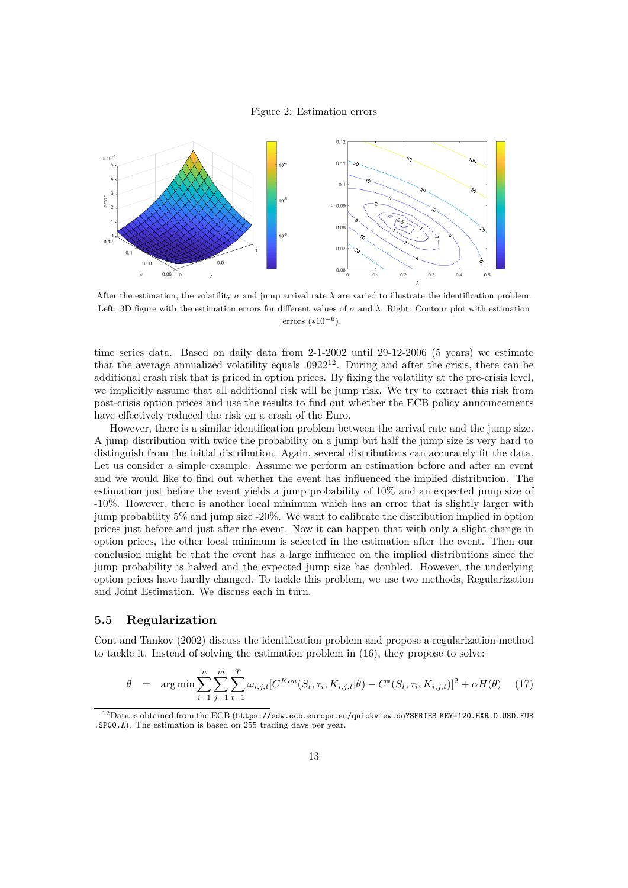#### Figure 2: Estimation errors



After the estimation, the volatility  $\sigma$  and jump arrival rate  $\lambda$  are varied to illustrate the identification problem. Left: 3D figure with the estimation errors for different values of  $\sigma$  and  $\lambda$ . Right: Contour plot with estimation errors  $(*10^{-6})$ .

time series data. Based on daily data from 2-1-2002 until 29-12-2006 (5 years) we estimate that the average annualized volatility equals  $.0922^{12}$ . During and after the crisis, there can be additional crash risk that is priced in option prices. By fixing the volatility at the pre-crisis level, we implicitly assume that all additional risk will be jump risk. We try to extract this risk from post-crisis option prices and use the results to find out whether the ECB policy announcements have effectively reduced the risk on a crash of the Euro.

However, there is a similar identification problem between the arrival rate and the jump size. A jump distribution with twice the probability on a jump but half the jump size is very hard to distinguish from the initial distribution. Again, several distributions can accurately fit the data. Let us consider a simple example. Assume we perform an estimation before and after an event and we would like to find out whether the event has influenced the implied distribution. The estimation just before the event yields a jump probability of 10% and an expected jump size of -10%. However, there is another local minimum which has an error that is slightly larger with jump probability 5% and jump size -20%. We want to calibrate the distribution implied in option prices just before and just after the event. Now it can happen that with only a slight change in option prices, the other local minimum is selected in the estimation after the event. Then our conclusion might be that the event has a large influence on the implied distributions since the jump probability is halved and the expected jump size has doubled. However, the underlying option prices have hardly changed. To tackle this problem, we use two methods, Regularization and Joint Estimation. We discuss each in turn.

### **5.5 Regularization**

Cont and Tankov (2002) discuss the identification problem and propose a regularization method to tackle it. Instead of solving the estimation problem in (16), they propose to solve:

$$
\theta = \arg\min \sum_{i=1}^{n} \sum_{j=1}^{m} \sum_{t=1}^{T} \omega_{i,j,t} [C^{Kou}(S_t, \tau_i, K_{i,j,t}|\theta) - C^*(S_t, \tau_i, K_{i,j,t})]^2 + \alpha H(\theta)
$$
 (17)

<sup>&</sup>lt;sup>12</sup>Data is obtained from the ECB (https://sdw.ecb.europa.eu/quickview.do?SERIES\_KEY=120.EXR.D.USD.EUR .SP00.A). The estimation is based on 255 trading days per year.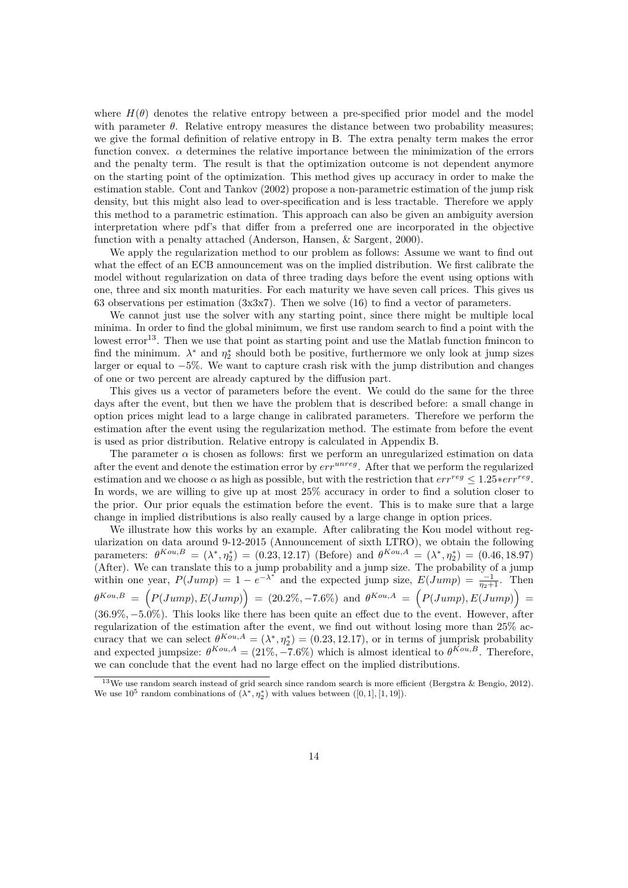where  $H(\theta)$  denotes the relative entropy between a pre-specified prior model and the model with parameter  $\theta$ . Relative entropy measures the distance between two probability measures; we give the formal definition of relative entropy in B. The extra penalty term makes the error function convex. *α* determines the relative importance between the minimization of the errors and the penalty term. The result is that the optimization outcome is not dependent anymore on the starting point of the optimization. This method gives up accuracy in order to make the estimation stable. Cont and Tankov (2002) propose a non-parametric estimation of the jump risk density, but this might also lead to over-specification and is less tractable. Therefore we apply this method to a parametric estimation. This approach can also be given an ambiguity aversion interpretation where pdf's that differ from a preferred one are incorporated in the objective function with a penalty attached (Anderson, Hansen, & Sargent, 2000).

We apply the regularization method to our problem as follows: Assume we want to find out what the effect of an ECB announcement was on the implied distribution. We first calibrate the model without regularization on data of three trading days before the event using options with one, three and six month maturities. For each maturity we have seven call prices. This gives us 63 observations per estimation (3x3x7). Then we solve (16) to find a vector of parameters.

We cannot just use the solver with any starting point, since there might be multiple local minima. In order to find the global minimum, we first use random search to find a point with the lowest error<sup>13</sup>. Then we use that point as starting point and use the Matlab function fmincon to find the minimum.  $\lambda^*$  and  $\eta_2^*$  should both be positive, furthermore we only look at jump sizes larger or equal to −5%. We want to capture crash risk with the jump distribution and changes of one or two percent are already captured by the diffusion part.

This gives us a vector of parameters before the event. We could do the same for the three days after the event, but then we have the problem that is described before: a small change in option prices might lead to a large change in calibrated parameters. Therefore we perform the estimation after the event using the regularization method. The estimate from before the event is used as prior distribution. Relative entropy is calculated in Appendix B.

The parameter  $\alpha$  is chosen as follows: first we perform an unregularized estimation on data after the event and denote the estimation error by *errunreg*. After that we perform the regularized estimation and we choose  $\alpha$  as high as possible, but with the restriction that  $err^{reg} \leq 1.25*err^{reg}$ . In words, we are willing to give up at most 25% accuracy in order to find a solution closer to the prior. Our prior equals the estimation before the event. This is to make sure that a large change in implied distributions is also really caused by a large change in option prices.

We illustrate how this works by an example. After calibrating the Kou model without regularization on data around 9-12-2015 (Announcement of sixth LTRO), we obtain the following parameters:  $\theta^{Kou,B} = (\lambda^*, \eta_2^*) = (0.23, 12.17)$  (Before) and  $\theta^{Kou,A} = (\lambda^*, \eta_2^*) = (0.46, 18.97)$ parameters.  $\sigma = (\lambda, \eta_2) = (0.23, 12.11)$  (before) and  $\sigma = (\lambda, \eta_2) = (0.40, 18.91)$ <br>(After). We can translate this to a jump probability and a jump size. The probability of a jump within one year,  $P(Jump) = 1 - e^{-\lambda^*}$  and the expected jump size,  $E(Jump) = \frac{-1}{\eta_2+1}$ . Then  $\theta^{Kou, B} = (P(Jump), E(Jump)) = (20.2\%, -7.6\%)$  and  $\theta^{Kou, A} = (P(Jump), E(Jump)) = (20.2\%, -7.6\%)$ (36*.*9%*,* −5*.*0%). This looks like there has been quite an effect due to the event. However, after regularization of the estimation after the event, we find out without losing more than 25% accuracy that we can select  $\theta^{Kou, A} = (\lambda^*, \eta_2^*) = (0.23, 12.17)$ , or in terms of jumprisk probability and expected jumpsize:  $\theta^{Kou,A} = (21\%, -7.6\%)$  which is almost identical to  $\theta^{Kou,B}$ . Therefore, we can conclude that the event had no large effect on the implied distributions.

<sup>&</sup>lt;sup>13</sup>We use random search instead of grid search since random search is more efficient (Bergstra & Bengio, 2012). We use  $10^5$  random combinations of  $(\lambda^*, \eta_2^*)$  with values between  $([0, 1], [1, 19])$ .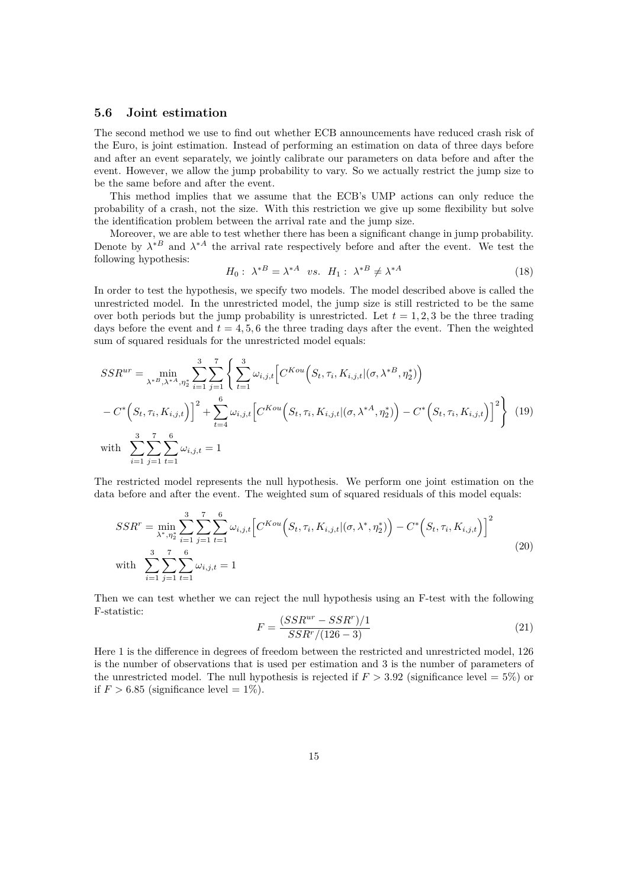### **5.6 Joint estimation**

The second method we use to find out whether ECB announcements have reduced crash risk of the Euro, is joint estimation. Instead of performing an estimation on data of three days before and after an event separately, we jointly calibrate our parameters on data before and after the event. However, we allow the jump probability to vary. So we actually restrict the jump size to be the same before and after the event.

This method implies that we assume that the ECB's UMP actions can only reduce the probability of a crash, not the size. With this restriction we give up some flexibility but solve the identification problem between the arrival rate and the jump size.

Moreover, we are able to test whether there has been a significant change in jump probability. Denote by  $\lambda^*{}^B$  and  $\lambda^*{}^A$  the arrival rate respectively before and after the event. We test the following hypothesis:

$$
H_0: \ \lambda^{*B} = \lambda^{*A} \quad vs. \ \ H_1: \ \lambda^{*B} \neq \lambda^{*A} \tag{18}
$$

In order to test the hypothesis, we specify two models. The model described above is called the unrestricted model. In the unrestricted model, the jump size is still restricted to be the same over both periods but the jump probability is unrestricted. Let  $t = 1, 2, 3$  be the three trading days before the event and  $t = 4, 5, 6$  the three trading days after the event. Then the weighted sum of squared residuals for the unrestricted model equals:

$$
SSR^{ur} = \min_{\lambda^{*B}, \lambda^{*A}, \eta_2^*} \sum_{i=1}^3 \sum_{j=1}^7 \left\{ \sum_{t=1}^3 \omega_{i,j,t} \left[ C^{Kou} \left( S_t, \tau_i, K_{i,j,t} | (\sigma, \lambda^{*B}, \eta_2^*) \right) \right. \right.\left. - C^* \left( S_t, \tau_i, K_{i,j,t} \right) \right]^2 + \sum_{t=4}^6 \omega_{i,j,t} \left[ C^{Kou} \left( S_t, \tau_i, K_{i,j,t} | (\sigma, \lambda^{*A}, \eta_2^*) \right) - C^* \left( S_t, \tau_i, K_{i,j,t} \right) \right]^2 \right\} (19)\nwith  $\sum_{i=1}^3 \sum_{j=1}^7 \sum_{t=1}^6 \omega_{i,j,t} = 1$
$$

The restricted model represents the null hypothesis. We perform one joint estimation on the data before and after the event. The weighted sum of squared residuals of this model equals:

$$
SSR^{r} = \min_{\lambda^{*}, \eta_{2}^{*}} \sum_{i=1}^{3} \sum_{j=1}^{7} \sum_{t=1}^{6} \omega_{i,j,t} \left[ C^{Kou}\left(S_{t}, \tau_{i}, K_{i,j,t} | (\sigma, \lambda^{*}, \eta_{2}^{*})\right) - C^{*}\left(S_{t}, \tau_{i}, K_{i,j,t}\right) \right]^{2}
$$
  
with 
$$
\sum_{i=1}^{3} \sum_{j=1}^{7} \sum_{t=1}^{6} \omega_{i,j,t} = 1
$$
 (20)

Then we can test whether we can reject the null hypothesis using an F-test with the following F-statistic:

$$
F = \frac{(SSR^{ur} - SSR^r)/1}{SSR^r/(126-3)}
$$
\n(21)

Here 1 is the difference in degrees of freedom between the restricted and unrestricted model, 126 is the number of observations that is used per estimation and 3 is the number of parameters of the unrestricted model. The null hypothesis is rejected if  $F > 3.92$  (significance level = 5%) or if  $F > 6.85$  (significance level = 1%).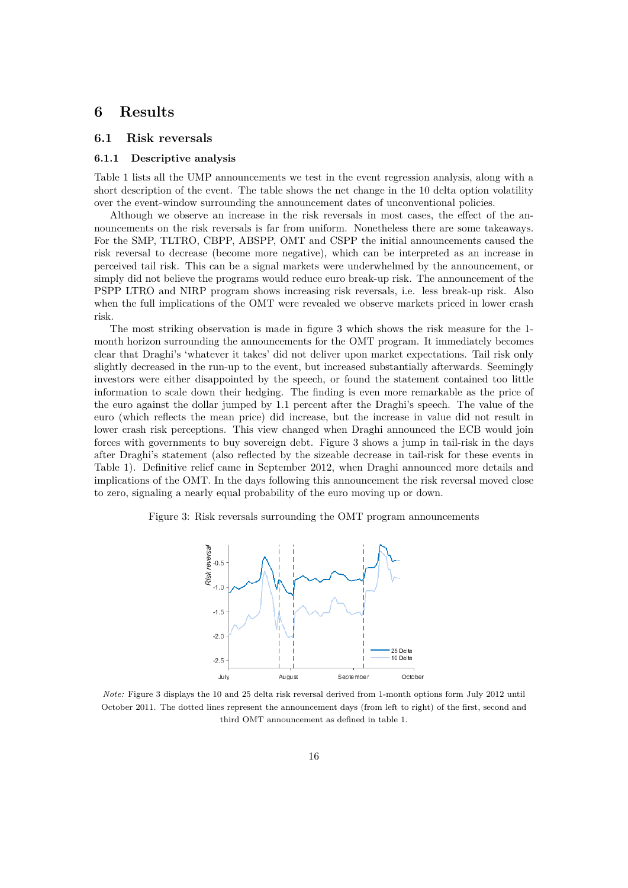# **6 Results**

#### **6.1 Risk reversals**

#### **6.1.1 Descriptive analysis**

Table 1 lists all the UMP announcements we test in the event regression analysis, along with a short description of the event. The table shows the net change in the 10 delta option volatility over the event-window surrounding the announcement dates of unconventional policies.

Although we observe an increase in the risk reversals in most cases, the effect of the announcements on the risk reversals is far from uniform. Nonetheless there are some takeaways. For the SMP, TLTRO, CBPP, ABSPP, OMT and CSPP the initial announcements caused the risk reversal to decrease (become more negative), which can be interpreted as an increase in perceived tail risk. This can be a signal markets were underwhelmed by the announcement, or simply did not believe the programs would reduce euro break-up risk. The announcement of the PSPP LTRO and NIRP program shows increasing risk reversals, i.e. less break-up risk. Also when the full implications of the OMT were revealed we observe markets priced in lower crash risk.

The most striking observation is made in figure 3 which shows the risk measure for the 1 month horizon surrounding the announcements for the OMT program. It immediately becomes clear that Draghi's 'whatever it takes' did not deliver upon market expectations. Tail risk only slightly decreased in the run-up to the event, but increased substantially afterwards. Seemingly investors were either disappointed by the speech, or found the statement contained too little information to scale down their hedging. The finding is even more remarkable as the price of the euro against the dollar jumped by 1.1 percent after the Draghi's speech. The value of the euro (which reflects the mean price) did increase, but the increase in value did not result in lower crash risk perceptions. This view changed when Draghi announced the ECB would join forces with governments to buy sovereign debt. Figure 3 shows a jump in tail-risk in the days after Draghi's statement (also reflected by the sizeable decrease in tail-risk for these events in Table 1). Definitive relief came in September 2012, when Draghi announced more details and implications of the OMT. In the days following this announcement the risk reversal moved close to zero, signaling a nearly equal probability of the euro moving up or down.

Figure 3: Risk reversals surrounding the OMT program announcements



*Note:* Figure 3 displays the 10 and 25 delta risk reversal derived from 1-month options form July 2012 until October 2011. The dotted lines represent the announcement days (from left to right) of the first, second and third OMT announcement as defined in table 1.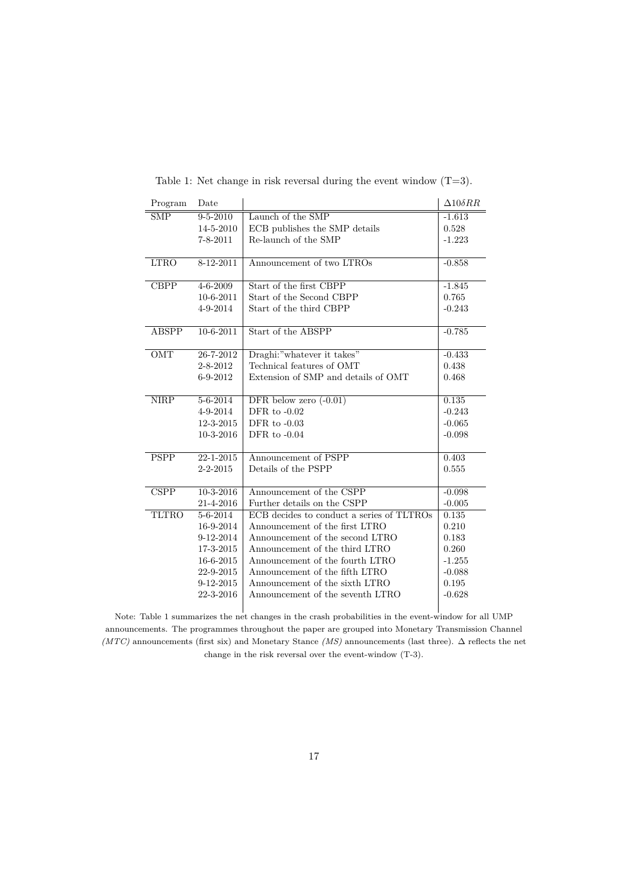| Program                 | Date                      |                                           | $\Delta 10 \delta RR$ |
|-------------------------|---------------------------|-------------------------------------------|-----------------------|
| $\overline{\text{SMP}}$ | $\overline{9 - 5 - 2010}$ | Launch of the SMP                         | $-1.613$              |
|                         | 14-5-2010                 | ECB publishes the SMP details             | 0.528                 |
|                         | $7 - 8 - 2011$            | Re-launch of the SMP                      | $-1.223$              |
|                         |                           |                                           |                       |
| <b>LTRO</b>             | 8-12-2011                 | Announcement of two LTROs                 | $-0.858$              |
|                         |                           |                                           |                       |
| <b>CBPP</b>             | $4 - 6 - 2009$            | Start of the first CBPP                   | $-1.845$              |
|                         | $10-6-2011$               | Start of the Second CBPP                  | 0.765                 |
|                         | 4-9-2014                  | Start of the third CBPP                   | $-0.243$              |
|                         |                           |                                           |                       |
| <b>ABSPP</b>            | $10-6-2011$               | Start of the ABSPP                        | $-0.785$              |
|                         |                           |                                           |                       |
| $\overline{\text{OMT}}$ | 26-7-2012                 | Draghi:"whatever it takes"                | $-0.433$              |
|                         | $2 - 8 - 2012$            | Technical features of OMT                 | 0.438                 |
|                         | $6 - 9 - 2012$            | Extension of SMP and details of OMT       | 0.468                 |
|                         |                           |                                           |                       |
| <b>NIRP</b>             | 5-6-2014                  | DFR below zero $(-0.01)$                  | 0.135                 |
|                         | 4-9-2014                  | DFR to $-0.02$                            | $-0.243$              |
|                         | 12-3-2015                 | DFR to $-0.03$                            | $-0.065$              |
|                         | $10-3-2016$               | DFR to $-0.04$                            | $-0.098$              |
|                         |                           |                                           |                       |
| <b>PSPP</b>             | $22 - 1 - 2015$           | Announcement of PSPP                      | 0.403                 |
|                         | $2 - 2 - 2015$            | Details of the PSPP                       | 0.555                 |
|                         |                           |                                           |                       |
| CSPP                    | $10-3-2016$               | Announcement of the CSPP                  | $-0.098$              |
|                         | 21-4-2016                 | Further details on the CSPP               | $-0.005$              |
| <b>TLTRO</b>            | 5-6-2014                  | ECB decides to conduct a series of TLTROs | 0.135                 |
|                         | 16-9-2014                 | Announcement of the first LTRO            | 0.210                 |
|                         | 9-12-2014                 | Announcement of the second LTRO           | 0.183                 |
|                         | 17-3-2015                 | Announcement of the third LTRO            | 0.260                 |
|                         | 16-6-2015                 | Announcement of the fourth LTRO           | $-1.255$              |
|                         | 22-9-2015                 | Announcement of the fifth LTRO            | $-0.088$              |
|                         | $9 - 12 - 2015$           | Announcement of the sixth LTRO            | 0.195                 |
|                         | 22-3-2016                 | Announcement of the seventh LTRO          | $-0.628$              |
|                         |                           |                                           |                       |

Table 1: Net change in risk reversal during the event window (T=3).

Note: Table 1 summarizes the net changes in the crash probabilities in the event-window for all UMP announcements. The programmes throughout the paper are grouped into Monetary Transmission Channel *(MTC)* announcements (first six) and Monetary Stance *(MS)* announcements (last three). ∆ reflects the net change in the risk reversal over the event-window (T-3).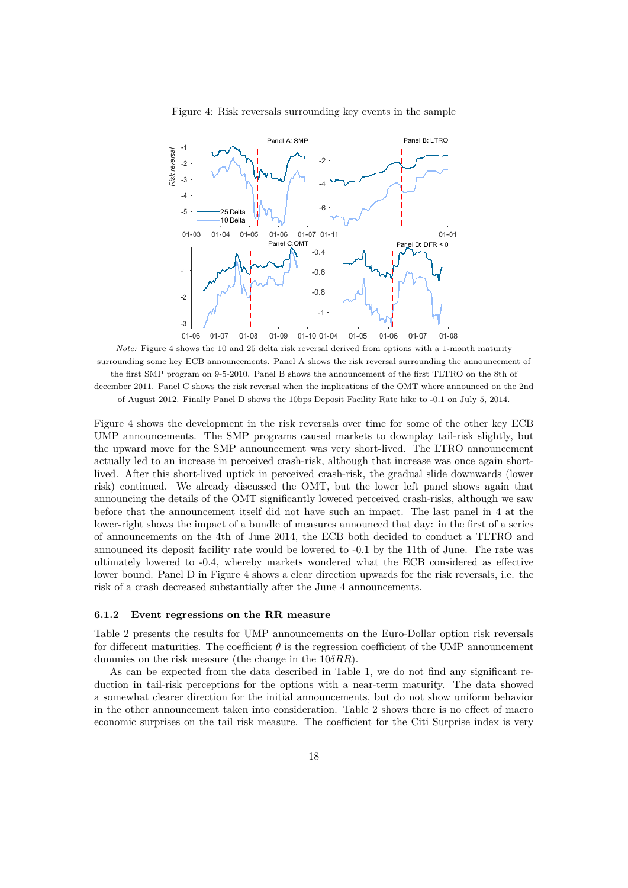

Figure 4: Risk reversals surrounding key events in the sample

*Note:* Figure 4 shows the 10 and 25 delta risk reversal derived from options with a 1-month maturity surrounding some key ECB announcements. Panel A shows the risk reversal surrounding the announcement of the first SMP program on 9-5-2010. Panel B shows the announcement of the first TLTRO on the 8th of december 2011. Panel C shows the risk reversal when the implications of the OMT where announced on the 2nd of August 2012. Finally Panel D shows the 10bps Deposit Facility Rate hike to -0.1 on July 5, 2014.

Figure 4 shows the development in the risk reversals over time for some of the other key ECB UMP announcements. The SMP programs caused markets to downplay tail-risk slightly, but the upward move for the SMP announcement was very short-lived. The LTRO announcement actually led to an increase in perceived crash-risk, although that increase was once again shortlived. After this short-lived uptick in perceived crash-risk, the gradual slide downwards (lower risk) continued. We already discussed the OMT, but the lower left panel shows again that announcing the details of the OMT significantly lowered perceived crash-risks, although we saw before that the announcement itself did not have such an impact. The last panel in 4 at the lower-right shows the impact of a bundle of measures announced that day: in the first of a series of announcements on the 4th of June 2014, the ECB both decided to conduct a TLTRO and announced its deposit facility rate would be lowered to -0.1 by the 11th of June. The rate was ultimately lowered to -0.4, whereby markets wondered what the ECB considered as effective lower bound. Panel D in Figure 4 shows a clear direction upwards for the risk reversals, i.e. the risk of a crash decreased substantially after the June 4 announcements.

#### **6.1.2 Event regressions on the RR measure**

Table 2 presents the results for UMP announcements on the Euro-Dollar option risk reversals for different maturities. The coefficient  $\theta$  is the regression coefficient of the UMP announcement dummies on the risk measure (the change in the 10*δRR*).

As can be expected from the data described in Table 1, we do not find any significant reduction in tail-risk perceptions for the options with a near-term maturity. The data showed a somewhat clearer direction for the initial announcements, but do not show uniform behavior in the other announcement taken into consideration. Table 2 shows there is no effect of macro economic surprises on the tail risk measure. The coefficient for the Citi Surprise index is very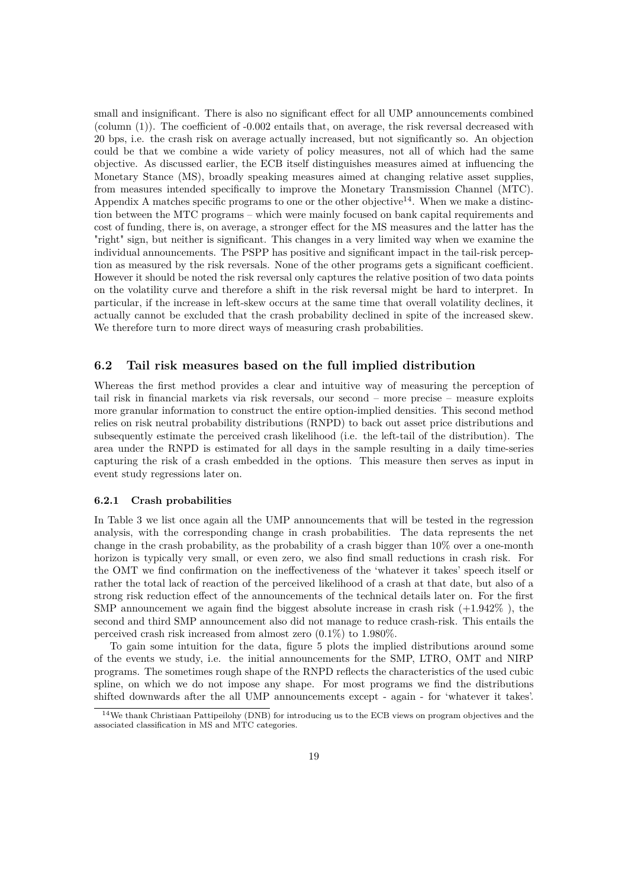small and insignificant. There is also no significant effect for all UMP announcements combined (column (1)). The coefficient of -0.002 entails that, on average, the risk reversal decreased with 20 bps, i.e. the crash risk on average actually increased, but not significantly so. An objection could be that we combine a wide variety of policy measures, not all of which had the same objective. As discussed earlier, the ECB itself distinguishes measures aimed at influencing the Monetary Stance (MS), broadly speaking measures aimed at changing relative asset supplies, from measures intended specifically to improve the Monetary Transmission Channel (MTC). Appendix A matches specific programs to one or the other objective<sup>14</sup>. When we make a distinction between the MTC programs – which were mainly focused on bank capital requirements and cost of funding, there is, on average, a stronger effect for the MS measures and the latter has the "right" sign, but neither is significant. This changes in a very limited way when we examine the individual announcements. The PSPP has positive and significant impact in the tail-risk perception as measured by the risk reversals. None of the other programs gets a significant coefficient. However it should be noted the risk reversal only captures the relative position of two data points on the volatility curve and therefore a shift in the risk reversal might be hard to interpret. In particular, if the increase in left-skew occurs at the same time that overall volatility declines, it actually cannot be excluded that the crash probability declined in spite of the increased skew. We therefore turn to more direct ways of measuring crash probabilities.

# **6.2 Tail risk measures based on the full implied distribution**

Whereas the first method provides a clear and intuitive way of measuring the perception of tail risk in financial markets via risk reversals, our second – more precise – measure exploits more granular information to construct the entire option-implied densities. This second method relies on risk neutral probability distributions (RNPD) to back out asset price distributions and subsequently estimate the perceived crash likelihood (i.e. the left-tail of the distribution). The area under the RNPD is estimated for all days in the sample resulting in a daily time-series capturing the risk of a crash embedded in the options. This measure then serves as input in event study regressions later on.

#### **6.2.1 Crash probabilities**

In Table 3 we list once again all the UMP announcements that will be tested in the regression analysis, with the corresponding change in crash probabilities. The data represents the net change in the crash probability, as the probability of a crash bigger than 10% over a one-month horizon is typically very small, or even zero, we also find small reductions in crash risk. For the OMT we find confirmation on the ineffectiveness of the 'whatever it takes' speech itself or rather the total lack of reaction of the perceived likelihood of a crash at that date, but also of a strong risk reduction effect of the announcements of the technical details later on. For the first SMP announcement we again find the biggest absolute increase in crash risk  $(+1.942\%)$ , the second and third SMP announcement also did not manage to reduce crash-risk. This entails the perceived crash risk increased from almost zero (0.1%) to 1.980%.

To gain some intuition for the data, figure 5 plots the implied distributions around some of the events we study, i.e. the initial announcements for the SMP, LTRO, OMT and NIRP programs. The sometimes rough shape of the RNPD reflects the characteristics of the used cubic spline, on which we do not impose any shape. For most programs we find the distributions shifted downwards after the all UMP announcements except - again - for 'whatever it takes'.

<sup>&</sup>lt;sup>14</sup>We thank Christiaan Pattipeilohy (DNB) for introducing us to the ECB views on program objectives and the associated classification in MS and MTC categories.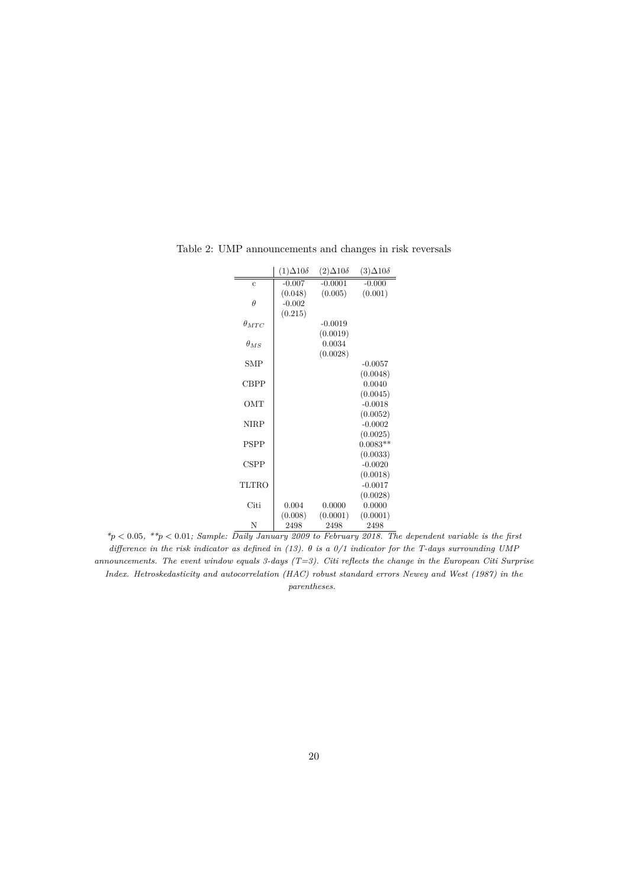|                | $(1)\Delta10\delta$ | $(2)\Delta10\delta$ | $(3)\Delta10\delta$ |
|----------------|---------------------|---------------------|---------------------|
| Ċ              | $-0.007$            | $-0.0001$           | $-0.000$            |
|                | (0.048)             | (0.005)             | (0.001)             |
| $\theta$       | $-0.002$            |                     |                     |
|                | (0.215)             |                     |                     |
| $\theta_{MTC}$ |                     | $-0.0019$           |                     |
|                |                     | (0.0019)            |                     |
| $\theta_{MS}$  |                     | 0.0034              |                     |
|                |                     | (0.0028)            |                     |
| SMP            |                     |                     | $-0.0057$           |
|                |                     |                     | (0.0048)            |
| <b>CBPP</b>    |                     |                     | 0.0040              |
|                |                     |                     | (0.0045)            |
| OMT            |                     |                     | $-0.0018$           |
|                |                     |                     | (0.0052)            |
| <b>NIRP</b>    |                     |                     | $-0.0002$           |
|                |                     |                     | (0.0025)            |
| <b>PSPP</b>    |                     |                     | $0.0083**$          |
|                |                     |                     | (0.0033)            |
| <b>CSPP</b>    |                     |                     | $-0.0020$           |
|                |                     |                     | (0.0018)            |
| <b>TLTRO</b>   |                     |                     | $-0.0017$           |
|                |                     |                     | (0.0028)            |
| Citi           | 0.004               | 0.0000              | 0.0000              |
|                | (0.008)             | (0.0001)            | (0.0001)            |
| N              | 2498                | 2498                | 2498                |

Table 2: UMP announcements and changes in risk reversals

*\*p <* 0*.*05*, \*\*p <* 0*.*01*; Sample: Daily January 2009 to February 2018. The dependent variable is the first difference in the risk indicator as defined in (13). θ is a 0/1 indicator for the T-days surrounding UMP announcements. The event window equals 3-days (T=3). Citi reflects the change in the European Citi Surprise Index. Hetroskedasticity and autocorrelation (HAC) robust standard errors Newey and West (1987) in the parentheses.*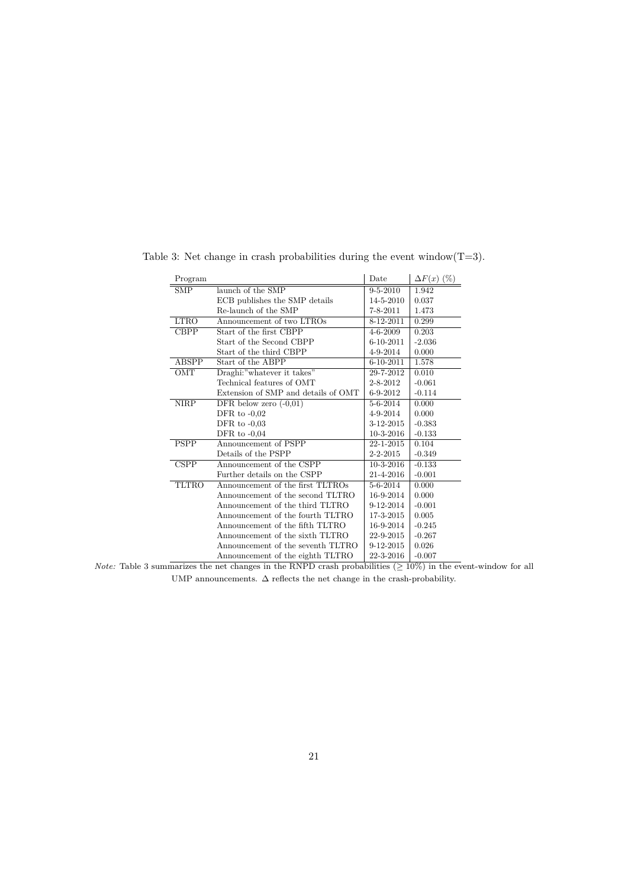| Program                  |                                     | Date                  | $\Delta F(x)$<br>$(\%)$ |
|--------------------------|-------------------------------------|-----------------------|-------------------------|
| <b>SMP</b>               | launch of the SMP                   | $\overline{9-5-2010}$ | 1.942                   |
|                          | ECB publishes the SMP details       | 14-5-2010             | 0.037                   |
|                          | Re-launch of the SMP                | $7 - 8 - 2011$        | 1.473                   |
| <b>LTRO</b>              | Announcement of two LTROs           | 8-12-2011             | 0.299                   |
| <b>CBPP</b>              | Start of the first CBPP             | $4 - 6 - 2009$        | 0.203                   |
|                          | Start of the Second CBPP            | 6-10-2011             | $-2.036$                |
|                          | Start of the third CBPP             | $4 - 9 - 2014$        | 0.000                   |
| <b>ABSPP</b>             | Start of the ABPP                   | 6-10-2011             | 1.578                   |
| <b>OMT</b>               | Draghi:"whatever it takes"          | 29-7-2012             | 0.010                   |
|                          | Technical features of OMT           | 2-8-2012              | $-0.061$                |
|                          | Extension of SMP and details of OMT | $6 - 9 - 2012$        | $-0.114$                |
| $\overline{\text{NIRP}}$ | DFR below zero $(-0.01)$            | 5-6-2014              | 0.000                   |
|                          | DFR to $-0.02$                      | $4 - 9 - 2014$        | 0.000                   |
|                          | DFR to $-0.03$                      | 3-12-2015             | $-0.383$                |
|                          | DFR to $-0.04$                      | $10-3-2016$           | $-0.133$                |
| <b>PSPP</b>              | Announcement of PSPP                | 22-1-2015             | 0.104                   |
|                          | Details of the PSPP                 | $2 - 2 - 2015$        | $-0.349$                |
| CSPP                     | Announcement of the CSPP            | $10-3-2016$           | $-0.133$                |
|                          | Further details on the CSPP         | 21-4-2016             | $-0.001$                |
| <b>TLTRO</b>             | Announcement of the first TLTROs    | 5-6-2014              | 0.000                   |
|                          | Announcement of the second TLTRO    | 16-9-2014             | 0.000                   |
|                          | Announcement of the third TLTRO     | 9-12-2014             | $-0.001$                |
|                          | Announcement of the fourth TLTRO    | 17-3-2015             | 0.005                   |
|                          | Announcement of the fifth TLTRO     | 16-9-2014             | $-0.245$                |
|                          | Announcement of the sixth TLTRO     | 22-9-2015             | $-0.267$                |
|                          | Announcement of the seventh TLTRO   | 9-12-2015             | 0.026                   |
|                          | Announcement of the eighth TLTRO    | 22-3-2016             | $-0.007$                |

Table 3: Net change in crash probabilities during the event window(T=3).

*Note:* Table 3 summarizes the net changes in the RNPD crash probabilities  $(≥ 10%)$  in the event-window for all UMP announcements.  $\Delta$  reflects the net change in the crash-probability.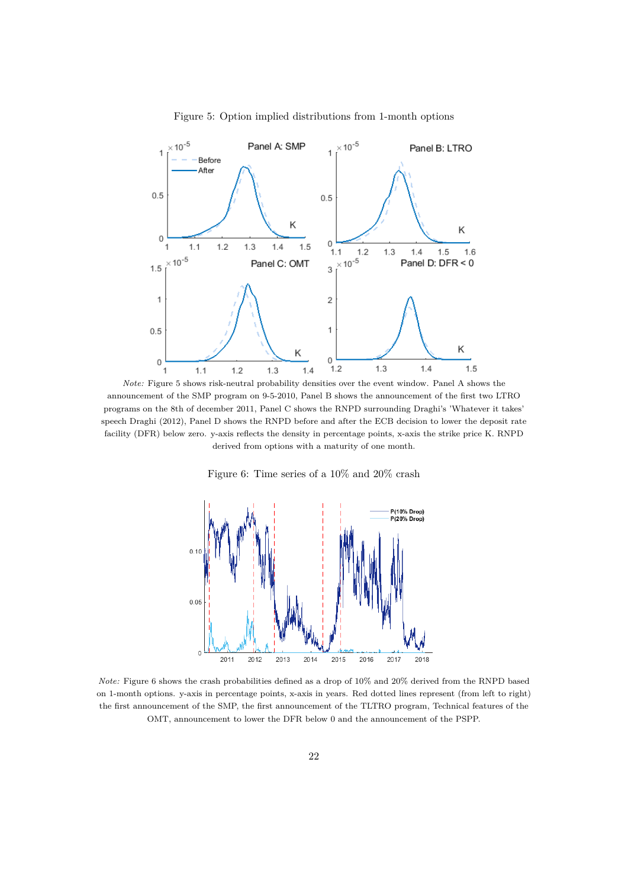

Figure 5: Option implied distributions from 1-month options

*Note:* Figure 5 shows risk-neutral probability densities over the event window. Panel A shows the announcement of the SMP program on 9-5-2010, Panel B shows the announcement of the first two LTRO programs on the 8th of december 2011, Panel C shows the RNPD surrounding Draghi's 'Whatever it takes' speech Draghi (2012), Panel D shows the RNPD before and after the ECB decision to lower the deposit rate facility (DFR) below zero. y-axis reflects the density in percentage points, x-axis the strike price K. RNPD derived from options with a maturity of one month.



Figure 6: Time series of a 10% and 20% crash

*Note:* Figure 6 shows the crash probabilities defined as a drop of 10% and 20% derived from the RNPD based on 1-month options. y-axis in percentage points, x-axis in years. Red dotted lines represent (from left to right) the first announcement of the SMP, the first announcement of the TLTRO program, Technical features of the OMT, announcement to lower the DFR below 0 and the announcement of the PSPP.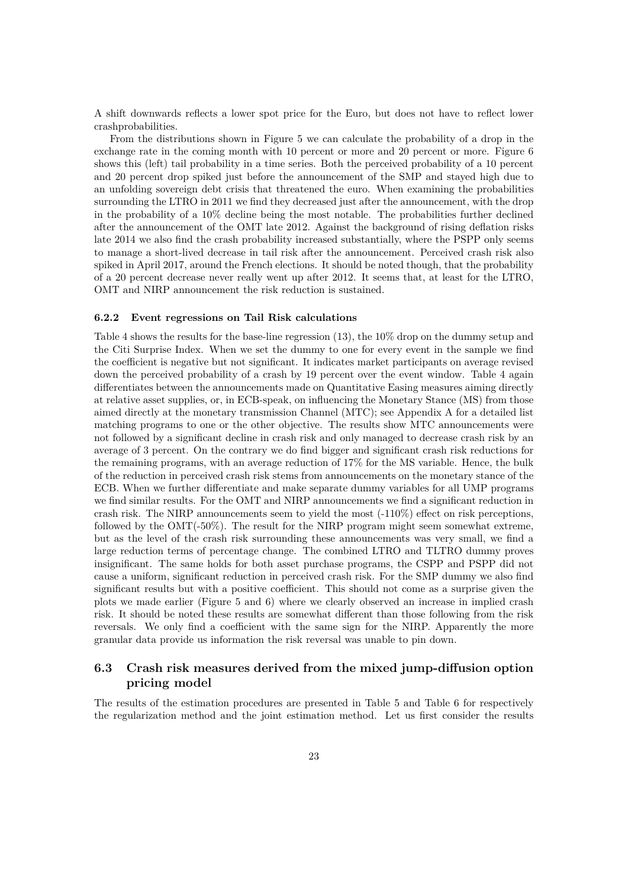A shift downwards reflects a lower spot price for the Euro, but does not have to reflect lower crashprobabilities.

From the distributions shown in Figure 5 we can calculate the probability of a drop in the exchange rate in the coming month with 10 percent or more and 20 percent or more. Figure 6 shows this (left) tail probability in a time series. Both the perceived probability of a 10 percent and 20 percent drop spiked just before the announcement of the SMP and stayed high due to an unfolding sovereign debt crisis that threatened the euro. When examining the probabilities surrounding the LTRO in 2011 we find they decreased just after the announcement, with the drop in the probability of a 10% decline being the most notable. The probabilities further declined after the announcement of the OMT late 2012. Against the background of rising deflation risks late 2014 we also find the crash probability increased substantially, where the PSPP only seems to manage a short-lived decrease in tail risk after the announcement. Perceived crash risk also spiked in April 2017, around the French elections. It should be noted though, that the probability of a 20 percent decrease never really went up after 2012. It seems that, at least for the LTRO, OMT and NIRP announcement the risk reduction is sustained.

#### **6.2.2 Event regressions on Tail Risk calculations**

Table 4 shows the results for the base-line regression (13), the 10% drop on the dummy setup and the Citi Surprise Index. When we set the dummy to one for every event in the sample we find the coefficient is negative but not significant. It indicates market participants on average revised down the perceived probability of a crash by 19 percent over the event window. Table 4 again differentiates between the announcements made on Quantitative Easing measures aiming directly at relative asset supplies, or, in ECB-speak, on influencing the Monetary Stance (MS) from those aimed directly at the monetary transmission Channel (MTC); see Appendix A for a detailed list matching programs to one or the other objective. The results show MTC announcements were not followed by a significant decline in crash risk and only managed to decrease crash risk by an average of 3 percent. On the contrary we do find bigger and significant crash risk reductions for the remaining programs, with an average reduction of 17% for the MS variable. Hence, the bulk of the reduction in perceived crash risk stems from announcements on the monetary stance of the ECB. When we further differentiate and make separate dummy variables for all UMP programs we find similar results. For the OMT and NIRP announcements we find a significant reduction in crash risk. The NIRP announcements seem to yield the most (-110%) effect on risk perceptions, followed by the OMT(-50%). The result for the NIRP program might seem somewhat extreme, but as the level of the crash risk surrounding these announcements was very small, we find a large reduction terms of percentage change. The combined LTRO and TLTRO dummy proves insignificant. The same holds for both asset purchase programs, the CSPP and PSPP did not cause a uniform, significant reduction in perceived crash risk. For the SMP dummy we also find significant results but with a positive coefficient. This should not come as a surprise given the plots we made earlier (Figure 5 and 6) where we clearly observed an increase in implied crash risk. It should be noted these results are somewhat different than those following from the risk reversals. We only find a coefficient with the same sign for the NIRP. Apparently the more granular data provide us information the risk reversal was unable to pin down.

# **6.3 Crash risk measures derived from the mixed jump-diffusion option pricing model**

The results of the estimation procedures are presented in Table 5 and Table 6 for respectively the regularization method and the joint estimation method. Let us first consider the results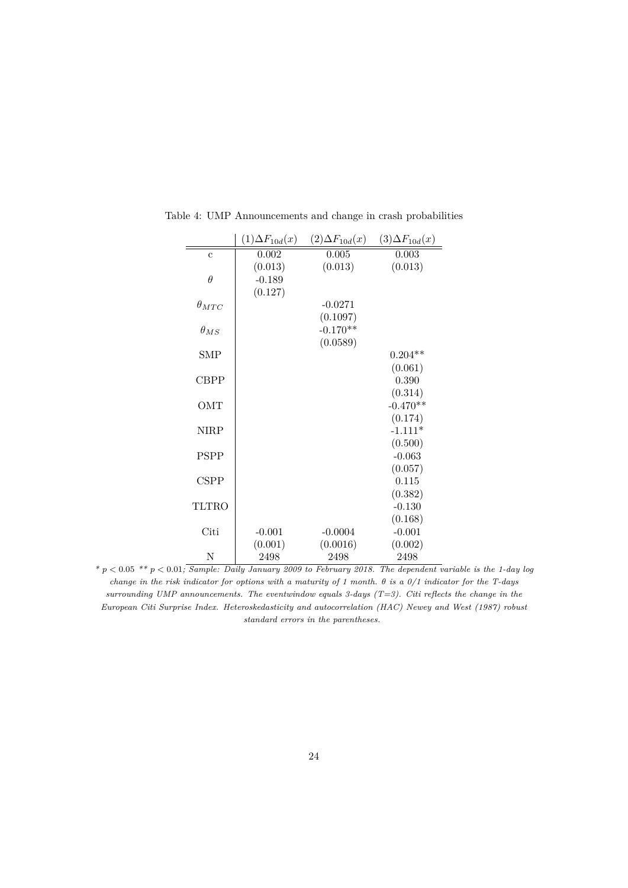|                | $(1)\Delta F_{10d}(x)$ | $(2)\Delta F_{10d}(x)$ | $(3)\Delta F_{10d}(x)$ |
|----------------|------------------------|------------------------|------------------------|
| $\overline{c}$ | 0.002                  | 0.005                  | 0.003                  |
|                | (0.013)                | (0.013)                | (0.013)                |
| $\theta$       | $-0.189$               |                        |                        |
|                | (0.127)                |                        |                        |
| $\theta_{MTC}$ |                        | $-0.0271$              |                        |
|                |                        | (0.1097)               |                        |
| $\theta_{MS}$  |                        | $-0.170**$             |                        |
|                |                        | (0.0589)               |                        |
| <b>SMP</b>     |                        |                        | $0.204**$              |
|                |                        |                        | (0.061)                |
| <b>CBPP</b>    |                        |                        | 0.390                  |
|                |                        |                        | (0.314)                |
| OMT            |                        |                        | $-0.470**$             |
|                |                        |                        | (0.174)                |
| <b>NIRP</b>    |                        |                        | $-1.111*$              |
|                |                        |                        | (0.500)                |
| <b>PSPP</b>    |                        |                        | $-0.063$               |
|                |                        |                        | (0.057)                |
| <b>CSPP</b>    |                        |                        | 0.115                  |
|                |                        |                        | (0.382)                |
| <b>TLTRO</b>   |                        |                        | $-0.130$               |
|                |                        |                        | (0.168)                |
| Citi           | $-0.001$               | $-0.0004$              | $-0.001$               |
|                | (0.001)                | (0.0016)               | (0.002)                |
| N              | 2498                   | 2498                   | 2498                   |

Table 4: UMP Announcements and change in crash probabilities

*\* p <* 0*.*05 *\*\* p <* 0*.*01*; Sample: Daily January 2009 to February 2018. The dependent variable is the 1-day log change in the risk indicator for options with a maturity of 1 month. θ is a 0/1 indicator for the T-days surrounding UMP announcements. The eventwindow equals 3-days (T=3). Citi reflects the change in the European Citi Surprise Index. Heteroskedasticity and autocorrelation (HAC) Newey and West (1987) robust standard errors in the parentheses.*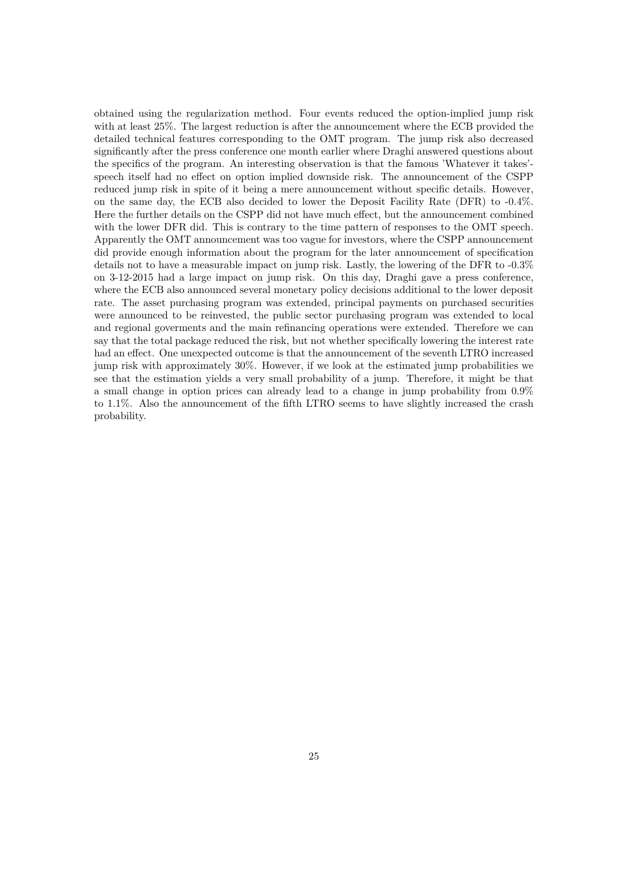obtained using the regularization method. Four events reduced the option-implied jump risk with at least 25%. The largest reduction is after the announcement where the ECB provided the detailed technical features corresponding to the OMT program. The jump risk also decreased significantly after the press conference one month earlier where Draghi answered questions about the specifics of the program. An interesting observation is that the famous 'Whatever it takes' speech itself had no effect on option implied downside risk. The announcement of the CSPP reduced jump risk in spite of it being a mere announcement without specific details. However, on the same day, the ECB also decided to lower the Deposit Facility Rate (DFR) to -0.4%. Here the further details on the CSPP did not have much effect, but the announcement combined with the lower DFR did. This is contrary to the time pattern of responses to the OMT speech. Apparently the OMT announcement was too vague for investors, where the CSPP announcement did provide enough information about the program for the later announcement of specification details not to have a measurable impact on jump risk. Lastly, the lowering of the DFR to -0.3% on 3-12-2015 had a large impact on jump risk. On this day, Draghi gave a press conference, where the ECB also announced several monetary policy decisions additional to the lower deposit rate. The asset purchasing program was extended, principal payments on purchased securities were announced to be reinvested, the public sector purchasing program was extended to local and regional goverments and the main refinancing operations were extended. Therefore we can say that the total package reduced the risk, but not whether specifically lowering the interest rate had an effect. One unexpected outcome is that the announcement of the seventh LTRO increased jump risk with approximately 30%. However, if we look at the estimated jump probabilities we see that the estimation yields a very small probability of a jump. Therefore, it might be that a small change in option prices can already lead to a change in jump probability from 0.9% to 1.1%. Also the announcement of the fifth LTRO seems to have slightly increased the crash probability.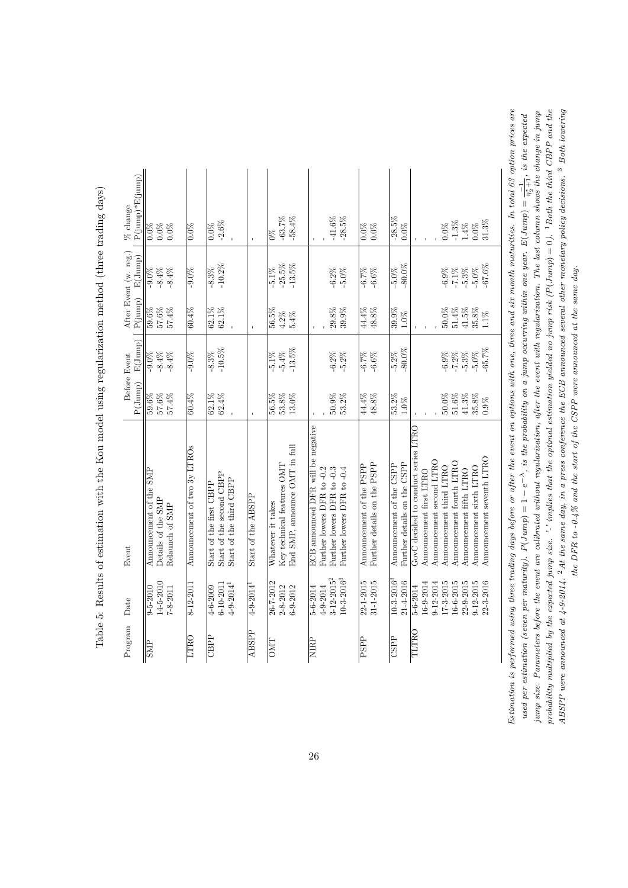| ١                                                |
|--------------------------------------------------|
| $\frac{1}{2}$<br>S.                              |
| $\sim$ $\sim$ $\sim$ $\sim$<br>)<br>ĺ            |
| $25 - 7$<br>$\mathbf{1}$<br>i                    |
|                                                  |
| くく                                               |
| $\sim$ $\sim$ $\sim$ $\sim$ $\sim$ $\sim$ $\sim$ |
| )                                                |
| 一个字 人名英格兰人名英格兰人名                                 |
|                                                  |
| ¢<br>-<br>  C C C C L C C C C                    |
| ו<br>ו                                           |
|                                                  |
|                                                  |
| <b>Contract Contract</b>                         |
| i                                                |
|                                                  |
| .<br>'<br>SS States of<br>i<br>ĺ                 |
| ì<br>;<br>i<br>ĺ                                 |

| $P(jump)*E(jump)$<br>$\%$ change | $0.0\%$<br>$0.0\%$<br>$0.0\%$                                    | $0.0\%$                      | $-2.6\%$<br>$0.0\%$                                                            |                             | $-63.7\%$<br>$-58.4%$<br>8                                                       | $-41.6\%$<br>$-28.5\%$                                                                                                       | $0.0\%$<br>$0.0\%$                                      | $-28.5\%$<br>$0.0\%$                                    | $\textbf{-1.3}\%$<br>$\begin{array}{c} 0.0\% \\ 31.3\% \end{array}$<br>$0.0\%$<br>$1.4\%$                                                                                                                                            |
|----------------------------------|------------------------------------------------------------------|------------------------------|--------------------------------------------------------------------------------|-----------------------------|----------------------------------------------------------------------------------|------------------------------------------------------------------------------------------------------------------------------|---------------------------------------------------------|---------------------------------------------------------|--------------------------------------------------------------------------------------------------------------------------------------------------------------------------------------------------------------------------------------|
| After Event (w. reg.)<br>E(Jump) | $-8.4%$<br>$-9.0%$                                               | $-9.0%$                      | $-10.2\%$<br>$-8.3\%$                                                          |                             | $-25.5\%$<br>$-13.5\%$<br>$-5.1\%$                                               | $-6.2%$<br>$-5.0%$                                                                                                           | $-6.7\%$<br>$-6.6%$                                     | $-80.0\%$<br>$-5.0\%$                                   | $\begin{array}{c} 7.1\% \\ -5.3\% \\ 5.0\% \\ 67.6\% \end{array}$<br>$-6.9\%$                                                                                                                                                        |
| P(jump)                          | $59.6\%$<br>$57.6\%$<br>57.4%                                    | 60.4%                        | $62.1\%$<br>$62.1\%$                                                           |                             | 56.5%<br>$4.2\%$<br>5.4%                                                         | $29.8\%$<br>$39.9\%$                                                                                                         | 44.4%<br>$48.8\%$                                       | 39.9%<br>$1.0\%$                                        | $50.0\%$<br>$51.4\%$<br>$\begin{array}{l} 41.5\% \\ 35.8\% \\ 1.1\% \end{array}$                                                                                                                                                     |
| E(Jump)<br>Before Event          | $-9.0%$<br>$-8.4%$                                               | $-9.0\%$                     | $-10.5\%$<br>$-8.\overline{3\%}$                                               |                             | $-13.5%$<br>$-5.1\%$<br>$-5.4%$                                                  | $-6.2\%$<br>$-5.2\%$                                                                                                         | $-6.7\%$<br>$-6.6%$                                     | $-80.0\%$<br>$-5.2\%$                                   | $-5.0\%$<br>$-65.7\%$<br>$-7.2\%$<br>$-5.3\%$<br>$-6.9\%$                                                                                                                                                                            |
| P(Jump)                          | $57.6\%$<br>59.6%<br>$57.4\%$                                    | 60.4%                        | $62.4\%$<br>62.1%                                                              |                             | 56.5%<br>$53.8\%$<br>13.0%                                                       | 50.9%<br>$53.2\%$                                                                                                            | 44.4%<br>48.8%                                          | 53.2%<br>$1.0\%$                                        | $50.0\%$<br>$51.6\%$<br>$41.3\%$<br>$35.8\%$<br>$0.9\%$                                                                                                                                                                              |
| Event                            | Announcement of the SMP<br>Details of the SMP<br>Relaunch of SMP | Announcement of two 3y LTROs | Start of the second CBPP<br>Start of the third CBPP<br>Start of the first CBPP | Start of the ABSPP          | End SMP, announce OMT in full<br>Key technical features OMT<br>Whatever it takes | ECB announced DFR will be negative<br>Further lowers DFR to -0.3<br>Further lowers DFR to -0.2<br>Further lowers DFR to -0.4 | Further details on the PSPP<br>Announcement of the PSPP | Further details on the CSPP<br>Announcement of the CSPP | GovC decided to conduct series LTRO<br>Announcement seventh LTRO<br>Announcement second LTRO<br>Announcement fourth LTRC<br>Announcement third LTRO<br>Announcement sixth LTRO<br>Announcement fifth LTRO<br>Announcement first LTRO |
| Date                             | 14-5-2010<br>9-5-2010<br>$7 - 8 - 2011$                          | 8-12-2011                    | 5-10-2011<br>$4 - 9 - 2014$ <sup>1</sup><br>$4 - 6 - 2009$                     | $4 - 9 - 2014$ <sup>1</sup> | 26-7-2012<br>$2 - 8 - 2012$<br>$6 - 9 - 2012$                                    | $3 - 12 - 2015^2$<br>$10-3-2016^3$<br>$4 - 9 - 2014$<br>5-6-2014                                                             | 22-1-2015<br>$31 - 1 - 2015$                            | $10 - 3 - 2016^3$<br>21-4-2016                          | $17 - 3 - 2015$<br>16-6-2015<br>22-9-2015<br>$9 - 12 - 2015$<br>22-3-2016<br>16-9-2014<br>$9 - 12 - 2014$<br>$5 - 6 - 2014$                                                                                                          |
| Program                          | <b>SMP</b>                                                       | <b>LTRO</b>                  | CBPP                                                                           | ABSPP                       | OMT                                                                              | NIRP                                                                                                                         | <b>PSPP</b>                                             | <b>GSPP</b>                                             | TLTRO                                                                                                                                                                                                                                |

 $Estimation\ is\ performed\ using\ three\ trading\ degree\ or\ after\ the\ event\ on\ options\ with\ one,\ three\ and\ six\ months\ maturities.\ In\ total\ 63\ option\ prices\ are$ probability multiplied by the expected jump size. '-' implies that the optimal estimation yielded no jump risk  $(P(Jump) = 0)$ . <sup>1</sup> Both the third CBPP and the ABSPP were announced at  $4-9-2014$ . <sup>2</sup>At the same day, in a press conference the ECB announced several other monetary policy decisions. <sup>3</sup> Both lowering Estimation is performed using three trading days before or after the event on options with one, three and six month maturities. In total 63 option prices are 1*Both the third CBPP and the Both lowering* jump size. Parameters before the event are calibrated without regularization, after the event with regularization. The last column shows the change in jump  $\frac{1}{\tilde{r}+1}$  *, is the expected*<br>2 *i*  $^2$  At the same day, in a press conference the ECB announced several other monetary policy decisions. −1 *η*∗2*E*(*Jump*) = probability multiplied by the expected jump size.  $\cdot$  ' implies that the optimal estimation yielded no jump risk ( $P(Jump) = 0$ ). *e*−*λ, is the probability on a jump occurring within one year.* the DFR to -0.4% and the start of the CSPP were announced at the same day. the DFR to -0.4% and the start of the CSPP were announced at the same day.  $P(Jump) = 1$ *used per estimation (seven per maturity). ABSPP were announced at 4-9-2014.*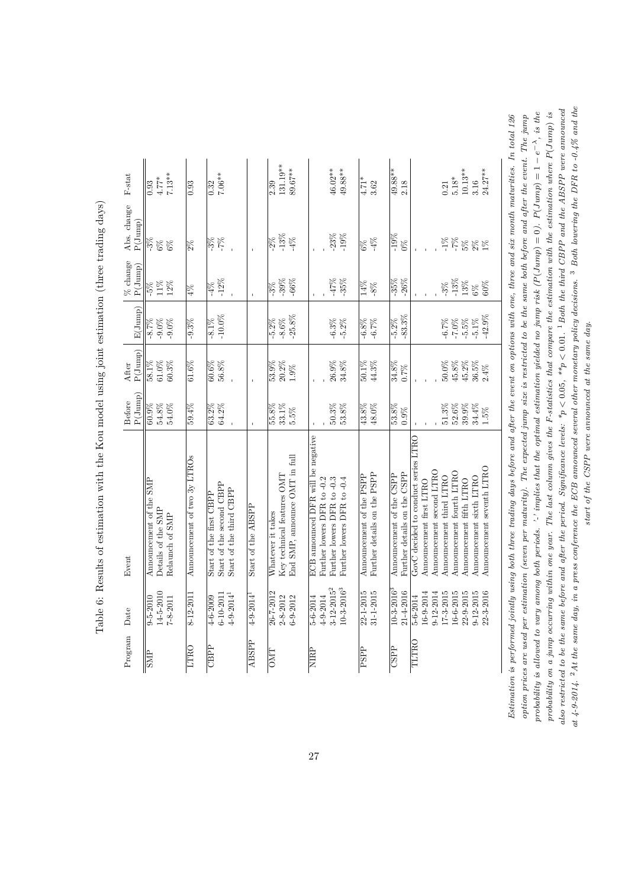| i<br>l                                                                                                         |
|----------------------------------------------------------------------------------------------------------------|
| $\sum_{i=1}^{n}$<br>)<br>$\overline{a}$                                                                        |
| ) りょうこう                                                                                                        |
| $\frac{1}{2}$<br> <br> <br>                                                                                    |
| I                                                                                                              |
|                                                                                                                |
| $\sim$ 200 $\sim$ 200<br>١<br>į                                                                                |
| ֦֧֦֧֦֧֦֧֦֧֧֧֧֧֧֧֧֧֧֧֧֛֧֧֧֚֚֚֚֚֚֚֚֚֚֚֚֚֚֚֚֚֚֚֚֝֝֝֝֝֝֝֝֝֝֝֝֝֬֝֓֝֬֝֓֝֬֝֬֝֬֝֬֝֬֝֓֝֬֝֬֝֬֜֝֬֝֜֝֜֝֬֜<br>$\frac{1}{2}$ |
| no kommon<br>j<br>ï<br>$\overline{1}$                                                                          |
| ו<br>;                                                                                                         |
| $-1 - 1 - 1 - 1$                                                                                               |
|                                                                                                                |
| $\frac{1}{2}$<br>Ī                                                                                             |
| Í                                                                                                              |
| i<br>I<br>$\frac{1}{2}$<br>I                                                                                   |
| ;<br>;<br>j                                                                                                    |
| $\ddot{\phantom{a}}$<br>i<br>i<br>$\frac{a}{b}$<br>l<br>ì                                                      |

| $F-stat$               | $7.13***$<br>$4.77*$<br>0.93                                     | 0.93                         | $\frac{0.32}{7.06**}$                                                          |                    | 131.19**<br>89.67**<br>2.39                                                      | 46.02**<br>49.88**                                                                                                           | $4.71*$<br>3.62                                         | 49.88**<br>2.18                                         | $\begin{array}{c} 5.18^* \\ 10.13^{***} \\ 3.16 \\ 24.27^{**} \end{array}$<br>0.21                                                                                                                                                   |
|------------------------|------------------------------------------------------------------|------------------------------|--------------------------------------------------------------------------------|--------------------|----------------------------------------------------------------------------------|------------------------------------------------------------------------------------------------------------------------------|---------------------------------------------------------|---------------------------------------------------------|--------------------------------------------------------------------------------------------------------------------------------------------------------------------------------------------------------------------------------------|
| Abs. change<br>P(Jump) | $\frac{3\%}{6\%}$<br>$6\%$                                       | $2\%$                        | $-3\%$                                                                         |                    | $-2\%$<br>$-13\%$<br>$-4\%$                                                      | $-23\%$<br>$-19\%$                                                                                                           | $-4\%$<br>$6\%$                                         | $-19%$<br>$0\%$                                         | <b>EREER</b>                                                                                                                                                                                                                         |
| $\%$ change<br>P(Jump) | $-5\%$<br>11%<br>12%                                             | 4%                           | $-12\%$<br>$\frac{8}{3}$                                                       |                    | $-39\%$<br>$-66%$<br>$-3\%$                                                      | $-47%$<br>$-35%$                                                                                                             | $14\%$<br>$\sim 8\%$                                    | $-35%$<br>$-26\%$                                       | $^{+13\%}_{-13\%}$ $^{+13\%}_{6\%}$<br>$-3\%$<br>60%                                                                                                                                                                                 |
| E(Jump)                | $-9.0\%$<br>$-9.0\%$<br>$-8.7\%$                                 | $-9.3\%$                     | $-10.0\%$<br>$-8.1\%$                                                          |                    | $-25.8\%$<br>$-5.2\%$<br>$-8.6\%$                                                | $-6.3%$<br>$-5.2%$                                                                                                           | $-6.8\%$<br>$-6.7\%$                                    | $-83.3\%$<br>$-5.2\%$                                   | $-6.7\%$<br>$-7.0\%$<br>$-5.5\%$<br>$-5.1\%$<br>$-42.9\%$                                                                                                                                                                            |
| P(Jump)<br>After       | $61.0\%$<br>$60.3\%$<br>58.1%                                    | 61.6%                        | $\frac{68}{56.8\%}$                                                            |                    | $20.2\%$<br>$1.9\%$<br>53.9%                                                     | $26.9\%$<br>$34.8\%$                                                                                                         | 50.1%<br>$44.3\%$                                       | 34.8%<br>$0.7\%$                                        | 50.0%<br>45.3%<br>56.5%<br>54.4%                                                                                                                                                                                                     |
| P(Jump)<br>Before      | $54.8\%$<br>$54.0\%$<br>$60.9\%$                                 | 59.4%                        | 63.2%<br>64.2%                                                                 |                    | $33.1\%$<br>$5.5\%$<br>55.8%                                                     | $50.3\%$ $53.8\%$                                                                                                            | 43.8%<br>48.0%                                          | $53.8\%$<br>$0.9\%$                                     | $51.3%$<br>$52.6%$<br>$59.94.4%$<br>$1.5%$<br>$1.5%$                                                                                                                                                                                 |
| Event                  | Announcement of the SMP<br>Details of the SMP<br>Relaunch of SMP | Announcement of two 3y LTROs | Start of the second CBPP<br>Start of the third CBPP<br>Start of the first CBPP | Start of the ABSPP | End SMP, announce OMT in full<br>Key technical features OMT<br>Whatever it takes | ECB announced DFR will be negative<br>Further lowers DFR to -0.2<br>Further lowers DFR to -0.3<br>Further lowers DFR to -0.4 | Further details on the PSPP<br>Announcement of the PSPP | Further details on the CSPP<br>Announcement of the CSPP | GovC decided to conduct series LTRC<br>Announcement seventh LTRO<br>Announcement second LTRO<br>Announcement fourth LTRC<br>Announcement third LTRO<br>Announcement sixth LTRO<br>Announcement fifth LTRO<br>Announcement first LTRO |
| Date                   | $14 - 5 - 2010$<br>9-5-2010<br>$7 - 8 - 2011$                    | 8-12-2011                    | 6-10-2011<br>$4 - 9 - 2014$ <sup>1</sup><br>$4 - 6 - 2009$                     | $4 - 9 - 2014$     | 26-7-2012<br>2-8-2012<br>6-9-2012                                                | $3 - 12 - 2015^2$<br>$10 - 3 - 2016^3$<br>$5 - 6 - 2014$<br>$4 - 9 - 2014$                                                   | 31-1-2015<br>$22 - 1 - 2015$                            | $10 - 3 - 2016^3$<br>21-4-2016                          | $16 - 6 - 2015$<br>22-9-2015<br>$17 - 3 - 2015$<br>$9 - 12 - 2015$<br>$16 - 9 - 2014$<br>3-12-2014<br>$22 - 3 - 2016$<br>$5 - 6 - 2014$                                                                                              |
| Program                | <b>SMP</b>                                                       | <b>LTRO</b>                  | <b>GBPP</b>                                                                    | <b>ABSPP</b>       | OMT                                                                              | NIRP                                                                                                                         | PSPP                                                    | <b>CSPP</b>                                             | TITRO                                                                                                                                                                                                                                |

at  $4-9-2014$ . <sup>2</sup> At the same day, in a press conference the ECB announced several other monetary policy decisions. <sup>3</sup> Both lowering the DFR to  $-0.4\%$  and the probability on a jump occurring within one year. The last column gives the F-statistics that compare the estimation with the estimation where  $P(Jump)$  is<br>also restricted to be the same before and after the period. Significa *Both lowering the DFR to -0.4% and the*  $p$ robability is allowed to vary among both periods. '-' implies that the optimal estimation yielded no jump risk  $(P(Jump) = 0)$ .  $P(Jump) = 1 - e^{-\lambda}$ , is the 1*Both the third CBPP and the ABSPP were announced* Estimation is performed jointly using both three trading days before and after the event on options with one, three and six month maturities. In total 126 option prices are used per estimation (seven per maturity). The expected jump size is restricted to be the same both before and after the event. The jump Estimation is performed jointly using both three trading days before and after the event on options with one, three and six month maturities. In total 126  $\,$  $\emph{option prices are used per estimation (seven per maturity). The expected jump size is restricted to be the same both before and after the event. The jump of the system is given by the system.}$  $\emph{probability on a jump occurring within one year}.$  The last column gives the F-statistics that compare the estimation with the estimation where  $P(Jump) = 1$  $P(Jump) = 0$ ). probability is allowed to vary among both periods.  $\cdot$  ' implies that the optimal estimation yielded no jump risk (1)  $^{2}$  At the same day, in a press conference the ECB announced several other monetary policy decisions. start of the CSPP were announced at the same day. also restricted to be the same before and after the period. Significance levels:  $*_p$  < 0.05,  $*_p$  < 0.01. *at 4-9-2014.*

*start of the CSPP were announced at the same day.*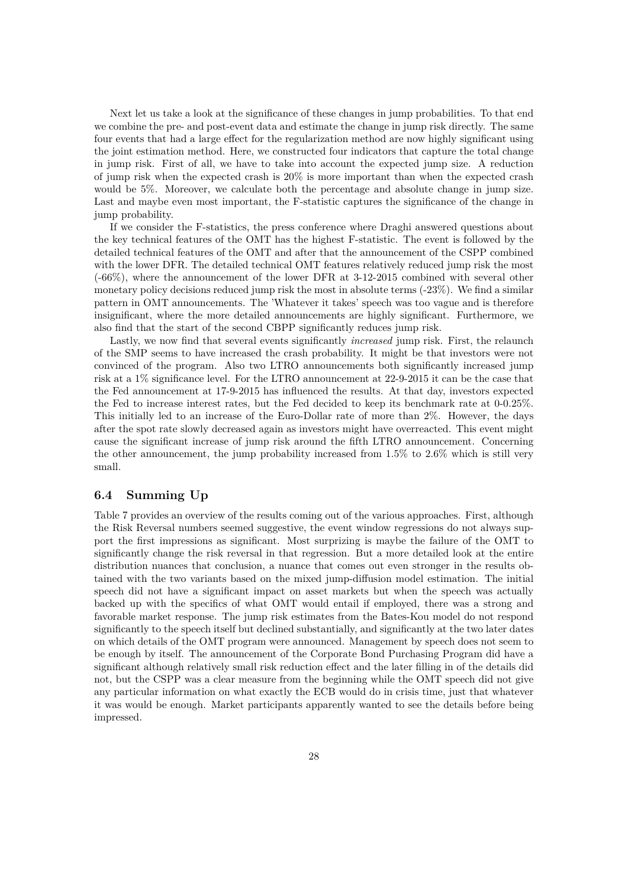Next let us take a look at the significance of these changes in jump probabilities. To that end we combine the pre- and post-event data and estimate the change in jump risk directly. The same four events that had a large effect for the regularization method are now highly significant using the joint estimation method. Here, we constructed four indicators that capture the total change in jump risk. First of all, we have to take into account the expected jump size. A reduction of jump risk when the expected crash is 20% is more important than when the expected crash would be 5%. Moreover, we calculate both the percentage and absolute change in jump size. Last and maybe even most important, the F-statistic captures the significance of the change in jump probability.

If we consider the F-statistics, the press conference where Draghi answered questions about the key technical features of the OMT has the highest F-statistic. The event is followed by the detailed technical features of the OMT and after that the announcement of the CSPP combined with the lower DFR. The detailed technical OMT features relatively reduced jump risk the most (-66%), where the announcement of the lower DFR at 3-12-2015 combined with several other monetary policy decisions reduced jump risk the most in absolute terms (-23%). We find a similar pattern in OMT announcements. The 'Whatever it takes' speech was too vague and is therefore insignificant, where the more detailed announcements are highly significant. Furthermore, we also find that the start of the second CBPP significantly reduces jump risk.

Lastly, we now find that several events significantly *increased* jump risk. First, the relaunch of the SMP seems to have increased the crash probability. It might be that investors were not convinced of the program. Also two LTRO announcements both significantly increased jump risk at a 1% significance level. For the LTRO announcement at 22-9-2015 it can be the case that the Fed announcement at 17-9-2015 has influenced the results. At that day, investors expected the Fed to increase interest rates, but the Fed decided to keep its benchmark rate at 0-0.25%. This initially led to an increase of the Euro-Dollar rate of more than 2%. However, the days after the spot rate slowly decreased again as investors might have overreacted. This event might cause the significant increase of jump risk around the fifth LTRO announcement. Concerning the other announcement, the jump probability increased from 1.5% to 2.6% which is still very small.

### **6.4 Summing Up**

Table 7 provides an overview of the results coming out of the various approaches. First, although the Risk Reversal numbers seemed suggestive, the event window regressions do not always support the first impressions as significant. Most surprizing is maybe the failure of the OMT to significantly change the risk reversal in that regression. But a more detailed look at the entire distribution nuances that conclusion, a nuance that comes out even stronger in the results obtained with the two variants based on the mixed jump-diffusion model estimation. The initial speech did not have a significant impact on asset markets but when the speech was actually backed up with the specifics of what OMT would entail if employed, there was a strong and favorable market response. The jump risk estimates from the Bates-Kou model do not respond significantly to the speech itself but declined substantially, and significantly at the two later dates on which details of the OMT program were announced. Management by speech does not seem to be enough by itself. The announcement of the Corporate Bond Purchasing Program did have a significant although relatively small risk reduction effect and the later filling in of the details did not, but the CSPP was a clear measure from the beginning while the OMT speech did not give any particular information on what exactly the ECB would do in crisis time, just that whatever it was would be enough. Market participants apparently wanted to see the details before being impressed.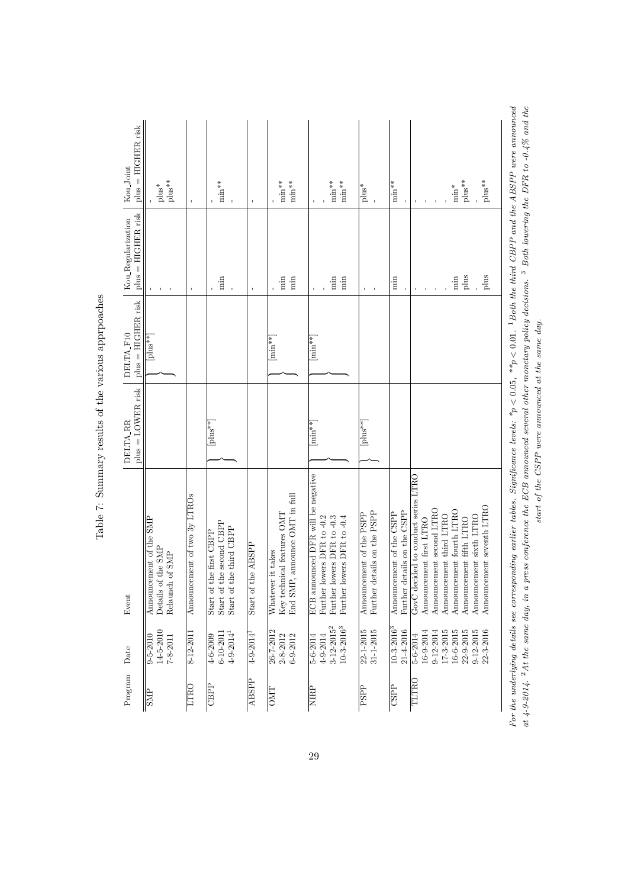| $plus = HIGHER$ risk<br>Kou_Joint          | $_{\rm plus**}$<br>$_{\rm plus*}$                                |                              | $\min^{**}$                                                                                                                                      | $\mathbf I$           | $\min^{**}$<br>$\min^{**}$                                                                           | $\min^{**}$<br>$\min^{**}$                                                                                                         | $_{\rm plus*}$                                             | $min$ <sup>**</sup>                                        | $_{\rm plus^{**}}$<br>$_{\rm plus^{**}}$<br>$\min^*$                                                                                                                                                                                 |
|--------------------------------------------|------------------------------------------------------------------|------------------------------|--------------------------------------------------------------------------------------------------------------------------------------------------|-----------------------|------------------------------------------------------------------------------------------------------|------------------------------------------------------------------------------------------------------------------------------------|------------------------------------------------------------|------------------------------------------------------------|--------------------------------------------------------------------------------------------------------------------------------------------------------------------------------------------------------------------------------------|
| $plus = HIGHER$ risk<br>Kou_Regularization |                                                                  |                              | min                                                                                                                                              | $\mathbf{I}$          | min<br>min                                                                                           | min<br>min                                                                                                                         |                                                            | min                                                        | $_{\rm plus}$<br>plus<br>min                                                                                                                                                                                                         |
| $plus = HIGHER$ risk<br>DELTA_F10          | $\left[\text{plus}^{**}\right]$                                  |                              |                                                                                                                                                  |                       | $\left[\min^{**}\right]$                                                                             | $[\min^{**}]$                                                                                                                      |                                                            |                                                            |                                                                                                                                                                                                                                      |
| $plus =$ LOWER risk<br><b>DELTA_RR</b>     |                                                                  |                              | $\lfloor \text{plus}^{**} \rceil$                                                                                                                |                       |                                                                                                      | $[\min^{**}]$                                                                                                                      | $\lfloor \text{plus}^{**} \rfloor$                         |                                                            |                                                                                                                                                                                                                                      |
| Event                                      | Announcement of the SMP<br>Details of the SMP<br>Relaunch of SMP | Announcement of two 3y LTROs | the second CBPP<br>the third CBPP<br>the first CBPP<br>$\begin{array}{l}{\rm Start\,\,of} \\ {\rm Start\,\,of} \\ {\rm Start\,\,of} \end{array}$ | the ABSPP<br>Start of | $f$ F, announce $\overline{OM}$ in full<br>Key technical features OMT<br>Whatever it takes<br>End SM | ECB announced DFR will be negative<br>Further lowers DFR to -0.2<br>lowers DFR to -0.3<br>lowers DFR to -0.4<br>Further<br>Further | details on the PSPP<br>Announcement of the PSPP<br>Further | details on the CSPP<br>Announcement of the CSPP<br>Further | GovC decided to conduct series LTRO<br>Announcement seventh LTRO<br>Announcement second LTRO<br>Announcement fourth LTRO<br>Announcement third LTRO<br>Announcement sixth LTRO<br>Announcement fifth LTRO<br>Announcement first LTRO |
| Date                                       | 14-5-2010<br>$9 - 5 - 2010$<br>$7 - 8 - 2011$                    | 8-12-2011                    | 6-10-2011<br>$4 - 9 - 2014$ <sup>1</sup><br>$4 - 6 - 2009$                                                                                       | $4 - 9 - 2014$        | $26 - 7 - 2012$<br>$6 - 9 - 2012$<br>$2 - 8 - 2012$                                                  | $3 - 12 - 2015^2$<br>$10 - 3 - 2016^3$<br>4-9-2014<br>$5 - 6 - 2014$                                                               | $22 - 1 - 2015$<br>$31 - 1 - 2015$                         | $10 - 3 - 2016^3$<br>$21 - 4 - 2016$                       | $17 - 3 - 2015$<br>9-12-2014<br>16-6-2015<br>22-9-2015<br>$9 - 12 - 2015$<br>22-3-2016<br>16-9-2014<br>$5 - 6 - 2014$                                                                                                                |
| Program                                    | <b>SMP</b>                                                       | LTRO                         | CBPP                                                                                                                                             | ABSPP                 | OMT                                                                                                  | NIRP                                                                                                                               | <b>PSPP</b>                                                | $\overline{\text{CBP}}$                                    | TLTRO                                                                                                                                                                                                                                |

Table 7: Summary results of the various apprpoaches Table 7: Summary results of the various apprpoaches For the underlying details see corresponding earlier tables. Significance levels:  $*_p$  < 0.05,  $*_p$  < 0.01.  $^1$  Both the third CBPP and the ABSPP were announced at 4-9-2014.  $^2$  At the same day, in a press conference th For the underlying details see corresponding earlier tables. Significance levels: \*p  $<$  0.05, \*\*p  $<$  0.01.  $^1$  Both the third CBPP and the ABSPP were announced at 4-9-2014.  $^2$  At the same day, in a press conference the ECB announced several other monetary policy decisions.  $^3$  Both lowering the DFR to -0.4% and the start of the CSPP were announced at the same day.

*start of the CSPP were announced at the same day.*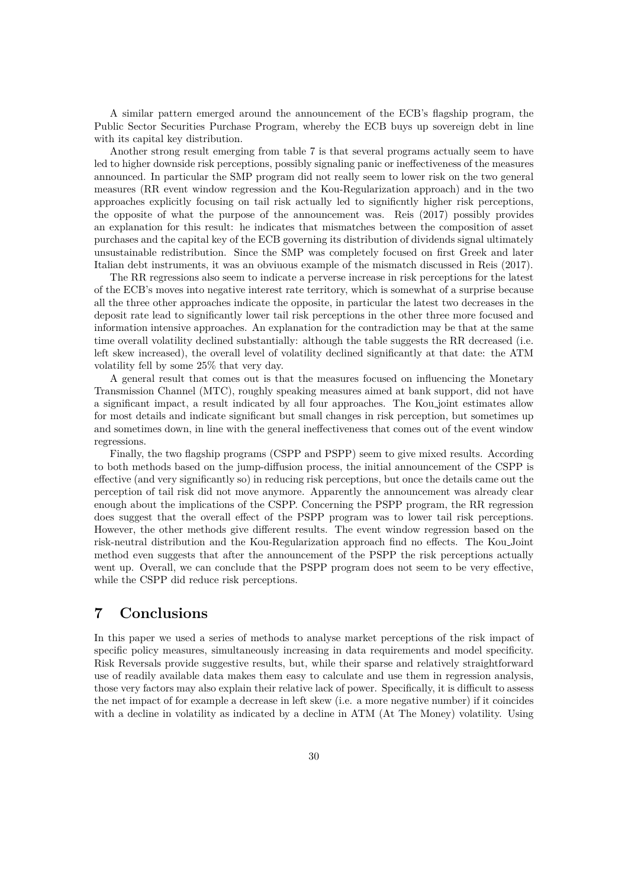A similar pattern emerged around the announcement of the ECB's flagship program, the Public Sector Securities Purchase Program, whereby the ECB buys up sovereign debt in line with its capital key distribution.

Another strong result emerging from table 7 is that several programs actually seem to have led to higher downside risk perceptions, possibly signaling panic or ineffectiveness of the measures announced. In particular the SMP program did not really seem to lower risk on the two general measures (RR event window regression and the Kou-Regularization approach) and in the two approaches explicitly focusing on tail risk actually led to significntly higher risk perceptions, the opposite of what the purpose of the announcement was. Reis (2017) possibly provides an explanation for this result: he indicates that mismatches between the composition of asset purchases and the capital key of the ECB governing its distribution of dividends signal ultimately unsustainable redistribution. Since the SMP was completely focused on first Greek and later Italian debt instruments, it was an obviuous example of the mismatch discussed in Reis (2017).

The RR regressions also seem to indicate a perverse increase in risk perceptions for the latest of the ECB's moves into negative interest rate territory, which is somewhat of a surprise because all the three other approaches indicate the opposite, in particular the latest two decreases in the deposit rate lead to significantly lower tail risk perceptions in the other three more focused and information intensive approaches. An explanation for the contradiction may be that at the same time overall volatility declined substantially: although the table suggests the RR decreased (i.e. left skew increased), the overall level of volatility declined significantly at that date: the ATM volatility fell by some 25% that very day.

A general result that comes out is that the measures focused on influencing the Monetary Transmission Channel (MTC), roughly speaking measures aimed at bank support, did not have a significant impact, a result indicated by all four approaches. The Kou joint estimates allow for most details and indicate significant but small changes in risk perception, but sometimes up and sometimes down, in line with the general ineffectiveness that comes out of the event window regressions.

Finally, the two flagship programs (CSPP and PSPP) seem to give mixed results. According to both methods based on the jump-diffusion process, the initial announcement of the CSPP is effective (and very significantly so) in reducing risk perceptions, but once the details came out the perception of tail risk did not move anymore. Apparently the announcement was already clear enough about the implications of the CSPP. Concerning the PSPP program, the RR regression does suggest that the overall effect of the PSPP program was to lower tail risk perceptions. However, the other methods give different results. The event window regression based on the risk-neutral distribution and the Kou-Regularization approach find no effects. The Kou Joint method even suggests that after the announcement of the PSPP the risk perceptions actually went up. Overall, we can conclude that the PSPP program does not seem to be very effective, while the CSPP did reduce risk perceptions.

# **7 Conclusions**

In this paper we used a series of methods to analyse market perceptions of the risk impact of specific policy measures, simultaneously increasing in data requirements and model specificity. Risk Reversals provide suggestive results, but, while their sparse and relatively straightforward use of readily available data makes them easy to calculate and use them in regression analysis, those very factors may also explain their relative lack of power. Specifically, it is difficult to assess the net impact of for example a decrease in left skew (i.e. a more negative number) if it coincides with a decline in volatility as indicated by a decline in ATM (At The Money) volatility. Using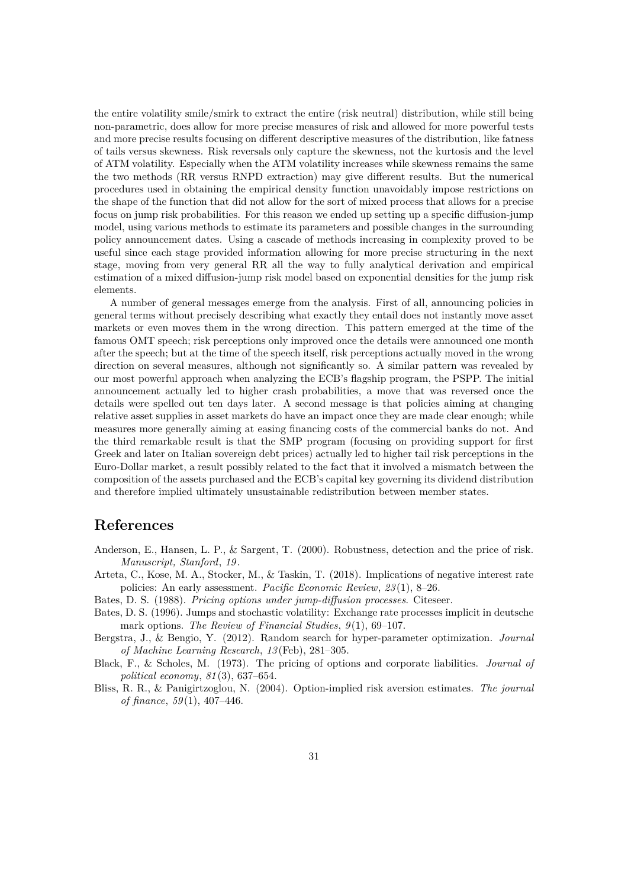the entire volatility smile/smirk to extract the entire (risk neutral) distribution, while still being non-parametric, does allow for more precise measures of risk and allowed for more powerful tests and more precise results focusing on different descriptive measures of the distribution, like fatness of tails versus skewness. Risk reversals only capture the skewness, not the kurtosis and the level of ATM volatility. Especially when the ATM volatility increases while skewness remains the same the two methods (RR versus RNPD extraction) may give different results. But the numerical procedures used in obtaining the empirical density function unavoidably impose restrictions on the shape of the function that did not allow for the sort of mixed process that allows for a precise focus on jump risk probabilities. For this reason we ended up setting up a specific diffusion-jump model, using various methods to estimate its parameters and possible changes in the surrounding policy announcement dates. Using a cascade of methods increasing in complexity proved to be useful since each stage provided information allowing for more precise structuring in the next stage, moving from very general RR all the way to fully analytical derivation and empirical estimation of a mixed diffusion-jump risk model based on exponential densities for the jump risk elements.

A number of general messages emerge from the analysis. First of all, announcing policies in general terms without precisely describing what exactly they entail does not instantly move asset markets or even moves them in the wrong direction. This pattern emerged at the time of the famous OMT speech; risk perceptions only improved once the details were announced one month after the speech; but at the time of the speech itself, risk perceptions actually moved in the wrong direction on several measures, although not significantly so. A similar pattern was revealed by our most powerful approach when analyzing the ECB's flagship program, the PSPP. The initial announcement actually led to higher crash probabilities, a move that was reversed once the details were spelled out ten days later. A second message is that policies aiming at changing relative asset supplies in asset markets do have an impact once they are made clear enough; while measures more generally aiming at easing financing costs of the commercial banks do not. And the third remarkable result is that the SMP program (focusing on providing support for first Greek and later on Italian sovereign debt prices) actually led to higher tail risk perceptions in the Euro-Dollar market, a result possibly related to the fact that it involved a mismatch between the composition of the assets purchased and the ECB's capital key governing its dividend distribution and therefore implied ultimately unsustainable redistribution between member states.

# **References**

- Anderson, E., Hansen, L. P., & Sargent, T. (2000). Robustness, detection and the price of risk. *Manuscript, Stanford*, *19* .
- Arteta, C., Kose, M. A., Stocker, M., & Taskin, T. (2018). Implications of negative interest rate policies: An early assessment. *Pacific Economic Review*, *23* (1), 8–26.
- Bates, D. S. (1988). *Pricing options under jump-diffusion processes*. Citeseer.
- Bates, D. S. (1996). Jumps and stochastic volatility: Exchange rate processes implicit in deutsche mark options. *The Review of Financial Studies*,  $9(1)$ , 69–107.
- Bergstra, J., & Bengio, Y. (2012). Random search for hyper-parameter optimization. *Journal of Machine Learning Research*, *13* (Feb), 281–305.
- Black, F., & Scholes, M. (1973). The pricing of options and corporate liabilities. *Journal of political economy*, *81* (3), 637–654.
- Bliss, R. R., & Panigirtzoglou, N. (2004). Option-implied risk aversion estimates. *The journal of finance*, *59* (1), 407–446.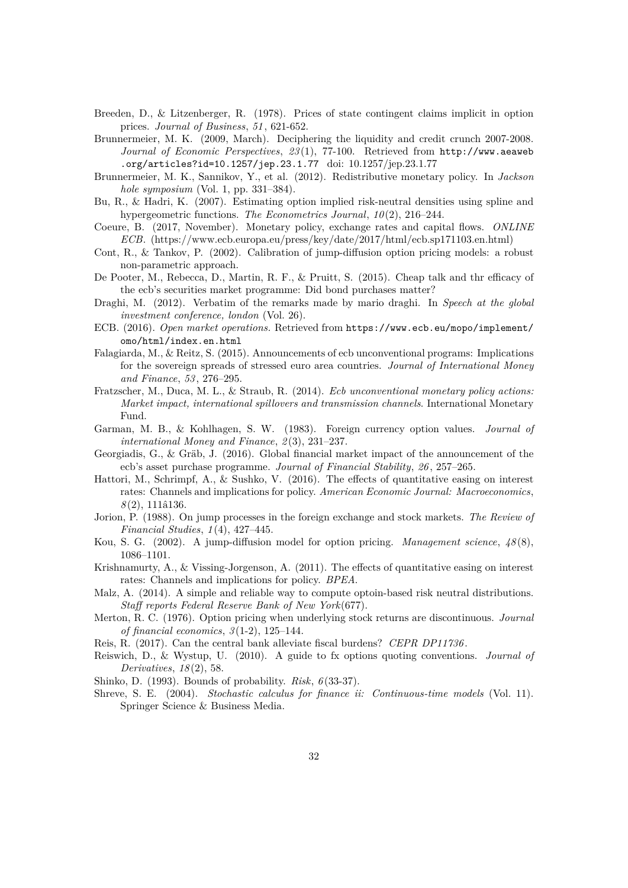- Breeden, D., & Litzenberger, R. (1978). Prices of state contingent claims implicit in option prices. *Journal of Business*, *51* , 621-652.
- Brunnermeier, M. K. (2009, March). Deciphering the liquidity and credit crunch 2007-2008. *Journal of Economic Perspectives*, *23* (1), 77-100. Retrieved from http://www.aeaweb .org/articles?id=10.1257/jep.23.1.77 doi: 10.1257/jep.23.1.77
- Brunnermeier, M. K., Sannikov, Y., et al. (2012). Redistributive monetary policy. In *Jackson hole symposium* (Vol. 1, pp. 331–384).
- Bu, R., & Hadri, K. (2007). Estimating option implied risk-neutral densities using spline and hypergeometric functions. *The Econometrics Journal*,  $10(2)$ , 216–244.
- Coeure, B. (2017, November). Monetary policy, exchange rates and capital flows. *ONLINE ECB*. (https://www.ecb.europa.eu/press/key/date/2017/html/ecb.sp171103.en.html)
- Cont, R., & Tankov, P. (2002). Calibration of jump-diffusion option pricing models: a robust non-parametric approach.
- De Pooter, M., Rebecca, D., Martin, R. F., & Pruitt, S. (2015). Cheap talk and thr efficacy of the ecb's securities market programme: Did bond purchases matter?
- Draghi, M. (2012). Verbatim of the remarks made by mario draghi. In *Speech at the global investment conference, london* (Vol. 26).
- ECB. (2016). *Open market operations.* Retrieved from https://www.ecb.eu/mopo/implement/ omo/html/index.en.html
- Falagiarda, M., & Reitz, S. (2015). Announcements of ecb unconventional programs: Implications for the sovereign spreads of stressed euro area countries. *Journal of International Money and Finance*, *53* , 276–295.
- Fratzscher, M., Duca, M. L., & Straub, R. (2014). *Ecb unconventional monetary policy actions: Market impact, international spillovers and transmission channels*. International Monetary Fund.
- Garman, M. B., & Kohlhagen, S. W. (1983). Foreign currency option values. *Journal of international Money and Finance*, *2* (3), 231–237.
- Georgiadis, G., & Gräb, J. (2016). Global financial market impact of the announcement of the ecb's asset purchase programme. *Journal of Financial Stability*, *26* , 257–265.
- Hattori, M., Schrimpf, A., & Sushko, V. (2016). The effects of quantitative easing on interest rates: Channels and implications for policy. *American Economic Journal: Macroeconomics*, *8* (2), 111ˆa136.
- Jorion, P. (1988). On jump processes in the foreign exchange and stock markets. *The Review of Financial Studies*, *1* (4), 427–445.
- Kou, S. G. (2002). A jump-diffusion model for option pricing. *Management science*, *48* (8), 1086–1101.
- Krishnamurty, A., & Vissing-Jorgenson, A. (2011). The effects of quantitative easing on interest rates: Channels and implications for policy. *BPEA*.
- Malz, A. (2014). A simple and reliable way to compute optoin-based risk neutral distributions. *Staff reports Federal Reserve Bank of New York*(677).
- Merton, R. C. (1976). Option pricing when underlying stock returns are discontinuous. *Journal of financial economics*, *3* (1-2), 125–144.
- Reis, R. (2017). Can the central bank alleviate fiscal burdens? *CEPR DP11736* .
- Reiswich, D., & Wystup, U. (2010). A guide to fx options quoting conventions. *Journal of Derivatives*, *18* (2), 58.
- Shinko, D. (1993). Bounds of probability. *Risk*, *6* (33-37).
- Shreve, S. E. (2004). *Stochastic calculus for finance ii: Continuous-time models* (Vol. 11). Springer Science & Business Media.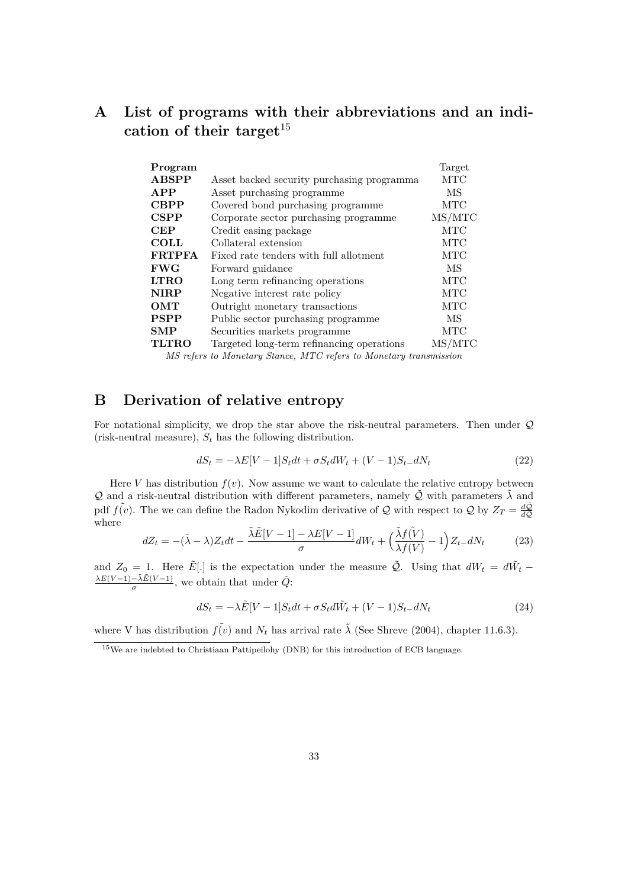# **A List of programs with their abbreviations and an indication of their target**<sup>15</sup>

| Program       |                                                                   | Target |
|---------------|-------------------------------------------------------------------|--------|
| <b>ABSPP</b>  | Asset backed security purchasing programma                        | MTC    |
| APP           | Asset purchasing programme                                        | MS     |
| <b>CBPP</b>   | Covered bond purchasing programme                                 | MTC    |
| CSPP          | Corporate sector purchasing programme                             | MS/MTC |
| <b>CEP</b>    | Credit easing package                                             | MTC    |
| <b>COLL</b>   | Collateral extension                                              | MTC    |
| <b>FRTPFA</b> | Fixed rate tenders with full allotment                            | MTC    |
| FWG           | Forward guidance                                                  | MS     |
| <b>LTRO</b>   | Long term refinancing operations                                  | MTC    |
| <b>NIRP</b>   | Negative interest rate policy                                     | MTC    |
| <b>OMT</b>    | Outright monetary transactions                                    | MTC    |
| <b>PSPP</b>   | Public sector purchasing programme                                | MS     |
| <b>SMP</b>    | Securities markets programme                                      | MTC    |
| <b>TLTRO</b>  | Targeted long-term refinancing operations                         | MS/MTC |
|               | MS refers to Monetary Stance, MTC refers to Monetary transmission |        |

# **B Derivation of relative entropy**

For notational simplicity, we drop the star above the risk-neutral parameters. Then under Q (risk-neutral measure), *S<sup>t</sup>* has the following distribution.

$$
dS_t = -\lambda E[V-1]S_t dt + \sigma S_t dW_t + (V-1)S_{t-} dN_t
$$
\n
$$
(22)
$$

Here *V* has distribution  $f(v)$ . Now assume we want to calculate the relative entropy between  $\mathcal Q$  and a risk-neutral distribution with different parameters, namely  $\mathcal Q$ <sup>\*</sup> with parameters  $\lambda$  and pdf  $\tilde{f}(v)$ . The we can define the Radon Nykodim derivative of Q with respect to Q by  $Z_T = \frac{d\tilde{Q}}{dQ}$ where

$$
dZ_t = -(\tilde{\lambda} - \lambda)Z_t dt - \frac{\tilde{\lambda}\tilde{E}[V-1] - \lambda E[V-1]}{\sigma}dW_t + \left(\frac{\tilde{\lambda}f(V)}{\lambda f(V)} - 1\right)Z_{t-}dN_t
$$
 (23)

and  $Z_0 = 1$ . Here  $\tilde{E}[\cdot]$  is the expectation under the measure  $\tilde{Q}$ . Using that  $dW_t = d\tilde{W}_t$  –  $\lambda E(V-1) - \tilde{\lambda} \tilde{E}(V-1)$  $\frac{-\lambda \tilde{E}(V-1)}{\sigma}$ , we obtain that under  $\tilde{Q}$ :

$$
dS_t = -\lambda \tilde{E}[V-1]S_t dt + \sigma S_t d\tilde{W}_t + (V-1)S_{t-} dN_t
$$
\n(24)

where V has distribution  $\tilde{f}(v)$  and  $N_t$  has arrival rate  $\tilde{\lambda}$  (See Shreve (2004), chapter 11.6.3).

<sup>15</sup>We are indebted to Christiaan Pattipeilohy (DNB) for this introduction of ECB language.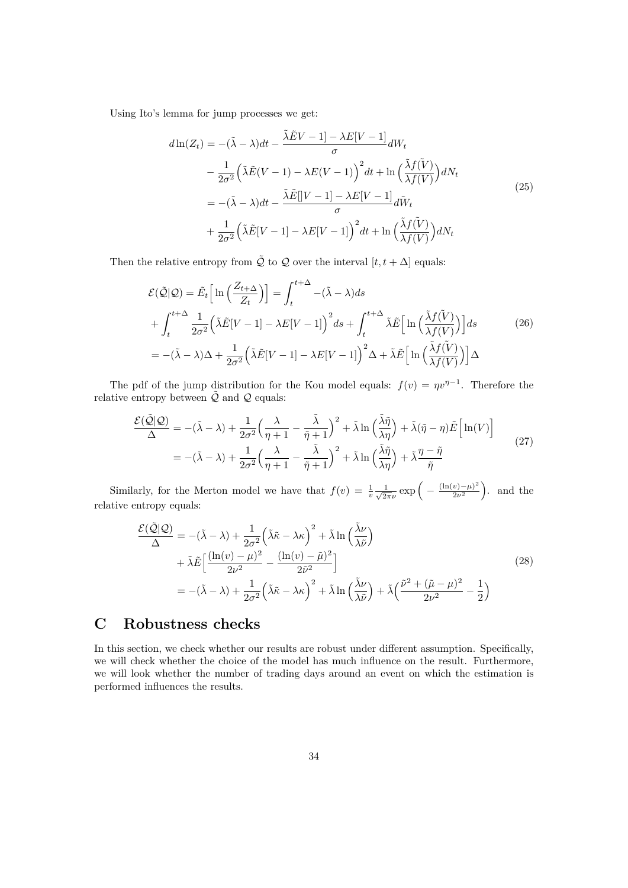Using Ito's lemma for jump processes we get:

$$
d\ln(Z_t) = -(\tilde{\lambda} - \lambda)dt - \frac{\tilde{\lambda}\tilde{E}V - 1] - \lambda E[V - 1]}{\sigma}dW_t
$$
  

$$
- \frac{1}{2\sigma^2} (\tilde{\lambda}\tilde{E}(V - 1) - \lambda E(V - 1)) dt + \ln\left(\frac{\tilde{\lambda}f(V)}{\lambda f(V)}\right)dN_t
$$
  

$$
= -(\tilde{\lambda} - \lambda)dt - \frac{\tilde{\lambda}\tilde{E}[|V - 1] - \lambda E[V - 1]}{\sigma}d\tilde{W}_t
$$
  

$$
+ \frac{1}{2\sigma^2} (\tilde{\lambda}\tilde{E}[V - 1] - \lambda E[V - 1])^2 dt + \ln\left(\frac{\tilde{\lambda}f(V)}{\lambda f(V)}\right)dN_t
$$
 (25)

Then the relative entropy from  $\tilde{Q}$  to  $Q$  over the interval  $[t, t + \Delta]$  equals:

$$
\mathcal{E}(\tilde{\mathcal{Q}}|\mathcal{Q}) = \tilde{E}_t \Big[ \ln \Big( \frac{Z_{t+\Delta}}{Z_t} \Big) \Big] = \int_t^{t+\Delta} -(\tilde{\lambda} - \lambda) ds
$$
  
+ 
$$
\int_t^{t+\Delta} \frac{1}{2\sigma^2} \Big( \tilde{\lambda} \tilde{E}[V-1] - \lambda E[V-1] \Big)^2 ds + \int_t^{t+\Delta} \tilde{\lambda} \tilde{E} \Big[ \ln \Big( \frac{\tilde{\lambda} f(V)}{\lambda f(V)} \Big) \Big] ds
$$
(26)  
= 
$$
-(\tilde{\lambda} - \lambda)\Delta + \frac{1}{2\sigma^2} \Big( \tilde{\lambda} \tilde{E}[V-1] - \lambda E[V-1] \Big)^2 \Delta + \tilde{\lambda} \tilde{E} \Big[ \ln \Big( \frac{\tilde{\lambda} f(V)}{\lambda f(V)} \Big) \Big] \Delta
$$

The pdf of the jump distribution for the Kou model equals:  $f(v) = \eta v^{\eta-1}$ . Therefore the relative entropy between  $\tilde{Q}$  and  $Q$  equals:

$$
\frac{\mathcal{E}(\tilde{\mathcal{Q}}|\mathcal{Q})}{\Delta} = -(\tilde{\lambda} - \lambda) + \frac{1}{2\sigma^2} \Big(\frac{\lambda}{\eta + 1} - \frac{\tilde{\lambda}}{\tilde{\eta} + 1}\Big)^2 + \tilde{\lambda} \ln\Big(\frac{\tilde{\lambda}\tilde{\eta}}{\lambda\eta}\Big) + \tilde{\lambda}(\tilde{\eta} - \eta)\tilde{E}\Big[\ln(V)\Big]
$$
  
= -(\tilde{\lambda} - \lambda) + \frac{1}{2\sigma^2} \Big(\frac{\lambda}{\eta + 1} - \frac{\tilde{\lambda}}{\tilde{\eta} + 1}\Big)^2 + \tilde{\lambda} \ln\Big(\frac{\tilde{\lambda}\tilde{\eta}}{\lambda\eta}\Big) + \tilde{\lambda}\frac{\eta - \tilde{\eta}}{\tilde{\eta}} (27)

Similarly, for the Merton model we have that  $f(v) = \frac{1}{v} \frac{1}{\sqrt{2}}$  $rac{1}{2\pi\nu}$  exp  $\left(-\frac{(\ln(v)-\mu)^2}{2\nu^2}\right)$  $\left(\frac{v)-\mu^2}{2\nu^2}\right)$  and the relative entropy equals:

$$
\frac{\mathcal{E}(\tilde{\mathcal{Q}}|\mathcal{Q})}{\Delta} = -(\tilde{\lambda} - \lambda) + \frac{1}{2\sigma^2} \left( \tilde{\lambda}\tilde{\kappa} - \lambda\kappa \right)^2 + \tilde{\lambda} \ln \left( \frac{\tilde{\lambda}\nu}{\lambda\tilde{\nu}} \right) \n+ \tilde{\lambda}\tilde{E} \Big[ \frac{(\ln(v) - \mu)^2}{2\nu^2} - \frac{(\ln(v) - \tilde{\mu})^2}{2\tilde{\nu}^2} \Big] \n= -(\tilde{\lambda} - \lambda) + \frac{1}{2\sigma^2} \left( \tilde{\lambda}\tilde{\kappa} - \lambda\kappa \right)^2 + \tilde{\lambda} \ln \left( \frac{\tilde{\lambda}\nu}{\lambda\tilde{\nu}} \right) + \tilde{\lambda} \left( \frac{\tilde{\nu}^2 + (\tilde{\mu} - \mu)^2}{2\nu^2} - \frac{1}{2} \right)
$$
\n(28)

# **C Robustness checks**

In this section, we check whether our results are robust under different assumption. Specifically, we will check whether the choice of the model has much influence on the result. Furthermore, we will look whether the number of trading days around an event on which the estimation is performed influences the results.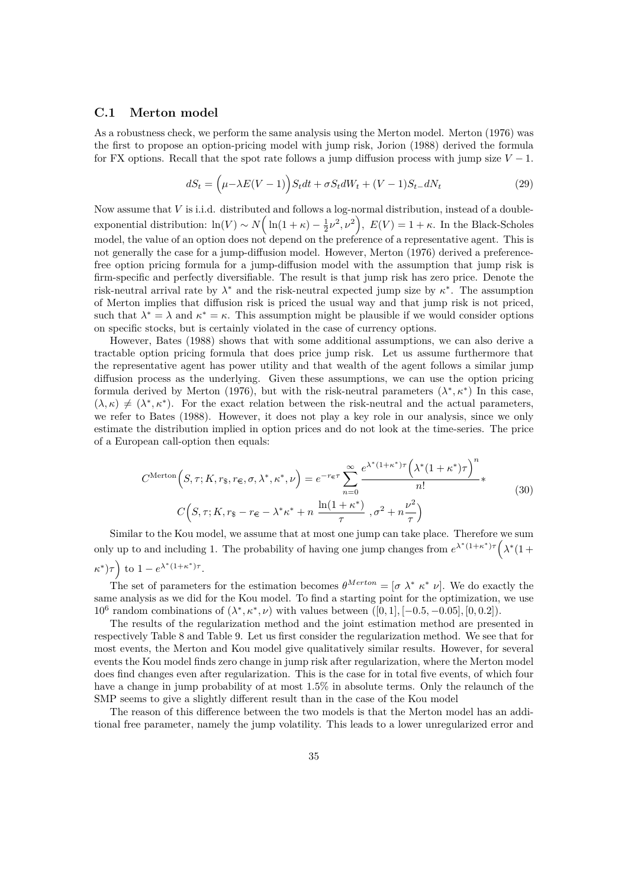# **C.1 Merton model**

As a robustness check, we perform the same analysis using the Merton model. Merton (1976) was the first to propose an option-pricing model with jump risk, Jorion (1988) derived the formula for FX options. Recall that the spot rate follows a jump diffusion process with jump size  $V - 1$ .

$$
dS_t = \left(\mu - \lambda E(V - 1)\right) S_t dt + \sigma S_t dW_t + (V - 1) S_{t-} dN_t \tag{29}
$$

Now assume that *V* is i.i.d. distributed and follows a log-normal distribution, instead of a doubleexponential distribution:  $\ln(V) \sim N(\ln(1 + \kappa) - \frac{1}{2}\nu^2, \nu^2), E(V) = 1 + \kappa$ . In the Black-Scholes model, the value of an option does not depend on the preference of a representative agent. This is not generally the case for a jump-diffusion model. However, Merton (1976) derived a preferencefree option pricing formula for a jump-diffusion model with the assumption that jump risk is firm-specific and perfectly diversifiable. The result is that jump risk has zero price. Denote the risk-neutral arrival rate by  $\lambda^*$  and the risk-neutral expected jump size by  $\kappa^*$ . The assumption of Merton implies that diffusion risk is priced the usual way and that jump risk is not priced, such that  $\lambda^* = \lambda$  and  $\kappa^* = \kappa$ . This assumption might be plausible if we would consider options on specific stocks, but is certainly violated in the case of currency options.

However, Bates (1988) shows that with some additional assumptions, we can also derive a tractable option pricing formula that does price jump risk. Let us assume furthermore that the representative agent has power utility and that wealth of the agent follows a similar jump diffusion process as the underlying. Given these assumptions, we can use the option pricing formula derived by Merton (1976), but with the risk-neutral parameters  $(\lambda^*, \kappa^*)$  In this case,  $(\lambda, \kappa) \neq (\lambda^*, \kappa^*)$ . For the exact relation between the risk-neutral and the actual parameters, we refer to Bates (1988). However, it does not play a key role in our analysis, since we only estimate the distribution implied in option prices and do not look at the time-series. The price of a European call-option then equals:

$$
C^{\text{Merton}}\left(S,\tau;K,r_{\$},r_{\$},\sigma,\lambda^{*},\kappa^{*},\nu\right) = e^{-r_{\epsilon}\tau}\sum_{n=0}^{\infty} \frac{e^{\lambda^{*}(1+\kappa^{*})\tau}\left(\lambda^{*}(1+\kappa^{*})\tau\right)^{n}}{n!}*
$$
\n
$$
C\left(S,\tau;K,r_{\$}-r_{\epsilon}-\lambda^{*}\kappa^{*}+n\frac{\ln(1+\kappa^{*})}{\tau},\sigma^{2}+n\frac{\nu^{2}}{\tau}\right)
$$
\n(30)

Similar to the Kou model, we assume that at most one jump can take place. Therefore we sum only up to and including 1. The probability of having one jump changes from  $e^{\lambda^*(1+\kappa^*)\tau}$   $\left(\lambda^*(1+\kappa^*)\tau\right)$  $\kappa^*$ ) $\tau$  to  $1 - e^{\lambda^*(1+\kappa^*)\tau}$ .

The set of parameters for the estimation becomes  $\theta^{Merton} = [\sigma \lambda^* \kappa^* \nu]$ . We do exactly the same analysis as we did for the Kou model. To find a starting point for the optimization, we use 10<sup>6</sup> random combinations of  $(\lambda^*, \kappa^*, \nu)$  with values between  $([0, 1], [-0.5, -0.05], [0, 0.2])$ .

The results of the regularization method and the joint estimation method are presented in respectively Table 8 and Table 9. Let us first consider the regularization method. We see that for most events, the Merton and Kou model give qualitatively similar results. However, for several events the Kou model finds zero change in jump risk after regularization, where the Merton model does find changes even after regularization. This is the case for in total five events, of which four have a change in jump probability of at most  $1.5\%$  in absolute terms. Only the relaunch of the SMP seems to give a slightly different result than in the case of the Kou model

The reason of this difference between the two models is that the Merton model has an additional free parameter, namely the jump volatility. This leads to a lower unregularized error and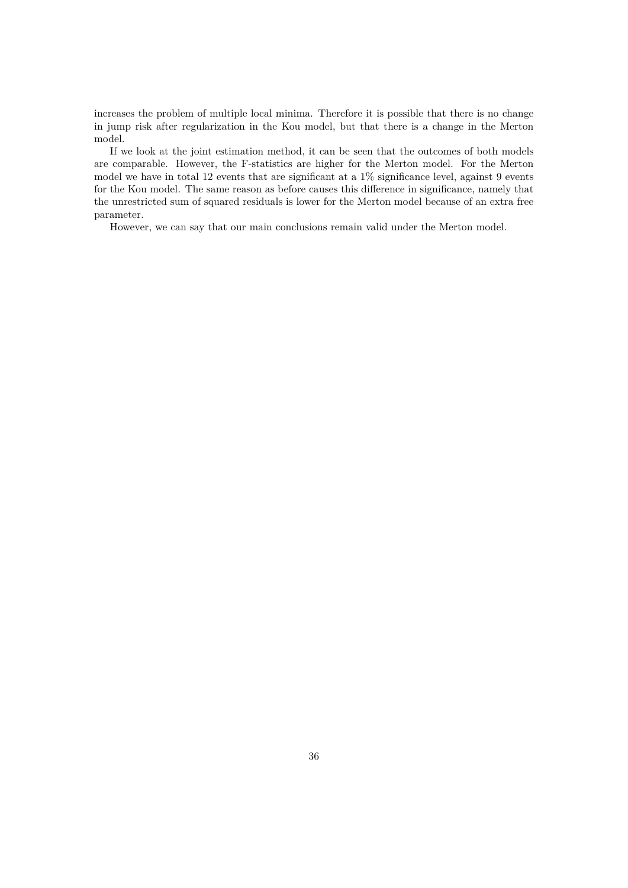increases the problem of multiple local minima. Therefore it is possible that there is no change in jump risk after regularization in the Kou model, but that there is a change in the Merton model.

If we look at the joint estimation method, it can be seen that the outcomes of both models are comparable. However, the F-statistics are higher for the Merton model. For the Merton model we have in total 12 events that are significant at a 1% significance level, against 9 events for the Kou model. The same reason as before causes this difference in significance, namely that the unrestricted sum of squared residuals is lower for the Merton model because of an extra free parameter.

However, we can say that our main conclusions remain valid under the Merton model.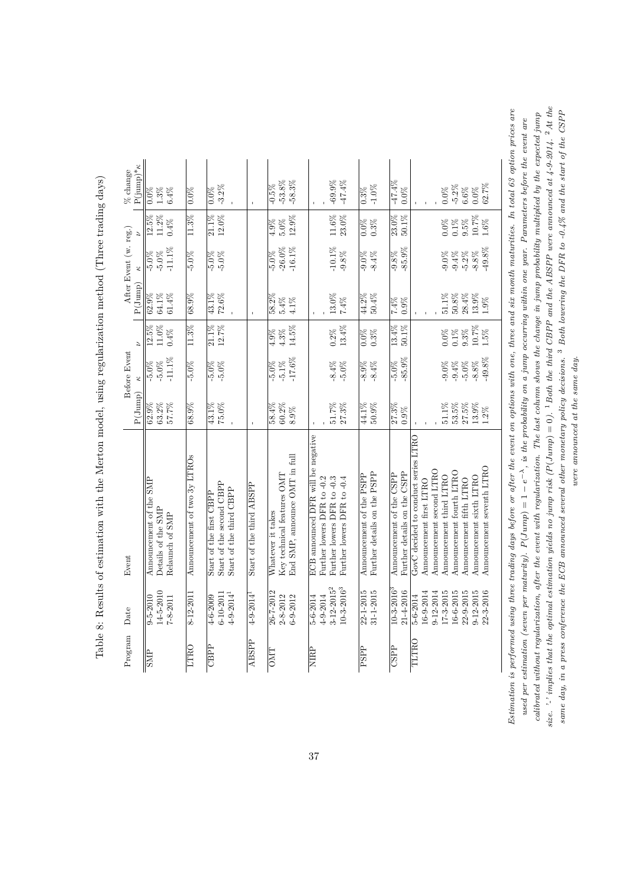| Estimation is performed using three trading days before or after the event on options with one, three and six month maturities. In total 63 option prices are           |
|-------------------------------------------------------------------------------------------------------------------------------------------------------------------------|
| used per estimation (seven per maturity). $P(Jump) = 1 - e^{-\lambda}$ , is the probability on a jump occurring within one year. Parameters before the event are        |
| the event with regularization. The last column shows the change in jump probability multiplied by the expected jump<br>$calibrate$ d without regularization, after      |
| size. '-' implies that the optimal estimation yields no jump risk $(P(Jump) = 0)$ . I Both the third CBPP and the ABSPP were announced at 4-9-2014. <sup>2</sup> At the |
| anne day, in a press conference the ECB announced several other monetary policy decisions. $^3$ Both lowering the DFR to -0.4% and the start of the CSPP                |
| were announced at the same day.                                                                                                                                         |

| $\frac{1}{1}$<br>$\frac{1}{2}$<br>ţ                             |  |
|-----------------------------------------------------------------|--|
| ١<br>ׇ֠<br>l                                                    |  |
|                                                                 |  |
| ĺ<br>ı                                                          |  |
| ֖֖֖֖֖֖֖֖֧ׅ֖֧֪֪ׅ֧֪֧֧֚֚֚֚֚֚֚֚֚֚֚֚֚֚֚֚֚֚֚֚֚֚֚֚֚֚֚֚֬֝֝֓֞֝֬֝֬֝֬<br>j |  |
| ;<br>j<br>֚֬֕<br>I                                              |  |
| J<br>ċ                                                          |  |
| ١                                                               |  |
| j<br>j<br>j                                                     |  |
| .<br>ו<br>$\frac{1}{2}$<br>i<br>ï                               |  |
| í                                                               |  |
| ı                                                               |  |
|                                                                 |  |
| j                                                               |  |
| j                                                               |  |
| j<br>j<br>j<br>l                                                |  |
| ١<br>l                                                          |  |
| l<br>Š<br>j<br>I<br>ł<br>J.                                     |  |

|                                                                                                                         | Date | Event                                                                                                                                                                                                                                | P(Jump)                                                                       | Before Event<br>ż,                                   | $\overline{a}$                                                               | P(Jump)                                                 | After Event (w. reg.)<br>ż                              | $\overline{a}$                                  | $\mathbf{P}(\mathrm{jump})^*\kappa$<br>$%$ change                            |
|-------------------------------------------------------------------------------------------------------------------------|------|--------------------------------------------------------------------------------------------------------------------------------------------------------------------------------------------------------------------------------------|-------------------------------------------------------------------------------|------------------------------------------------------|------------------------------------------------------------------------------|---------------------------------------------------------|---------------------------------------------------------|-------------------------------------------------|------------------------------------------------------------------------------|
| $14-5-2010$<br>$-5 - 2010$<br>$7 - 8 - 2011$                                                                            |      | Announcement of the SMP<br>Details of the SMP<br>Relaunch of SMP                                                                                                                                                                     | $63.2\%$<br>57.7%<br>62.9%                                                    | $-11.1\%$<br>$-5.0\%$<br>$-5.0\%$                    | 11.0%<br>12.5%<br>$0.4\%$                                                    | $64.1\%$<br>$61.4\%$<br>62.9%                           | $-11.1\%$<br>$-5.0\%$<br>$-5.0\%$                       | 12.5%<br>11.2%<br>$0.4\%$                       | $1.3\%$<br>$6.4\%$<br>$0.0\%$                                                |
| 8-12-2011                                                                                                               |      | Announcement of two 3y LTROs                                                                                                                                                                                                         | 68.9%                                                                         | $-5.0\%$                                             | 11.3%                                                                        | 68.9%                                                   | $-5.0\%$                                                | 11.3%                                           | $0.0\%$                                                                      |
| 6-10-2011<br>$4 - 9 - 2014$ <sup>1</sup><br>$4 - 6 - 2009$                                                              |      | Start of the second CBPP<br>Start of the third CBPP<br>Start of the first CBPP                                                                                                                                                       | 43.1%<br>$75.0\%$                                                             | $-5.0\%$<br>$-5.0\%$                                 | 21.1%<br>$12.7\%$                                                            | 43.1%<br>$72.6\%$                                       | $-5.0\%$<br>$-5.0\%$                                    | $\frac{21.1\%}{12.0\%}$                         | $-3.2%$<br>$0.0\%$                                                           |
| $4 - 9 - 2014$                                                                                                          |      | Start of the third ABSPP                                                                                                                                                                                                             |                                                                               |                                                      |                                                                              |                                                         |                                                         |                                                 |                                                                              |
| 26-7-2012<br>$2 - 8 - 2012$<br>5-9-2012                                                                                 |      | End SMP, announce OMT in full<br>Key technical features OMT<br>Whatever it takes                                                                                                                                                     | 58.4%<br>$60.2\%$<br>8.9%                                                     | $-17.6\%$<br>$-5.0\%$<br>$-5.1\%$                    | 14.5%<br>$4.3\%$<br>4.9%                                                     | $\frac{58.2\%}{5.4\%}$<br>$4.1\%$                       | $-5.0\%$<br>$-26.0\%$<br>$-16.1\%$                      | $12.9\%$<br>$5.0\%$<br>4.9%                     | $-53.8\%$<br>$-58.3\%$<br>$-0.5%$                                            |
| 3-12-2015 <sup>2</sup><br>$10 - 3 - 2016^3$<br>$4 - 9 - 2014$<br>$5 - 6 - 2014$                                         |      | ECB announced DFR will be negative<br>Further lowers DFR to -0.2<br>Further lowers DFR to -0.3<br>Further lowers DFR to -0.4                                                                                                         | 51.7%<br>$27.3\%$                                                             | $-8.4\%$<br>$-5.0\%$                                 | $13.4\%$<br>$0.2\%$                                                          | $13.0\%$<br>$7.4\%$                                     | $-10.1\%$<br>$-9.8%$                                    | $11.6\%$<br>$23.0\%$                            | $-69.9\%$<br>$-47.4%$                                                        |
| $22 - 1 - 2015$<br>31-1-2015                                                                                            |      | Further details on the PSPP<br>Announcement of the PSPP                                                                                                                                                                              | 44.1%<br>$50.9\%$                                                             | $-8.9\%$<br>$\boldsymbol{8.4\%}$                     | $0.0\%$<br>$0.3\%$                                                           | $44.2\%$<br>50.4%                                       | $-9.0\%$<br>$-8.4\%$                                    | $0.0\%$<br>$0.3\%$                              | $-1.0\%$<br>$0.3\%$                                                          |
| $10 - 3 - 2016^3$<br>21-4-2016                                                                                          |      | Further details on the CSPP<br>Announcement of the CSPP                                                                                                                                                                              | 27.3%<br>0.9%                                                                 | 85.9%<br>$-5.0\%$                                    | 13.4%<br>50.1%                                                               | 7.4%<br>$0.9\%$                                         | 85.9%<br>$-9.8\%$                                       | $23.0\%$<br>$50.1\%$                            | $-47.4%$<br>$0.0\%$                                                          |
| $17 - 3 - 2015$<br>16-6-2015<br>22-9-2015<br>$-12-2015$<br>22-3-2016<br>$16 - 9 - 2014$<br>$-12-2014$<br>$5 - 6 - 2014$ |      | GovC decided to conduct series LTRO<br>Announcement seventh LTRO<br>Announcement second LTRO<br>Announcement fourth LTRO<br>Announcement third LTRO<br>Announcement sixth LTRO<br>Announcement fifth LTRO<br>Announcement first LTRC | 51.1%<br>$\begin{array}{c} 53.5\% \\ 27.5\% \\ 13.9\% \end{array}$<br>$1.2\%$ | $-8.8\%$<br>-49.8%<br>$-9.4%$<br>$-5.0%$<br>$-9.0\%$ | $10.7\%$ $1.5\%$<br>$\begin{array}{c} 0.1\% \\ 9.3\% \end{array}$<br>$0.0\%$ | $51.1\%$<br>$50.8\%$<br>$28.4\%$<br>$13.9\%$<br>$1.9\%$ | $-49.8\%$<br>$-9.4%$<br>$-5.2%$<br>$-8.8\%$<br>$-9.0\%$ | $10.7\%$<br>$0.0\%$<br>$0.1\%$ $5\%$<br>$1.6\%$ | $\begin{array}{c} -5.2\% \\ 6.6\% \\ 0.0\% \\ 62.7\% \end{array}$<br>$0.0\%$ |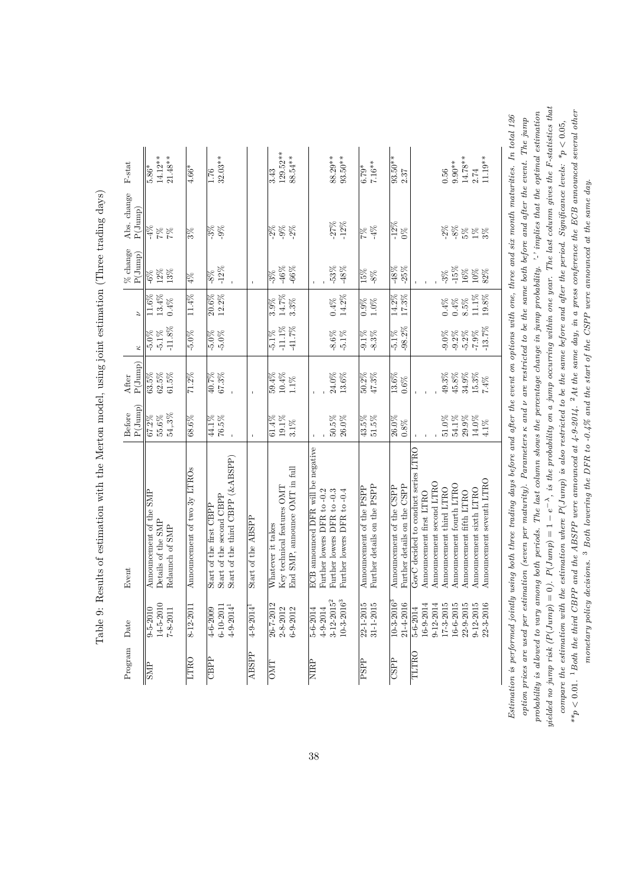| $F-stat$               | $14.12**$<br>$21.48***$<br>$5.86*$                               | $4.66*$                      | 32.03**<br>1.76                                                                         |                    | $129.52***$<br>88.54**<br>3.43                                                   | 88.29**<br>93.50**                                                                                                           | $7.16**$<br>$6.79*$                                     | $93.50**$<br>$2.37$                                     | $14.78***$<br>$11.19**$<br>$9.90**$<br>2.74<br>0.56                                                                                                                                                                                  |
|------------------------|------------------------------------------------------------------|------------------------------|-----------------------------------------------------------------------------------------|--------------------|----------------------------------------------------------------------------------|------------------------------------------------------------------------------------------------------------------------------|---------------------------------------------------------|---------------------------------------------------------|--------------------------------------------------------------------------------------------------------------------------------------------------------------------------------------------------------------------------------------|
| Abs. change<br>P(Jump) | 28 X<br>28 X                                                     | $3\%$                        | $-3\%$<br>$-9%$                                                                         |                    | $288$<br>$-28$                                                                   | $-27%$<br>$-12%$                                                                                                             | $^{26}F$ -<br>347                                       | $\frac{12\%}{0\%}$                                      | $-2\%$<br>88888                                                                                                                                                                                                                      |
| $%$ change<br>P(Jump)  | $\frac{-6\%}{12\%}$<br>13%                                       | $4\%$                        | $-12\%$<br>$-8\%$                                                                       |                    | $-46\%$<br>$-66\%$<br>$-3\%$                                                     | $-53%$<br>$-48%$                                                                                                             | $.8\%$                                                  | $-48%$<br>$-25\%$                                       | $-15%$<br>$\frac{16\%}{10\%}$<br>$-3\%$                                                                                                                                                                                              |
| $\overline{a}$         | 13.4%<br>$11.\overline{6}\%$<br>$0.4\%$                          | 11.4%                        | $20.6\%$<br>$12.2\%$                                                                    |                    | 14.7%<br>$3.9\%$<br>$3.3\%$                                                      | $14.2\%$<br>$0.4\%$                                                                                                          | $\frac{68}{1.0\%}$                                      | 14.2%<br>$17.3\%$                                       | $11.1\%$<br>$19.8\%$<br>$0.4\%$<br>$8.5\%$<br>$0.4\%$                                                                                                                                                                                |
| ž,                     | $-11.8\%$<br>$-5.1\%$<br>$-5.0\%$                                | $-5.0\%$                     | $-5.0\%$<br>$-5.0\%$                                                                    |                    | $-11.1\%$<br>$-41.7%$<br>$-5.1\%$                                                | $-8.6\%$<br>$-5.1\%$                                                                                                         | $-9.1\%$<br>$-8.3%$                                     | $-98.2%$<br>$-5.1\%$                                    | $-13.7%$<br>$-9.0\%$<br>$-9.2\%$<br>$-5.2\%$<br>$-7.9\%$                                                                                                                                                                             |
| P(Jump)<br>After       | $62.5\%$<br>$61.5\%$<br>63.5%                                    | 71.2%                        | 40.7%<br>67.3%                                                                          |                    | 59.4%<br>$10.4\%$<br>$1.1\%$                                                     | 24.0%<br>13.6%                                                                                                               | 50.2%<br>47.3%                                          | 13.6%<br>$0.6\%$                                        | $49.3\%$<br>$45.8\%$<br>$34.9\%$<br>$15.3\%$<br>7.4%                                                                                                                                                                                 |
| P(Jump)<br>Before      | $54,3\%$<br>$55.6\%$<br>67.2%                                    | 68.6%                        | 44.1%<br>$76.5\%$                                                                       |                    | 61.4%<br>$19.1\%$<br>$3.1\%$                                                     | $50.5%$<br>$26.0%$                                                                                                           | $43.5\%$<br>$51.5\%$                                    | 26.0%<br>$0.8\%$                                        | $\begin{array}{l} 51.0\% \\ 54.1\% \\ 29.9\% \end{array}$<br>$14.0\%$<br>$4.1\%$                                                                                                                                                     |
| Event                  | Announcement of the SMP<br>Details of the SMP<br>Relaunch of SMP | Announcement of two 3y LTROs | Start of the third CBPP (&ABSPP)<br>Start of the second CBPP<br>Start of the first CBPP | Start of the ABSPP | End SMP, announce OMT in full<br>Key technical features OMT<br>Whatever it takes | ECB announced DFR will be negative<br>Further lowers DFR to -0.2<br>Further lowers DFR to -0.3<br>Further lowers DFR to -0.4 | Further details on the PSPP<br>Announcement of the PSPP | Further details on the CSPP<br>Announcement of the CSPP | GovC decided to conduct series LTRO<br>Announcement seventh LTRO<br>Announcement second LTRO<br>Announcement fourth LTRO<br>Announcement third LTRO<br>Announcement sixth LTRO<br>Announcement fifth LTRO<br>Announcement first LTRO |
| Date                   | 14-5-2010<br>9-5-2010<br>$7 - 8 - 2011$                          | 8-12-2011                    | 6-10-2011<br>$4 - 9 - 2014$ <sup>1</sup><br>$4 - 6 - 2009$                              | $4 - 9 - 2014$     | 26-7-2012<br>2-8-2012<br>6-9-2012                                                | $3 - 12 - 2015^2$<br>$10 - 3 - 2016^3$<br>4-9-2014<br>$5 - 6 - 2014$                                                         | $22 - 1 - 2015$<br>31-1-2015                            | $10 - 3 - 2016^3$<br>21-4-2016                          | $17 - 3 - 2015$<br>16-6-2015<br>22-9-2015<br>$9 - 12 - 2015$<br>$22 - 3 - 2016$<br>16-9-2014<br>$9 - 12 - 2014$<br>$5 - 6 - 2014$                                                                                                    |
| Program                | <b>SMP</b>                                                       | LTRO                         | CBPP                                                                                    | ABSPP              | <b>OMT</b>                                                                       | NIRP                                                                                                                         | PSPP                                                    | <b>GSPP</b>                                             | TLTRO                                                                                                                                                                                                                                |

Table 9: Results of estimation with the Merton model, using joint estimation (Three trading days) Table 9: Results of estimation with the Merton model, using joint estimation (Three trading days)

yielded no jump risk  $(P(Jump) = 0)$ .  $P(Jump) = 1 - e^{-\lambda}$ , is the probability on a jump occurring within one year. The last column gives the F-statistics that  $-e^{-\lambda}$ , is the probability on a jump occurring within one year. The last column gives the F-statistics that  $*^*p < 0.01$ . <sup>1</sup>Both the third CBPP and the ABSPP were announced at  $4$ -9-2014. <sup>2</sup>At the same day, in a press conference the ECB announced several other probability is allowed to vary among both periods. The last column shows the percentage change in jump probability.  $\cdot$  implies that the optimal estimation  $^2$  At the same day, in a press conference the ECB announced several other  $Estimation\ is\ performed\ jointly\ using\ both\ three\ trading\ days\ before\ and\ after\ the\ event\ on\ options\ with\ one,\ three\ and\ six\ months\ maturities.\ In\ total\ 126$ probability is allowed to vary among both periods. The last column shows the percentage change in jump probability.  $\cdot$  implies that the optimal estimation Estimation is performed jointly using both three trading days before and after the event on options with one, three and six month maturities. In total 126  $\,$ option prices are used per estimation (seven per maturity). Parameters  $\kappa$  and  $\nu$  are restricted to be the same both before and after the event. The jump compare the estimation with the estimation where  $P(Jump)$  is also restricted to be the same before and after the period. Significance levels: \* $p < 0.05$ , option prices are used per estimation (seven per maturity). Parameters  $\kappa$  and  $\nu$  are restricted to be the same both before and after the event. The jump  $P(Jump)$  is also restricted to be the same before and after the period. Significance levels: \* $p < 0.05$ , monetary policy decisions. <sup>3</sup> Both lowering the DFR to -0.4% and the start of the CSPP were announced at the same day. 1*Both the third CBPP and the ABSPP were announced at 4-9-2014. compare the estimation with the estimation where*  $P(Jump) = 1$ *yielded no jump risk (P*(*Jump*) = 0*).*

*monetary policy decisions.*

 $^3$  Both lowering the DFR to -0.4% and the start of the CSPP were announced at the same day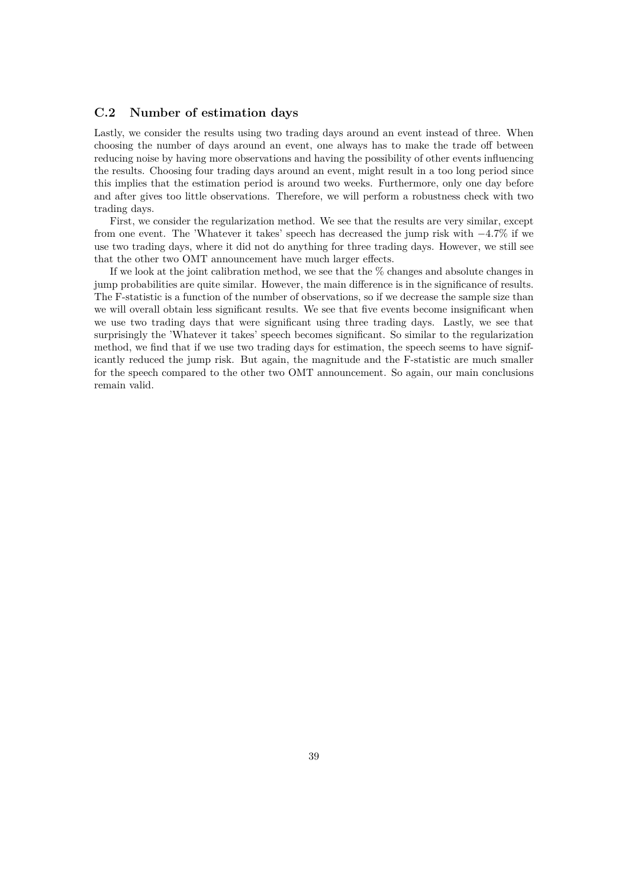# **C.2 Number of estimation days**

Lastly, we consider the results using two trading days around an event instead of three. When choosing the number of days around an event, one always has to make the trade off between reducing noise by having more observations and having the possibility of other events influencing the results. Choosing four trading days around an event, might result in a too long period since this implies that the estimation period is around two weeks. Furthermore, only one day before and after gives too little observations. Therefore, we will perform a robustness check with two trading days.

First, we consider the regularization method. We see that the results are very similar, except from one event. The 'Whatever it takes' speech has decreased the jump risk with −4*.*7% if we use two trading days, where it did not do anything for three trading days. However, we still see that the other two OMT announcement have much larger effects.

If we look at the joint calibration method, we see that the % changes and absolute changes in jump probabilities are quite similar. However, the main difference is in the significance of results. The F-statistic is a function of the number of observations, so if we decrease the sample size than we will overall obtain less significant results. We see that five events become insignificant when we use two trading days that were significant using three trading days. Lastly, we see that surprisingly the 'Whatever it takes' speech becomes significant. So similar to the regularization method, we find that if we use two trading days for estimation, the speech seems to have significantly reduced the jump risk. But again, the magnitude and the F-statistic are much smaller for the speech compared to the other two OMT announcement. So again, our main conclusions remain valid.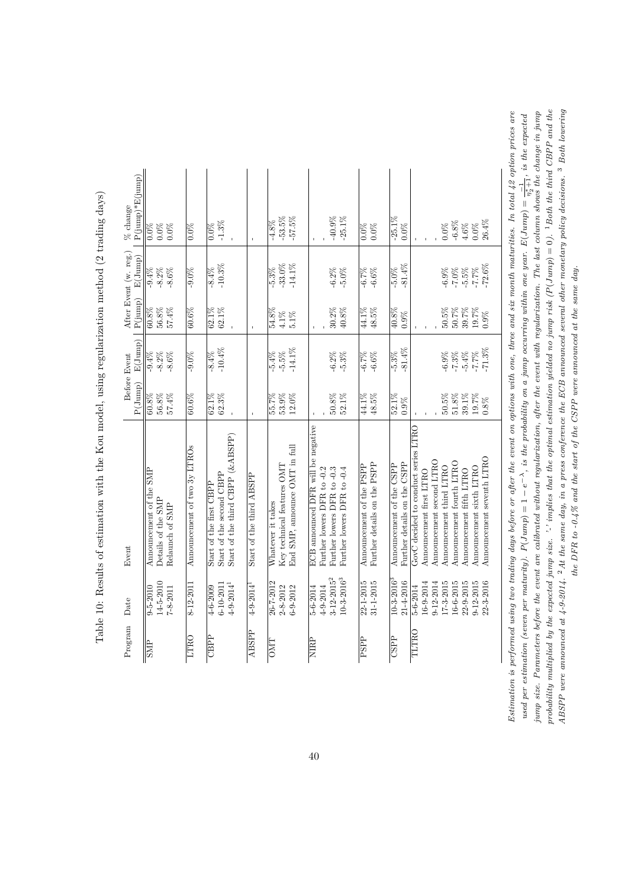|                | Ì<br>į                                                                                |
|----------------|---------------------------------------------------------------------------------------|
|                |                                                                                       |
|                | Ì                                                                                     |
|                | j<br>$\overline{1}$                                                                   |
|                |                                                                                       |
|                |                                                                                       |
|                | j<br>)                                                                                |
|                | i                                                                                     |
|                |                                                                                       |
|                |                                                                                       |
|                |                                                                                       |
|                |                                                                                       |
|                |                                                                                       |
|                |                                                                                       |
|                |                                                                                       |
|                | I                                                                                     |
|                |                                                                                       |
|                |                                                                                       |
|                | 5                                                                                     |
|                | l                                                                                     |
|                |                                                                                       |
|                |                                                                                       |
|                |                                                                                       |
|                |                                                                                       |
|                |                                                                                       |
|                |                                                                                       |
|                |                                                                                       |
|                |                                                                                       |
|                | てくらく                                                                                  |
|                | $-15.2$                                                                               |
|                | į                                                                                     |
|                |                                                                                       |
|                | į                                                                                     |
|                |                                                                                       |
|                | i                                                                                     |
|                |                                                                                       |
|                |                                                                                       |
|                |                                                                                       |
|                | Ś<br>)                                                                                |
|                | i<br>S                                                                                |
|                | l                                                                                     |
|                | i<br>١                                                                                |
|                |                                                                                       |
|                | Ï                                                                                     |
|                |                                                                                       |
|                |                                                                                       |
|                |                                                                                       |
|                |                                                                                       |
|                | ֧֧ׅ֧֧֧֧ׅ֧ׅ֧֧ׅ֧ׅ֧֧֧֧֧֚֚֚֚֚֚֚֚֚֚֚֚֚֚֚֚֚֚֚֚֚֚֚֚֚֚֚֚֚֚֚֚֞֝֟֜֝֓֝֓֝֓֝֬֜֜֝֬֜֜֝֬֝֬֝֬֝֬֝       |
|                |                                                                                       |
|                | j                                                                                     |
|                | ١                                                                                     |
|                |                                                                                       |
|                | $\frac{1}{1}$                                                                         |
|                |                                                                                       |
|                |                                                                                       |
|                |                                                                                       |
|                |                                                                                       |
|                |                                                                                       |
|                | is an instru                                                                          |
|                |                                                                                       |
|                |                                                                                       |
|                |                                                                                       |
|                | i                                                                                     |
|                |                                                                                       |
|                |                                                                                       |
| $\overline{1}$ |                                                                                       |
|                |                                                                                       |
|                |                                                                                       |
|                |                                                                                       |
|                |                                                                                       |
|                |                                                                                       |
|                |                                                                                       |
|                |                                                                                       |
|                | <b>CONTRACTS AND STRAINS</b>                                                          |
|                |                                                                                       |
|                |                                                                                       |
|                |                                                                                       |
|                | <b>Contract Contract</b>                                                              |
|                | 3                                                                                     |
|                |                                                                                       |
|                | l                                                                                     |
|                |                                                                                       |
|                |                                                                                       |
|                |                                                                                       |
|                |                                                                                       |
|                |                                                                                       |
|                |                                                                                       |
|                | j                                                                                     |
|                |                                                                                       |
|                |                                                                                       |
|                | ֧֧֧֧֧֧֧֧֧֧֛֛֛֪֪֧֪֪֪֪֛֪֧֝֟֟֓֝֬֝֬֟֟֓֓֝֬֝֓֝֬֟֟֓֝֬֟֓֟֓֟֓֝֟֟֟֟֓֝֬֟֓֟֓֟֓֝֬֜֜֜֝֬֟֟֟֟֝֬֝֟֝֬֝֟ |
| I              | ı                                                                                     |
|                |                                                                                       |
|                |                                                                                       |
|                | J                                                                                     |
|                | l                                                                                     |
|                |                                                                                       |
|                | $\overline{\phantom{a}}$<br>ï                                                         |
|                |                                                                                       |
| I              |                                                                                       |
| E              | $\frac{1}{3}$<br>þ                                                                    |

| Program | Date           | <b>Syent</b>          | Before Event |                                         |                | After Event $(w. reg.)$ |                        |
|---------|----------------|-----------------------|--------------|-----------------------------------------|----------------|-------------------------|------------------------|
|         |                |                       |              | $P(Jump)$ $E(Jump)$ $P(jump)$ $E(Jump)$ |                |                         | % change<br>  P(jump)* |
| SMP     | $-5 - 2010$    | mouncement of the SMP | $60.8\%$     | $-9.4\%$                                |                | $-9.4\%$                |                        |
|         | $4 - 5 - 2010$ | Details of the SMP    | $56.8\%$     | $8.2%$<br>$8.6%$                        | $60.8\%$ 56.8% | $8.2\%$                 | 8888<br>000<br>000     |
|         | $-8 - 2011$    | delaunch of SMP       | $57.4\%$     |                                         | 57.4%          | $-8.6%$                 |                        |
|         |                |                       |              |                                         |                |                         |                        |

| $P(jump)*E(jump)$<br>$\%$ change | $0.0\%$<br>$0.0\%$<br>$0.0\%$                                    | $0.0\%$                      | $\textbf{-1.3}\%$<br>$\frac{60}{100}$                                                   |                          | $-53.5\%$<br>$-57.5%$<br>$-4.8\%$                                                | $-40.9\%$<br>$-25.1%$                                                                                                        | $0.0\%$<br>$0.0\%$                                      | $-25.1\%$<br>$0.0\%$                                    | $-6.8\%$<br>$\frac{4.6\%}{26.4\%}$<br>$0.0\%$                                                                                                                                                                                        |
|----------------------------------|------------------------------------------------------------------|------------------------------|-----------------------------------------------------------------------------------------|--------------------------|----------------------------------------------------------------------------------|------------------------------------------------------------------------------------------------------------------------------|---------------------------------------------------------|---------------------------------------------------------|--------------------------------------------------------------------------------------------------------------------------------------------------------------------------------------------------------------------------------------|
| After Event (w. reg.)<br>E(Jump) | $-8.2\%$<br>$-9.4%$<br>$-8.6\%$                                  | $-9.0%$                      | $-10.3\%$<br>$-8.4\%$                                                                   |                          | $-33.0\%$<br>$-14.1\%$<br>$-5.3%$                                                | $-6.2\%$<br>$-5.0%$                                                                                                          | $-6.7%$<br>$-6.6%$                                      | $-81.4%$<br>$-5.0\%$                                    | $-6.9%$<br>$-7.0%$<br>$-5.5%$<br>$-7.7%$<br>$-7.2.6%$                                                                                                                                                                                |
| P(jump)                          | $56.8\%$<br>$60.8\%$<br>$57.4\%$                                 | 60.6%                        | $62.1\%$<br>$62.1\%$                                                                    |                          | 54.8%<br>$4.1\%$<br>$5.1\%$                                                      | $30.2\%$<br>$40.8\%$                                                                                                         | 44.1%<br>$48.5\%$                                       | 40.8%<br>0.9%                                           | $50.5\%$<br>$\frac{50.7\%}{39.7\%}$<br>$0.9\%$                                                                                                                                                                                       |
| E(Jump)<br>Before Event          | $-8.2\%$<br>$-9.4%$<br>$-8.6\%$                                  | $-9.0%$                      | $-10.4\%$<br>$-8.4\%$                                                                   |                          | $-14.1\%$<br>$-5.4\%$<br>$-5.5\%$                                                | $-6.2\%$<br>$-5.3%$                                                                                                          | $-6.7\%$<br>$-6.6\%$                                    | $-81.4%$<br>$-5.3%$                                     | $\begin{array}{l} \sqrt{26} & 12 \\ \sqrt{24} & 2 \\ \sqrt{26} & 2 \\ \sqrt{27} & 2 \\ \sqrt{28} & 2 \\ \end{array}$<br>$-6.9\%$                                                                                                     |
| P(Jump)                          | 56.8%<br>$60.8\%$<br>57.4%                                       | $60.6\%$                     | $62.3\%$<br>$62.1\%$                                                                    |                          | 55.7%<br>53.9%<br>12.0%                                                          | $50.8\%$<br>52.1%                                                                                                            | 44.1%<br>48.5%                                          | 52.1%<br>0.9%                                           | 50.5%<br>$51.8\%$<br>39.1%<br>19.7%<br>$0.8\%$                                                                                                                                                                                       |
| Event                            | Announcement of the SMP<br>Details of the SMP<br>Relaunch of SMP | Announcement of two 3y LTROs | Start of the third CBPP (&ABSPP)<br>Start of the second CBPP<br>Start of the first CBPP | Start of the third ABSPP | End SMP, announce OMT in full<br>Key technical features OMT<br>Whatever it takes | ECB announced DFR will be negative<br>Further lowers DFR to -0.3<br>Further lowers DFR to -0.2<br>Further lowers DFR to -0.4 | Further details on the PSPP<br>Announcement of the PSPP | Further details on the CSPP<br>Announcement of the CSPP | GovC decided to conduct series LTRC<br>Announcement seventh LTRO<br>Announcement second LTRO<br>Announcement fourth LTRO<br>Announcement third LTRO<br>Announcement sixth LTRO<br>Announcement fifth LTRO<br>Announcement first LTRO |
| Date                             | 14-5-2010<br>9-5-2010<br>$7 - 8 - 2011$                          | 8-12-2011                    | $6 - 10 - 2011$<br>$4 - 9 - 2014$ <sup>1</sup><br>$4 - 6 - 2009$                        | $4 - 9 - 2014$           | 26-7-2012<br>$2 - 8 - 2012$<br>$6 - 9 - 2012$                                    | $3 - 12 - 2015^2$<br>$10 - 3 - 2016^3$<br>4-9-2014<br>$5 - 6 - 2014$                                                         | 22-1-2015<br>31-1-2015                                  | $10-3-2016^3$<br>21-4-2016                              | 22-9-2015<br>$16 - 9 - 2014$<br>3-12-2014<br>$17 - 3 - 2015$<br>16-6-2015<br>$9 - 12 - 2015$<br>22-3-2016<br>$5 - 6 - 2014$                                                                                                          |
| Program                          | <b>SMP</b>                                                       | <b>LTRO</b>                  | <b>GBLE</b>                                                                             | ABSPP                    | OMT                                                                              | NIRP                                                                                                                         | <b>PSPP</b>                                             | $\overline{\text{CB}}$                                  | TLTRO                                                                                                                                                                                                                                |

probability multiplied by the expected jump size. '-' implies that the optimal estimation yielded no jump risk  $(P(Jump) = 0)$ . <sup>1</sup>Both the third CBPP and the ABSPP were announced at  $4-9-2014$ . <sup>2</sup> At the same day, in a press conference the ECB announced several other monetary policy decisions. <sup>3</sup> Both lowering  $Estimation\ is\ performed\ using\ two\ trading\ degree\ or\ after\ the\ event\ on\ options\ with\ one,\ three\ and\ six\ months\ maturities.\ In\ total\ 42\ option\ prices\ are$ 1*Both the third CBPP and the Both lowering* Estimation is performed using two trading days before or after the event on options with one, three and six month maturities. In total 42 option prices are jump size. Parameters before the event are calibrated without regularization, after the event with regularization. The last column shows the change in jump  $\frac{1}{\tilde{r}+1}$  *, is the expected*<br>2 *i*  $^2$  At the same day, in a press conference the ECB announced several other monetary policy decisions. −1 *η* ∗ 2*E*(*Jump*) = probability multiplied by the expected jump size.  $\cdot$  ' implies that the optimal estimation yielded no jump risk ( $P(Jump) = 0$ ). *e*−*λ, is the probability on a jump occurring within one year.* the DFR to  $-0.4\%$  and the start of the CSPP were announced at the same day. the DFR to -0.4% and the start of the CSPP were announced at the same day.  $P(Jump) = 1$ *used per estimation (seven per maturity). ABSPP were announced at 4-9-2014.*